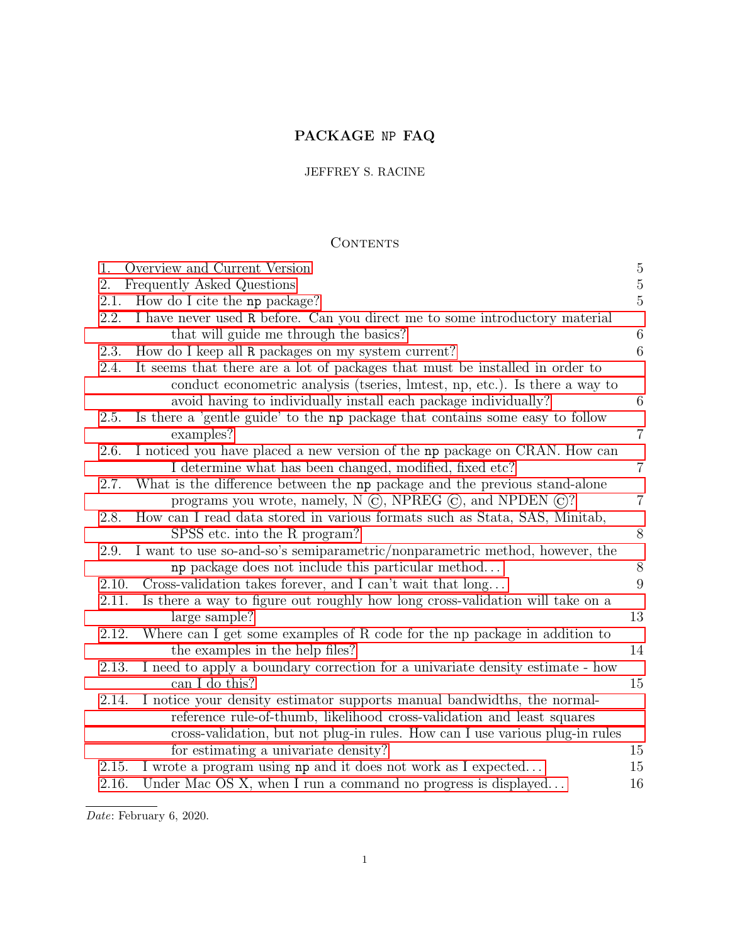# PACKAGE NP FAQ

## JEFFREY S. RACINE

## **CONTENTS**

| 1.    | Overview and Current Version                                                  | $\overline{5}$ |
|-------|-------------------------------------------------------------------------------|----------------|
| 2.    | Frequently Asked Questions                                                    | $\overline{5}$ |
| 2.1.  | How do I cite the np package?                                                 | $\overline{5}$ |
| 2.2.  | I have never used R before. Can you direct me to some introductory material   |                |
|       | that will guide me through the basics?                                        | $\,6\,$        |
| 2.3.  | How do I keep all R packages on my system current?                            | 6              |
| 2.4.  | It seems that there are a lot of packages that must be installed in order to  |                |
|       | conduct econometric analysis (tseries, lmtest, np, etc.). Is there a way to   |                |
|       | avoid having to individually install each package individually?               | 6              |
| 2.5.  | Is there a 'gentle guide' to the np package that contains some easy to follow |                |
|       | examples?                                                                     | $\overline{7}$ |
| 2.6.  | I noticed you have placed a new version of the np package on CRAN. How can    |                |
|       | I determine what has been changed, modified, fixed etc?                       | $\overline{7}$ |
| 2.7.  | What is the difference between the np package and the previous stand-alone    |                |
|       | programs you wrote, namely, N $\odot$ , NPREG $\odot$ , and NPDEN $\odot$ ?   | $\overline{7}$ |
| 2.8.  | How can I read data stored in various formats such as Stata, SAS, Minitab,    |                |
|       | SPSS etc. into the R program?                                                 | 8              |
| 2.9.  | I want to use so-and-so's semiparametric/nonparametric method, however, the   |                |
|       | np package does not include this particular method                            | 8              |
| 2.10. | Cross-validation takes forever, and I can't wait that long                    | 9              |
| 2.11. | Is there a way to figure out roughly how long cross-validation will take on a |                |
|       | large sample?                                                                 | 13             |
| 2.12. | Where can I get some examples of R code for the np package in addition to     |                |
|       | the examples in the help files?                                               | 14             |
| 2.13. | I need to apply a boundary correction for a univariate density estimate - how |                |
|       | can I do this?                                                                | 15             |
| 2.14. | I notice your density estimator supports manual bandwidths, the normal-       |                |
|       | reference rule-of-thumb, likelihood cross-validation and least squares        |                |
|       | cross-validation, but not plug-in rules. How can I use various plug-in rules  |                |
|       | for estimating a univariate density?                                          | 15             |
| 2.15. | I wrote a program using np and it does not work as I expected                 | 15             |
| 2.16. | Under Mac OS X, when I run a command no progress is displayed                 | 16             |

Date: February 6, 2020.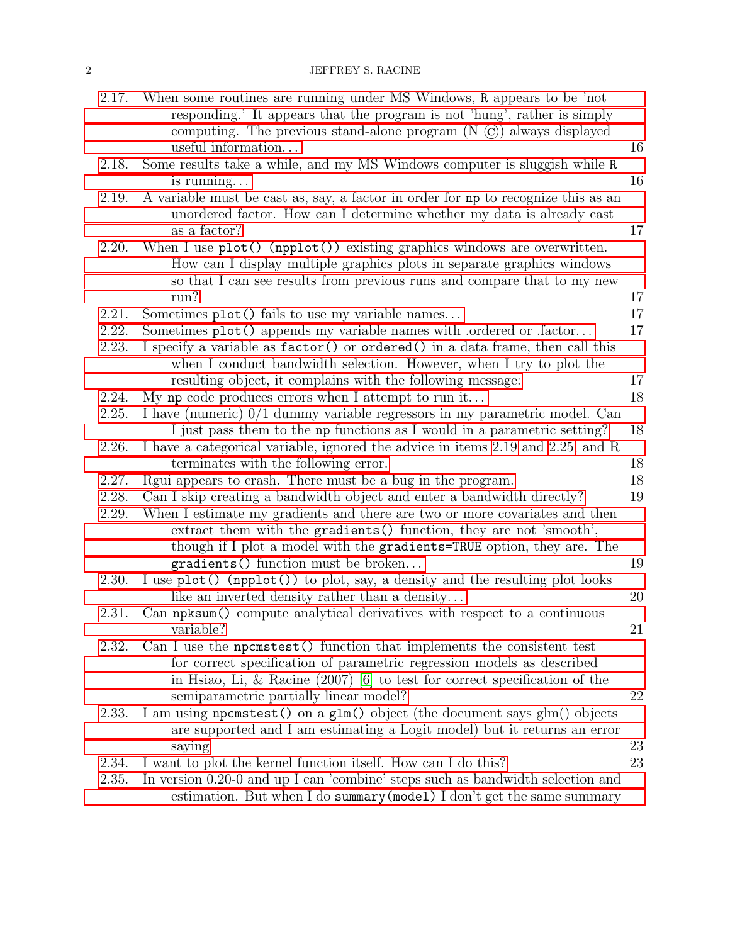### 2 JEFFREY S. RACINE

| 2.17. | When some routines are running under MS Windows, R appears to be 'not<br>responding.' It appears that the program is not 'hung', rather is simply    |    |
|-------|------------------------------------------------------------------------------------------------------------------------------------------------------|----|
|       | computing. The previous stand-alone program $(N \odot)$ always displayed                                                                             |    |
|       | useful information                                                                                                                                   | 16 |
| 2.18. | Some results take a while, and my MS Windows computer is sluggish while R<br>is running                                                              | 16 |
| 2.19. | A variable must be cast as, say, a factor in order for np to recognize this as an                                                                    |    |
|       | unordered factor. How can I determine whether my data is already cast<br>as a factor?                                                                | 17 |
| 2.20. | When I use $plot()$ (npplot()) existing graphics windows are overwritten.                                                                            |    |
|       | How can I display multiple graphics plots in separate graphics windows<br>so that I can see results from previous runs and compare that to my new    |    |
|       | run?                                                                                                                                                 | 17 |
| 2.21. | Sometimes plot() fails to use my variable names                                                                                                      | 17 |
| 2.22. | Sometimes plot() appends my variable names with .ordered or .factor                                                                                  | 17 |
| 2.23. | I specify a variable as factor() or ordered() in a data frame, then call this<br>when I conduct bandwidth selection. However, when I try to plot the |    |
|       | resulting object, it complains with the following message:                                                                                           | 17 |
| 2.24. | My np code produces errors when I attempt to run it                                                                                                  | 18 |
| 2.25. | I have (numeric) 0/1 dummy variable regressors in my parametric model. Can                                                                           |    |
|       | I just pass them to the np functions as I would in a parametric setting?                                                                             | 18 |
| 2.26. | I have a categorical variable, ignored the advice in items 2.19 and 2.25, and R                                                                      |    |
|       | terminates with the following error.                                                                                                                 | 18 |
| 2.27. | Regui appears to crash. There must be a bug in the program.                                                                                          | 18 |
| 2.28. | Can I skip creating a bandwidth object and enter a bandwidth directly?                                                                               | 19 |
| 2.29. | When I estimate my gradients and there are two or more covariates and then                                                                           |    |
|       | extract them with the gradients () function, they are not 'smooth',                                                                                  |    |
|       | though if I plot a model with the gradients=TRUE option, they are. The                                                                               |    |
|       | gradients () function must be broken                                                                                                                 | 19 |
| 2.30. | I use plot() (npplot()) to plot, say, a density and the resulting plot looks                                                                         |    |
|       | like an inverted density rather than a density                                                                                                       | 20 |
| 2.31. | Can npksum() compute analytical derivatives with respect to a continuous<br>variable?                                                                | 21 |
| 2.32. | Can I use the necessitest () function that implements the consistent test                                                                            |    |
|       | for correct specification of parametric regression models as described                                                                               |    |
|       | in Hsiao, Li, & Racine $(2007)$ [6] to test for correct specification of the                                                                         |    |
|       | semiparametric partially linear model?                                                                                                               | 22 |
| 2.33. | I am using nonemation on a glm() object (the document says glm() objects<br>are supported and I am estimating a Logit model) but it returns an error |    |
|       | saying                                                                                                                                               | 23 |
| 2.34. | I want to plot the kernel function itself. How can I do this?                                                                                        | 23 |
| 2.35. | In version 0.20-0 and up I can 'combine' steps such as bandwidth selection and                                                                       |    |
|       | estimation. But when I do summary (model) I don't get the same summary                                                                               |    |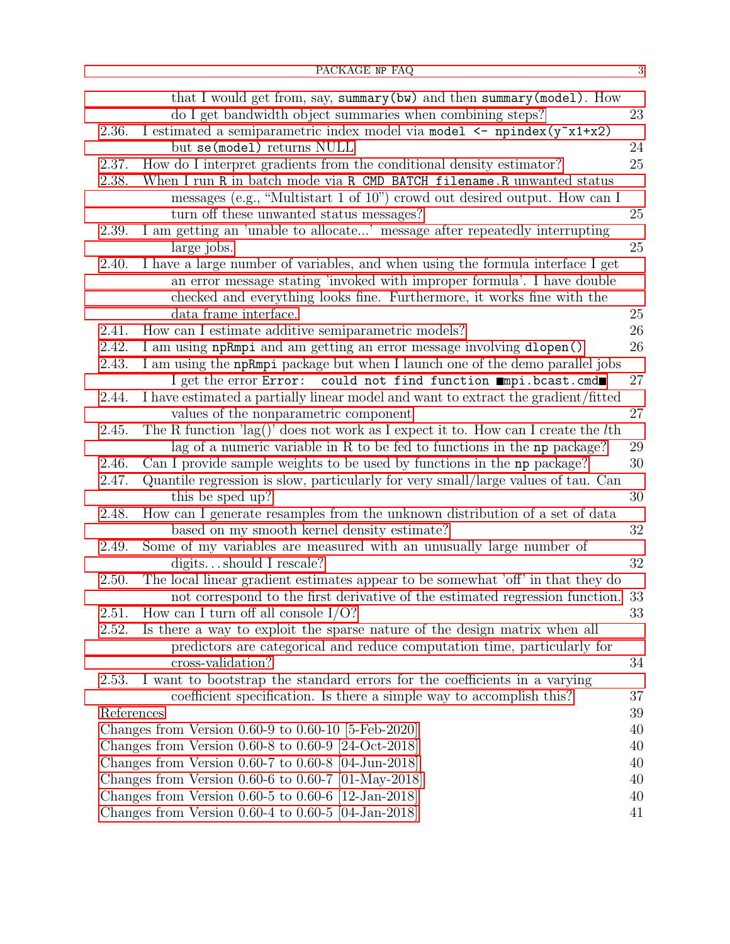|            | that I would get from, say, summary (bw) and then summary (model). How                                                                          | 23 |
|------------|-------------------------------------------------------------------------------------------------------------------------------------------------|----|
| 2.36.      | do I get bandwidth object summaries when combining steps?<br>I estimated a semiparametric index model via model <- npindex(y <sup>-x1+x2)</sup> |    |
|            | but se(model) returns NULL                                                                                                                      | 24 |
| 2.37.      | How do I interpret gradients from the conditional density estimator?                                                                            | 25 |
| 2.38.      | When I run R in batch mode via R CMD BATCH filename. R unwanted status                                                                          |    |
|            | messages (e.g., "Multistart 1 of 10") crowd out desired output. How can I                                                                       |    |
|            | turn off these unwanted status messages?                                                                                                        | 25 |
| 2.39.      | I am getting an 'unable to allocate' message after repeatedly interrupting                                                                      |    |
|            | large jobs.                                                                                                                                     | 25 |
| 2.40.      | I have a large number of variables, and when using the formula interface I get                                                                  |    |
|            | an error message stating 'invoked with improper formula'. I have double                                                                         |    |
|            |                                                                                                                                                 |    |
|            | checked and everything looks fine. Furthermore, it works fine with the<br>data frame interface.                                                 | 25 |
| 2.41.      | How can I estimate additive semiparametric models?                                                                                              | 26 |
| 2.42.      | I am using npRmpi and am getting an error message involving dlopen()                                                                            | 26 |
|            |                                                                                                                                                 |    |
| 2.43.      | I am using the npRmpi package but when I launch one of the demo parallel jobs                                                                   |    |
|            | I get the error Error: could not find function mmpi.bcast.cmd                                                                                   | 27 |
| 2.44.      | I have estimated a partially linear model and want to extract the gradient/fitted                                                               |    |
|            | values of the nonparametric component                                                                                                           | 27 |
| 2.45.      | The R function 'lag()' does not work as I expect it to. How can I create the $l$ th                                                             | 29 |
| 2.46.      | lag of a numeric variable in R to be fed to functions in the np package?                                                                        | 30 |
| 2.47.      | Can I provide sample weights to be used by functions in the np package?                                                                         |    |
|            | Quantile regression is slow, particularly for very small/large values of tau. Can<br>this be sped up?                                           | 30 |
| 2.48.      | How can I generate resamples from the unknown distribution of a set of data                                                                     |    |
|            | based on my smooth kernel density estimate?                                                                                                     | 32 |
| 2.49.      | Some of my variables are measured with an unusually large number of                                                                             |    |
|            | digitsshould I rescale?                                                                                                                         | 32 |
| 2.50.      | The local linear gradient estimates appear to be somewhat 'off' in that they do                                                                 |    |
|            | not correspond to the first derivative of the estimated regression function.                                                                    | 33 |
| 2.51.      | How can I turn off all console $I/O$ ?                                                                                                          | 33 |
| 2.52.      | Is there a way to exploit the sparse nature of the design matrix when all                                                                       |    |
|            | predictors are categorical and reduce computation time, particularly for                                                                        |    |
|            | cross-validation?                                                                                                                               | 34 |
| 2.53.      | I want to bootstrap the standard errors for the coefficients in a varying                                                                       |    |
|            | coefficient specification. Is there a simple way to accomplish this?                                                                            | 37 |
| References |                                                                                                                                                 | 39 |
|            | Changes from Version $0.60-9$ to $0.60-10$ [5-Feb-2020]                                                                                         | 40 |
|            | Changes from Version $0.60-8$ to $0.60-9$ [24-Oct-2018]                                                                                         | 40 |
|            | Changes from Version 0.60-7 to 0.60-8 $[04$ -Jun-2018                                                                                           | 40 |
|            | Changes from Version 0.60-6 to 0.60-7 $[01$ -May-2018                                                                                           | 40 |
|            | Changes from Version $0.60-5$ to $0.60-6$ [12-Jan-2018]                                                                                         | 40 |
|            | Changes from Version $0.60-4$ to $0.60-5$ [04-Jan-2018]                                                                                         | 41 |
|            |                                                                                                                                                 |    |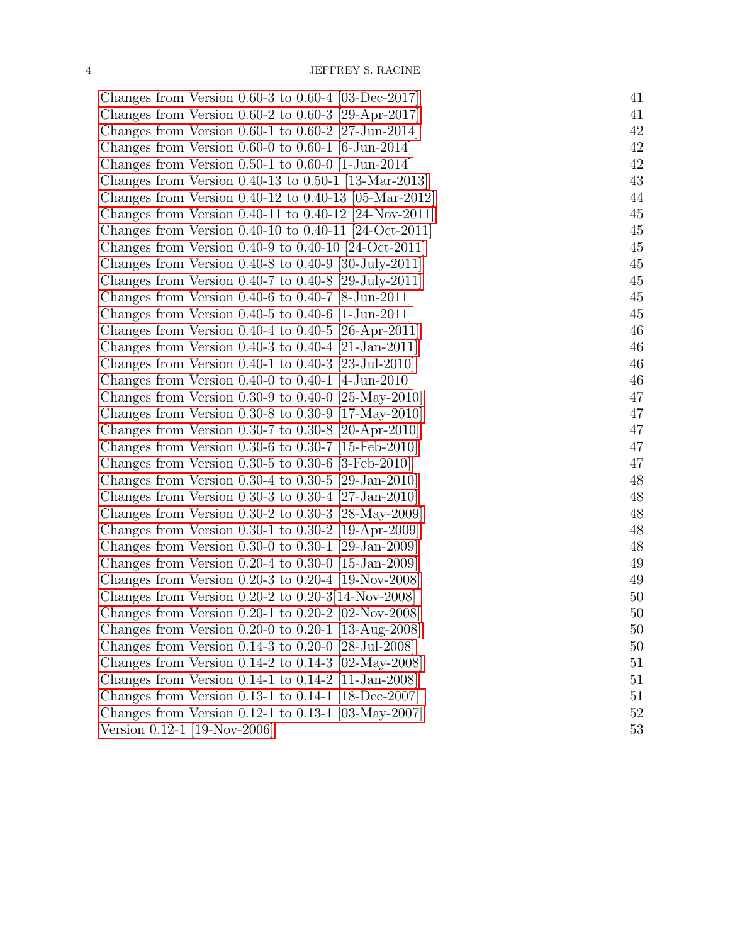| Changes from Version 0.60-3 to 0.60-4 $[03$ -Dec-2017               | 41 |
|---------------------------------------------------------------------|----|
| Changes from Version $0.60-2$ to $0.60-3$ [29-Apr-2017]             | 41 |
| Changes from Version $0.60-1$ to $0.60-2$ [27-Jun-2014]             | 42 |
| Changes from Version 0.60-0 to 0.60-1 [6-Jun-2014]                  | 42 |
| Changes from Version $0.50-1$ to $0.60-0$ [1-Jun-2014]              | 42 |
| Changes from Version $0.40-13$ to $0.50-1$ [13-Mar-2013]            | 43 |
| Changes from Version $0.40-12$ to $0.40-13$ [05-Mar-2012]           | 44 |
| Changes from Version 0.40-11 to 0.40-12 [24-Nov-2011]               | 45 |
| Changes from Version $0.40$ -10 to $0.40$ -11 [24-Oct-2011]         | 45 |
| Changes from Version $0.40-9$ to $0.40-10$ [24-Oct-2011]            | 45 |
| Changes from Version $0.40-8$ to $0.40-9$ [30-July-2011]            | 45 |
| Changes from Version 0.40-7 to 0.40-8 [29-July-2011]                | 45 |
| Changes from Version 0.40-6 to 0.40-7 $[8\text{-Jun-2011}]$         | 45 |
| Changes from Version $0.40-5$ to $0.40-6$ [1-Jun-2011]              | 45 |
| Changes from Version 0.40-4 to 0.40-5 [26-Apr-2011]                 | 46 |
| Changes from Version 0.40-3 to 0.40-4 [21-Jan-2011]                 | 46 |
| Changes from Version $0.40-1$ to $0.40-3$ [23-Jul-2010]             | 46 |
| Changes from Version $0.40-0$ to $0.40-1$ [4-Jun-2010]              | 46 |
| Changes from Version 0.30-9 to 0.40-0 [25-May-2010]                 | 47 |
| Changes from Version 0.30-8 to 0.30-9 [17-May-2010]                 | 47 |
| Changes from Version 0.30-7 to 0.30-8 [20-Apr-2010]                 | 47 |
| Changes from Version 0.30-6 to 0.30-7 [15-Feb-2010]                 | 47 |
| Changes from Version $0.30-5$ to $0.30-6$ [3-Feb-2010]              | 47 |
| Changes from Version 0.30-4 to 0.30-5 [29-Jan-2010]                 | 48 |
| Changes from Version 0.30-3 to 0.30-4 [27-Jan-2010]                 | 48 |
| Changes from Version $0.30-2$ to $0.30-3$ [28-May-2009]             | 48 |
| Changes from Version $0.30-1$ to $0.30-2$ [19-Apr-2009]             | 48 |
| Changes from Version 0.30-0 to 0.30-1 [29-Jan-2009]                 | 48 |
| Changes from Version $0.20-4$ to $0.30-0$ [15-Jan-2009]             | 49 |
| Changes from Version $0.20-3$ to $0.20-4$ [19-Nov-2008]             | 49 |
| Changes from Version $0.20-2$ to $0.20-3[14-Nov-2008]$              | 50 |
| Changes from Version 0.20-1 to 0.20-2 $[02$ -Nov-2008               | 50 |
| Changes from Version 0.20-0 to 0.20-1 [13-Aug-2008]                 | 50 |
| Changes from Version $0.14-3$ to $0.20-0$ [28-Jul-2008]             | 50 |
| Changes from Version $0.14-2$ to $0.14-3$ [02-May-2008]             | 51 |
| Changes from Version $0.14-1$ to $0.14-2$ [11-Jan-2008]             | 51 |
| Changes from Version 0.13-1 to 0.14-1 $[18\text{-}Dec\text{-}2007]$ | 51 |
| Changes from Version 0.12-1 to 0.13-1 $[03$ -May-2007]              | 52 |
| Version 0.12-1 [19-Nov-2006]                                        | 53 |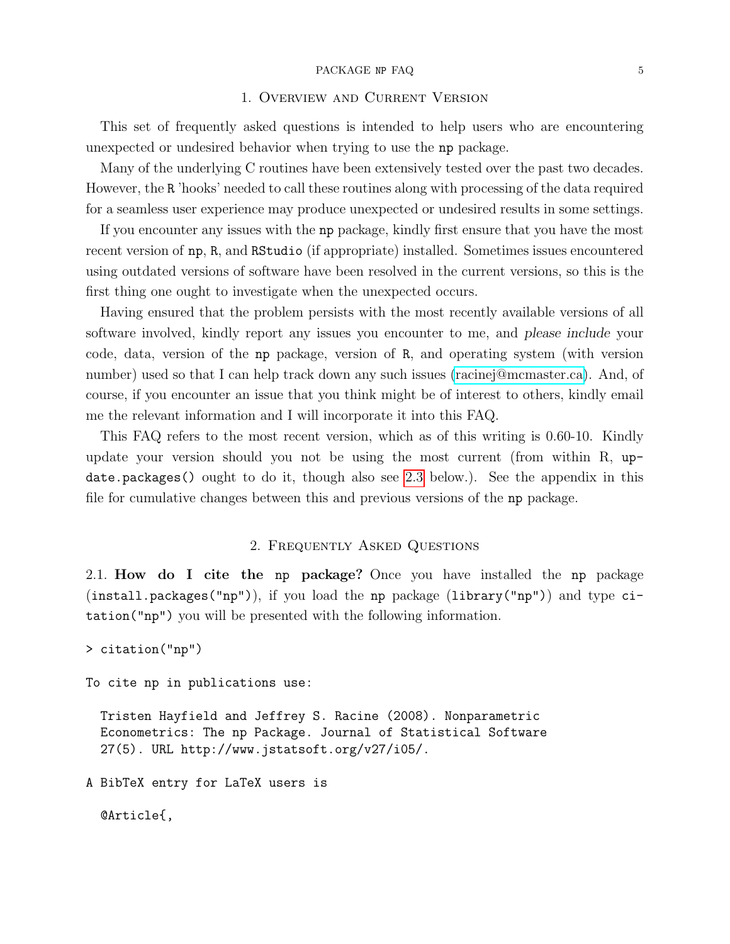#### PACKAGE NP FAQ 5

### 1. Overview and Current Version

<span id="page-4-0"></span>This set of frequently asked questions is intended to help users who are encountering unexpected or undesired behavior when trying to use the np package.

Many of the underlying C routines have been extensively tested over the past two decades. However, the R 'hooks' needed to call these routines along with processing of the data required for a seamless user experience may produce unexpected or undesired results in some settings.

If you encounter any issues with the np package, kindly first ensure that you have the most recent version of np, R, and RStudio (if appropriate) installed. Sometimes issues encountered using outdated versions of software have been resolved in the current versions, so this is the first thing one ought to investigate when the unexpected occurs.

Having ensured that the problem persists with the most recently available versions of all software involved, kindly report any issues you encounter to me, and please include your code, data, version of the np package, version of R, and operating system (with version number) used so that I can help track down any such issues [\(racinej@mcmaster.ca\)](mailto:racinej@mcmaster.ca). And, of course, if you encounter an issue that you think might be of interest to others, kindly email me the relevant information and I will incorporate it into this FAQ.

This FAQ refers to the most recent version, which as of this writing is 0.60-10. Kindly update your version should you not be using the most current (from within R, update.packages() ought to do it, though also see [2.3](#page-5-1) below.). See the appendix in this file for cumulative changes between this and previous versions of the np package.

### 2. Frequently Asked Questions

<span id="page-4-2"></span><span id="page-4-1"></span>2.1. How do I cite the np package? Once you have installed the np package (install.packages("np")), if you load the np package (library("np")) and type citation("np") you will be presented with the following information.

```
> citation("np")
```
To cite np in publications use:

Tristen Hayfield and Jeffrey S. Racine (2008). Nonparametric Econometrics: The np Package. Journal of Statistical Software 27(5). URL http://www.jstatsoft.org/v27/i05/.

A BibTeX entry for LaTeX users is

@Article{,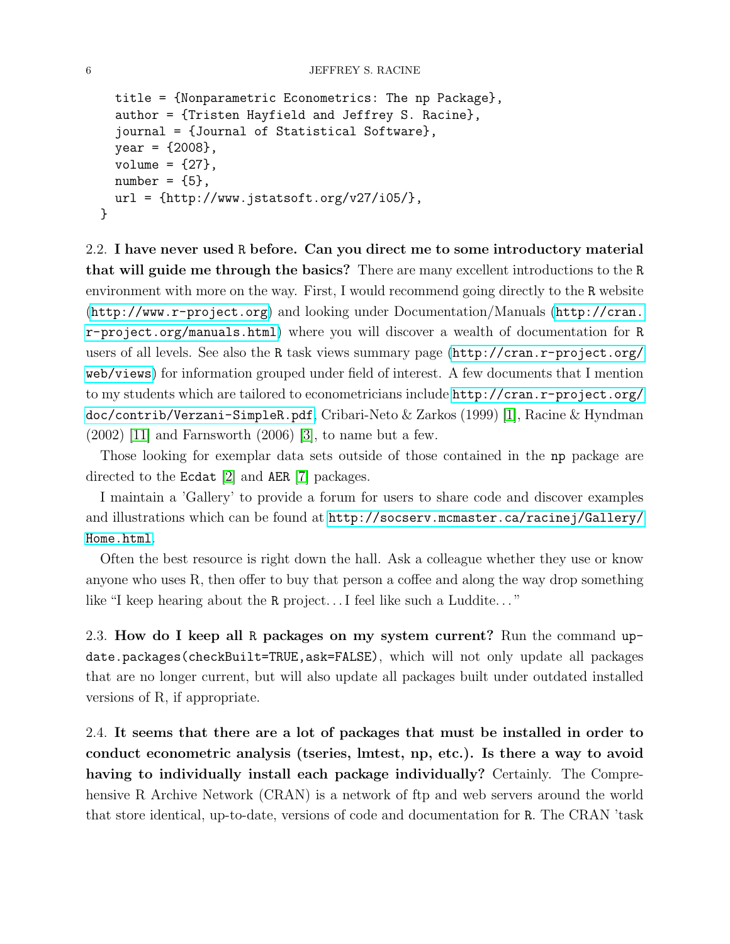```
title = {Nonparametric Econometrics: The np Package},
  author = {Tristen Hayfield and Jeffrey S. Racine},
  journal = {Journal of Statistical Software},
  year = {2008},
  volume = {27},
  number = {5},url = {http://www.jstatsoft.org/v27/i05/},}
```
<span id="page-5-0"></span>2.2. I have never used R before. Can you direct me to some introductory material that will guide me through the basics? There are many excellent introductions to the R environment with more on the way. First, I would recommend going directly to the R website (<http://www.r-project.org>) and looking under Documentation/Manuals ([http://cran.](http://cran.r-project.org/manuals.html) [r-project.org/manuals.html](http://cran.r-project.org/manuals.html)) where you will discover a wealth of documentation for R users of all levels. See also the R task views summary page ([http://cran.r-project.org/](http://cran.r-project.org/web/views) [web/views](http://cran.r-project.org/web/views)) for information grouped under field of interest. A few documents that I mention to my students which are tailored to econometricians include [http://cran.r-project.org/](http://cran.r-project.org/doc/contrib/Verzani-SimpleR.pdf) [doc/contrib/Verzani-SimpleR.pdf](http://cran.r-project.org/doc/contrib/Verzani-SimpleR.pdf), Cribari-Neto & Zarkos (1999) [\[1\]](#page-38-2), Racine & Hyndman  $(2002)$  [\[11\]](#page-38-3) and Farnsworth  $(2006)$  [\[3\]](#page-38-4), to name but a few.

Those looking for exemplar data sets outside of those contained in the np package are directed to the Ecdat [\[2\]](#page-38-5) and AER [\[7\]](#page-38-6) packages.

I maintain a 'Gallery' to provide a forum for users to share code and discover examples and illustrations which can be found at [http://socserv.mcmaster.ca/racinej/Gallery/](http://socserv.mcmaster.ca/racinej/Gallery/Home.html) [Home.html](http://socserv.mcmaster.ca/racinej/Gallery/Home.html).

Often the best resource is right down the hall. Ask a colleague whether they use or know anyone who uses R, then offer to buy that person a coffee and along the way drop something like "I keep hearing about the R project... I feel like such a Luddite..."

<span id="page-5-1"></span>2.3. How do I keep all R packages on my system current? Run the command update.packages(checkBuilt=TRUE,ask=FALSE), which will not only update all packages that are no longer current, but will also update all packages built under outdated installed versions of R, if appropriate.

<span id="page-5-2"></span>2.4. It seems that there are a lot of packages that must be installed in order to conduct econometric analysis (tseries, lmtest, np, etc.). Is there a way to avoid having to individually install each package individually? Certainly. The Comprehensive R Archive Network (CRAN) is a network of ftp and web servers around the world that store identical, up-to-date, versions of code and documentation for R. The CRAN 'task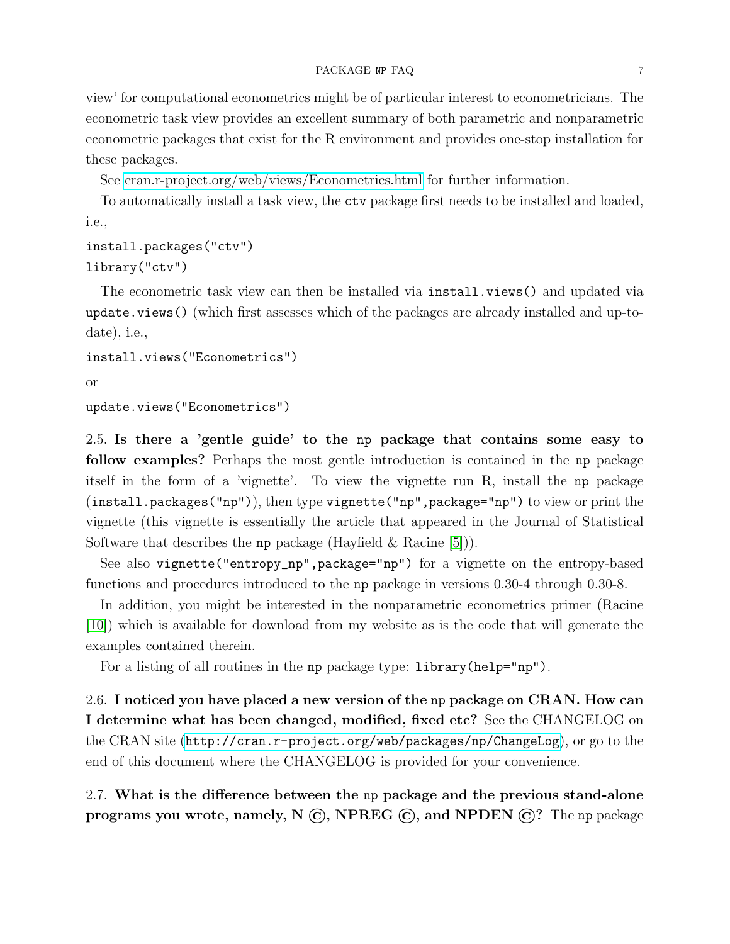view' for computational econometrics might be of particular interest to econometricians. The econometric task view provides an excellent summary of both parametric and nonparametric econometric packages that exist for the R environment and provides one-stop installation for these packages.

See [cran.r-project.org/web/views/Econometrics.html](http://cran.r-project.org/web/views/Econometrics.html) for further information.

To automatically install a task view, the ctv package first needs to be installed and loaded, i.e.,

```
install.packages("ctv")
library("ctv")
```
The econometric task view can then be installed via install.views() and updated via update.views() (which first assesses which of the packages are already installed and up-todate), i.e.,

```
install.views("Econometrics")
```

```
or
```

```
update.views("Econometrics")
```
<span id="page-6-0"></span>2.5. Is there a 'gentle guide' to the np package that contains some easy to follow examples? Perhaps the most gentle introduction is contained in the np package itself in the form of a 'vignette'. To view the vignette run R, install the np package (install.packages("np")), then type vignette("np",package="np") to view or print the vignette (this vignette is essentially the article that appeared in the Journal of Statistical Software that describes the np package (Hayfield  $\&$  Racine [\[5\]](#page-38-7))).

See also vignette("entropy\_np",package="np") for a vignette on the entropy-based functions and procedures introduced to the np package in versions 0.30-4 through 0.30-8.

In addition, you might be interested in the nonparametric econometrics primer (Racine [\[10\]](#page-38-8)) which is available for download from my website as is the code that will generate the examples contained therein.

For a listing of all routines in the np package type: library(help="np").

<span id="page-6-1"></span>2.6. I noticed you have placed a new version of the np package on CRAN. How can I determine what has been changed, modified, fixed etc? See the CHANGELOG on the CRAN site (<http://cran.r-project.org/web/packages/np/ChangeLog>), or go to the end of this document where the CHANGELOG is provided for your convenience.

<span id="page-6-2"></span>2.7. What is the difference between the np package and the previous stand-alone programs you wrote, namely,  $N \odot$ , NPREG  $\odot$ , and NPDEN  $\odot$ ? The np package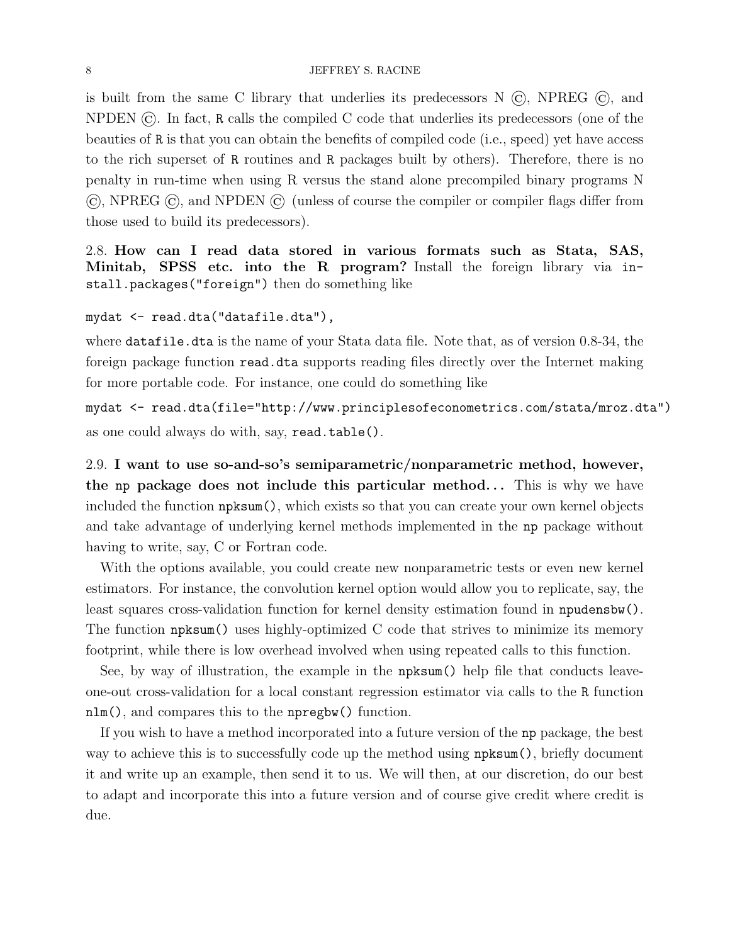is built from the same C library that underlies its predecessors  $N(G)$ , NPREG  $(G)$ , and NPDEN ©. In fact, R calls the compiled C code that underlies its predecessors (one of the beauties of R is that you can obtain the benefits of compiled code (i.e., speed) yet have access to the rich superset of R routines and R packages built by others). Therefore, there is no penalty in run-time when using R versus the stand alone precompiled binary programs N ©, NPREG ©, and NPDEN © (unless of course the compiler or compiler flags differ from those used to build its predecessors).

<span id="page-7-0"></span>2.8. How can I read data stored in various formats such as Stata, SAS, Minitab, SPSS etc. into the R program? Install the foreign library via install.packages("foreign") then do something like

mydat <- read.dta("datafile.dta"),

where datafile.dta is the name of your Stata data file. Note that, as of version 0.8-34, the foreign package function read.dta supports reading files directly over the Internet making for more portable code. For instance, one could do something like

mydat <- read.dta(file="http://www.principlesofeconometrics.com/stata/mroz.dta") as one could always do with, say, read.table().

<span id="page-7-1"></span>2.9. I want to use so-and-so's semiparametric/nonparametric method, however, the np package does not include this particular method... This is why we have included the function npksum(), which exists so that you can create your own kernel objects and take advantage of underlying kernel methods implemented in the np package without having to write, say, C or Fortran code.

With the options available, you could create new nonparametric tests or even new kernel estimators. For instance, the convolution kernel option would allow you to replicate, say, the least squares cross-validation function for kernel density estimation found in npudensbw(). The function npksum() uses highly-optimized C code that strives to minimize its memory footprint, while there is low overhead involved when using repeated calls to this function.

See, by way of illustration, the example in the npksum() help file that conducts leaveone-out cross-validation for a local constant regression estimator via calls to the R function nlm(), and compares this to the npregbw() function.

If you wish to have a method incorporated into a future version of the np package, the best way to achieve this is to successfully code up the method using npksum(), briefly document it and write up an example, then send it to us. We will then, at our discretion, do our best to adapt and incorporate this into a future version and of course give credit where credit is due.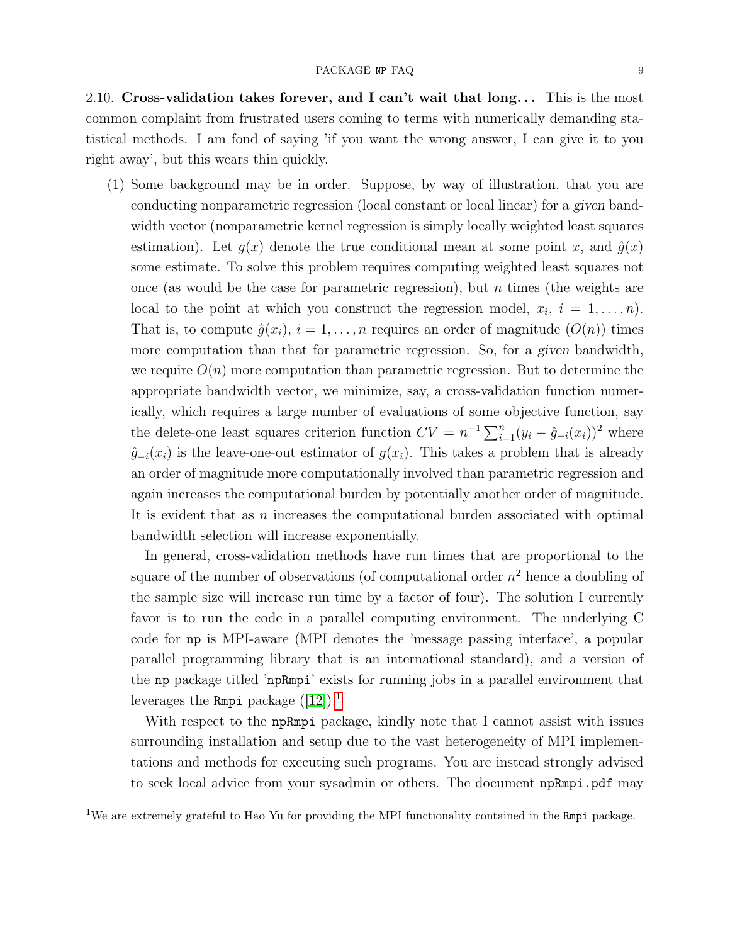<span id="page-8-0"></span>2.10. Cross-validation takes forever, and I can't wait that  $\log$ ... This is the most common complaint from frustrated users coming to terms with numerically demanding statistical methods. I am fond of saying 'if you want the wrong answer, I can give it to you right away', but this wears thin quickly.

(1) Some background may be in order. Suppose, by way of illustration, that you are conducting nonparametric regression (local constant or local linear) for a given bandwidth vector (nonparametric kernel regression is simply locally weighted least squares estimation). Let  $g(x)$  denote the true conditional mean at some point x, and  $\hat{g}(x)$ some estimate. To solve this problem requires computing weighted least squares not once (as would be the case for parametric regression), but  $n$  times (the weights are local to the point at which you construct the regression model,  $x_i$ ,  $i = 1, \ldots, n$ . That is, to compute  $\hat{g}(x_i)$ ,  $i = 1, \ldots, n$  requires an order of magnitude  $(O(n))$  times more computation than that for parametric regression. So, for a given bandwidth, we require  $O(n)$  more computation than parametric regression. But to determine the appropriate bandwidth vector, we minimize, say, a cross-validation function numerically, which requires a large number of evaluations of some objective function, say the delete-one least squares criterion function  $CV = n^{-1} \sum_{i=1}^{n} (y_i - \hat{g}_{-i}(x_i))^2$  where  $\hat{g}_{-i}(x_i)$  is the leave-one-out estimator of  $g(x_i)$ . This takes a problem that is already an order of magnitude more computationally involved than parametric regression and again increases the computational burden by potentially another order of magnitude. It is evident that as n increases the computational burden associated with optimal bandwidth selection will increase exponentially.

In general, cross-validation methods have run times that are proportional to the square of the number of observations (of computational order  $n^2$  hence a doubling of the sample size will increase run time by a factor of four). The solution I currently favor is to run the code in a parallel computing environment. The underlying C code for np is MPI-aware (MPI denotes the 'message passing interface', a popular parallel programming library that is an international standard), and a version of the np package titled 'npRmpi' exists for running jobs in a parallel environment that leverages the Rmpi package  $([12])$  $([12])$  $([12])$ .<sup>[1](#page-8-1)</sup>

With respect to the npRmpi package, kindly note that I cannot assist with issues surrounding installation and setup due to the vast heterogeneity of MPI implementations and methods for executing such programs. You are instead strongly advised to seek local advice from your sysadmin or others. The document npRmpi.pdf may

<span id="page-8-1"></span><sup>&</sup>lt;sup>1</sup>We are extremely grateful to Hao Yu for providing the MPI functionality contained in the Rmpi package.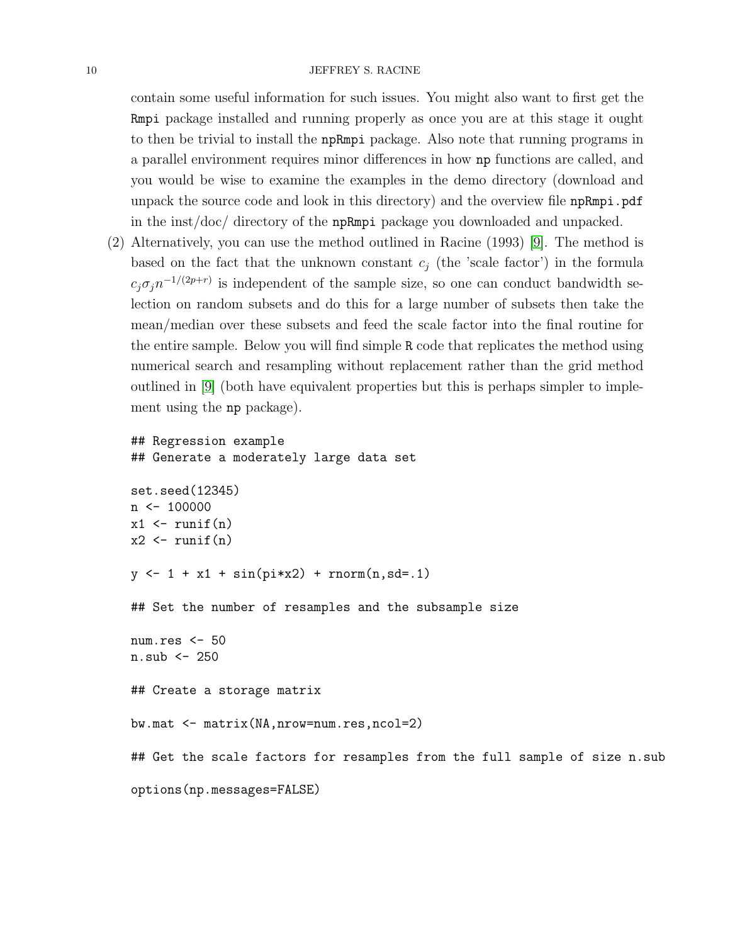#### 10 JEFFREY S. RACINE

contain some useful information for such issues. You might also want to first get the Rmpi package installed and running properly as once you are at this stage it ought to then be trivial to install the npRmpi package. Also note that running programs in a parallel environment requires minor differences in how np functions are called, and you would be wise to examine the examples in the demo directory (download and unpack the source code and look in this directory) and the overview file npRmpi.pdf in the inst/doc/ directory of the npRmpi package you downloaded and unpacked.

(2) Alternatively, you can use the method outlined in Racine (1993) [\[9\]](#page-38-10). The method is based on the fact that the unknown constant  $c_i$  (the 'scale factor') in the formula  $c_j \sigma_j n^{-1/(2p+r)}$  is independent of the sample size, so one can conduct bandwidth selection on random subsets and do this for a large number of subsets then take the mean/median over these subsets and feed the scale factor into the final routine for the entire sample. Below you will find simple R code that replicates the method using numerical search and resampling without replacement rather than the grid method outlined in [\[9\]](#page-38-10) (both have equivalent properties but this is perhaps simpler to implement using the np package).

```
## Regression example
## Generate a moderately large data set
set.seed(12345)
n \le -100000x1 \leftarrow runif(n)x2 \leftarrow runif(n)y \leftarrow 1 + x1 + \sin(pix) + \text{norm}(n, sd = .1)## Set the number of resamples and the subsample size
num.res <- 50
n.sub < -250## Create a storage matrix
bw.mat <- matrix(NA,nrow=num.res,ncol=2)
## Get the scale factors for resamples from the full sample of size n.sub
options(np.messages=FALSE)
```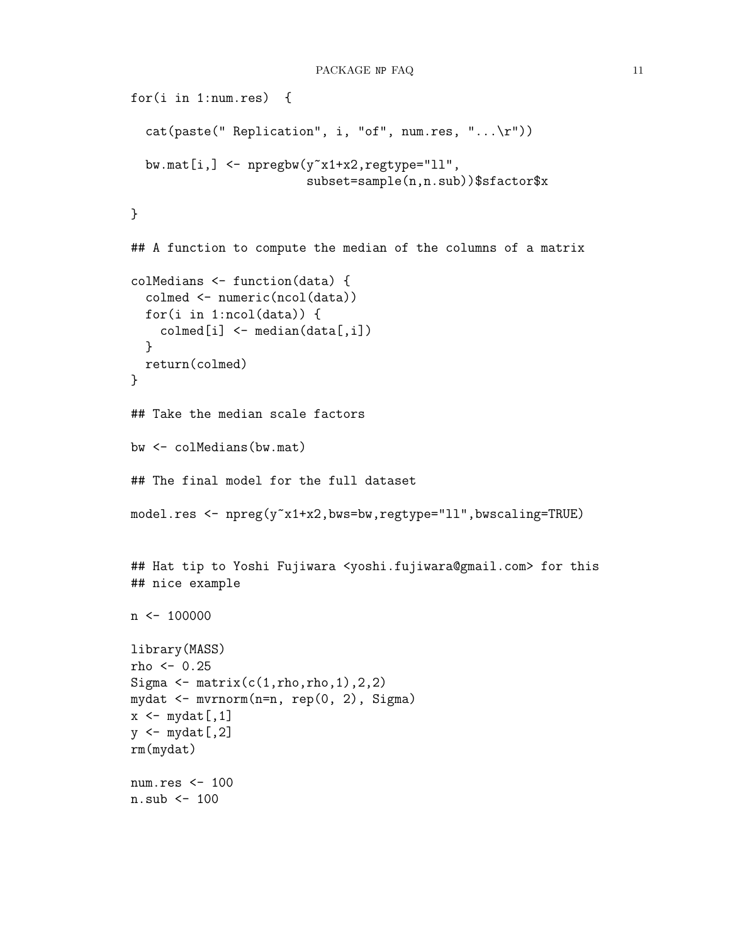```
for(i in 1:num.res) {
  cat(paste("Replication", i, "of", num.res, "...\r"))bw.mat[i, ] \leftarrow npregbw(y^x x1+x2, \text{regtype="11",})subset=sample(n,n.sub))$sfactor$x
}
## A function to compute the median of the columns of a matrix
colMedians <- function(data) {
  colmed <- numeric(ncol(data))
  for(i in 1:ncol(data)) {
    \text{colmed}[i] \leq - \text{median}(\text{data}[,i])}
  return(colmed)
}
## Take the median scale factors
bw <- colMedians(bw.mat)
## The final model for the full dataset
model.res <- npreg(y<sup>-x1+x2</sup>,bws=bw,regtype="ll",bwscaling=TRUE)
## Hat tip to Yoshi Fujiwara <yoshi.fujiwara@gmail.com> for this
## nice example
n \le -100000library(MASS)
rho <- 0.25
Sigma \leftarrow matrix(c(1,rho,rho,1),2,2)
mydat <- mvrnorm(n=n, rep(0, 2), Sigma)
x \leftarrow \text{mydat}[, 1]y \leftarrow \text{mydat}[, 2]rm(mydat)
num.res <- 100
n.sub <- 100
```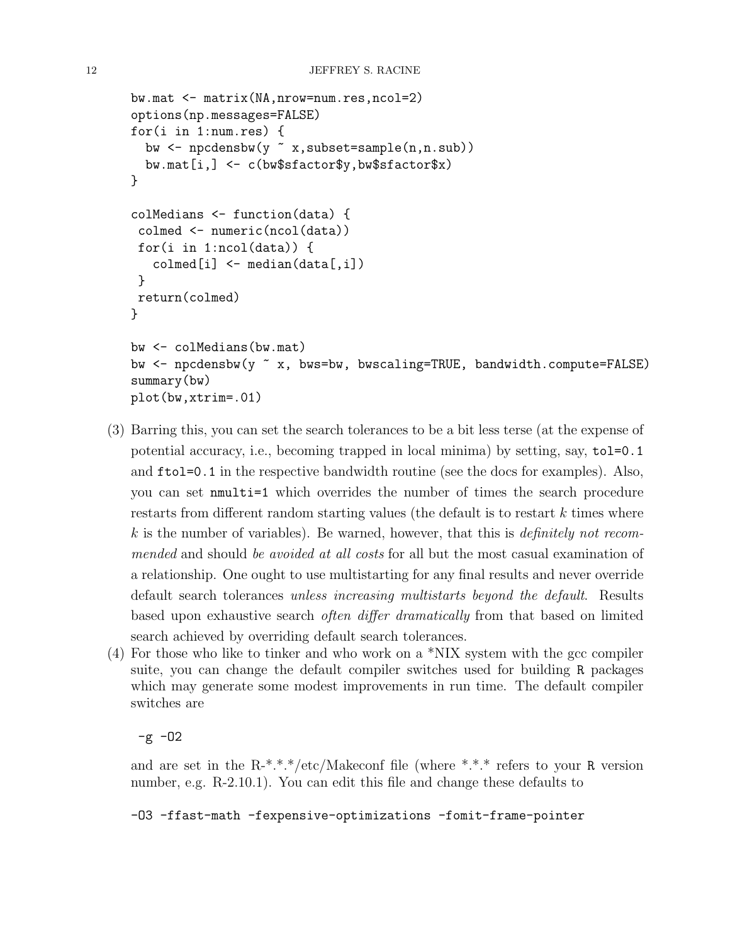```
bw.mat <- matrix(NA,nrow=num.res,ncol=2)
options(np.messages=FALSE)
for(i in 1:num.res) {
  bw \leq npcdensbw(y x, subset=sample(n,n.sub))
  bw.mat[i,] <- c(bw$sfactor$y,bw$sfactor$x)
}
colMedians <- function(data) {
 colmed <- numeric(ncol(data))
 for(i in 1:ncol(data)) {
   \text{colmed}[i] \leq \text{median}(data[, i])}
 return(colmed)
}
bw <- colMedians(bw.mat)
bw <- npcdensbw(y ~ x, bws=bw, bwscaling=TRUE, bandwidth.compute=FALSE)
summary(bw)
plot(bw,xtrim=.01)
```
- (3) Barring this, you can set the search tolerances to be a bit less terse (at the expense of potential accuracy, i.e., becoming trapped in local minima) by setting, say, tol=0.1 and ftol=0.1 in the respective bandwidth routine (see the docs for examples). Also, you can set nmulti=1 which overrides the number of times the search procedure restarts from different random starting values (the default is to restart k times where  $k$  is the number of variables). Be warned, however, that this is *definitely not recom*mended and should be avoided at all costs for all but the most casual examination of a relationship. One ought to use multistarting for any final results and never override default search tolerances unless increasing multistarts beyond the default. Results based upon exhaustive search often differ dramatically from that based on limited search achieved by overriding default search tolerances.
- (4) For those who like to tinker and who work on a \*NIX system with the gcc compiler suite, you can change the default compiler switches used for building R packages which may generate some modest improvements in run time. The default compiler switches are

 $-g - 02$ 

and are set in the  $R-*.*.*/etc/Makeconf$  file (where \*.\*.\* refers to your R version number, e.g. R-2.10.1). You can edit this file and change these defaults to

-O3 -ffast-math -fexpensive-optimizations -fomit-frame-pointer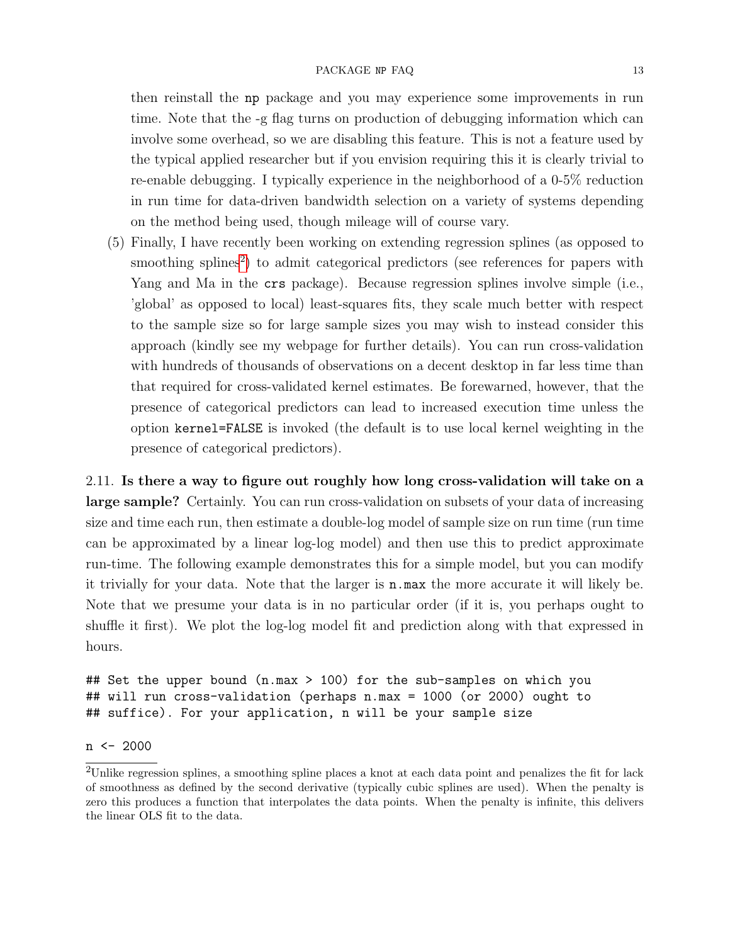#### PACKAGE NP FAQ 13

then reinstall the np package and you may experience some improvements in run time. Note that the -g flag turns on production of debugging information which can involve some overhead, so we are disabling this feature. This is not a feature used by the typical applied researcher but if you envision requiring this it is clearly trivial to re-enable debugging. I typically experience in the neighborhood of a 0-5% reduction in run time for data-driven bandwidth selection on a variety of systems depending on the method being used, though mileage will of course vary.

(5) Finally, I have recently been working on extending regression splines (as opposed to smoothing splines<sup>[2](#page-12-1)</sup>) to admit categorical predictors (see references for papers with Yang and Ma in the crs package). Because regression splines involve simple (i.e., 'global' as opposed to local) least-squares fits, they scale much better with respect to the sample size so for large sample sizes you may wish to instead consider this approach (kindly see my webpage for further details). You can run cross-validation with hundreds of thousands of observations on a decent desktop in far less time than that required for cross-validated kernel estimates. Be forewarned, however, that the presence of categorical predictors can lead to increased execution time unless the option kernel=FALSE is invoked (the default is to use local kernel weighting in the presence of categorical predictors).

<span id="page-12-0"></span>2.11. Is there a way to figure out roughly how long cross-validation will take on a large sample? Certainly. You can run cross-validation on subsets of your data of increasing size and time each run, then estimate a double-log model of sample size on run time (run time can be approximated by a linear log-log model) and then use this to predict approximate run-time. The following example demonstrates this for a simple model, but you can modify it trivially for your data. Note that the larger is n.max the more accurate it will likely be. Note that we presume your data is in no particular order (if it is, you perhaps ought to shuffle it first). We plot the log-log model fit and prediction along with that expressed in hours.

## Set the upper bound (n.max > 100) for the sub-samples on which you ## will run cross-validation (perhaps n.max = 1000 (or 2000) ought to ## suffice). For your application, n will be your sample size

## n <- 2000

<span id="page-12-1"></span><sup>2</sup>Unlike regression splines, a smoothing spline places a knot at each data point and penalizes the fit for lack of smoothness as defined by the second derivative (typically cubic splines are used). When the penalty is zero this produces a function that interpolates the data points. When the penalty is infinite, this delivers the linear OLS fit to the data.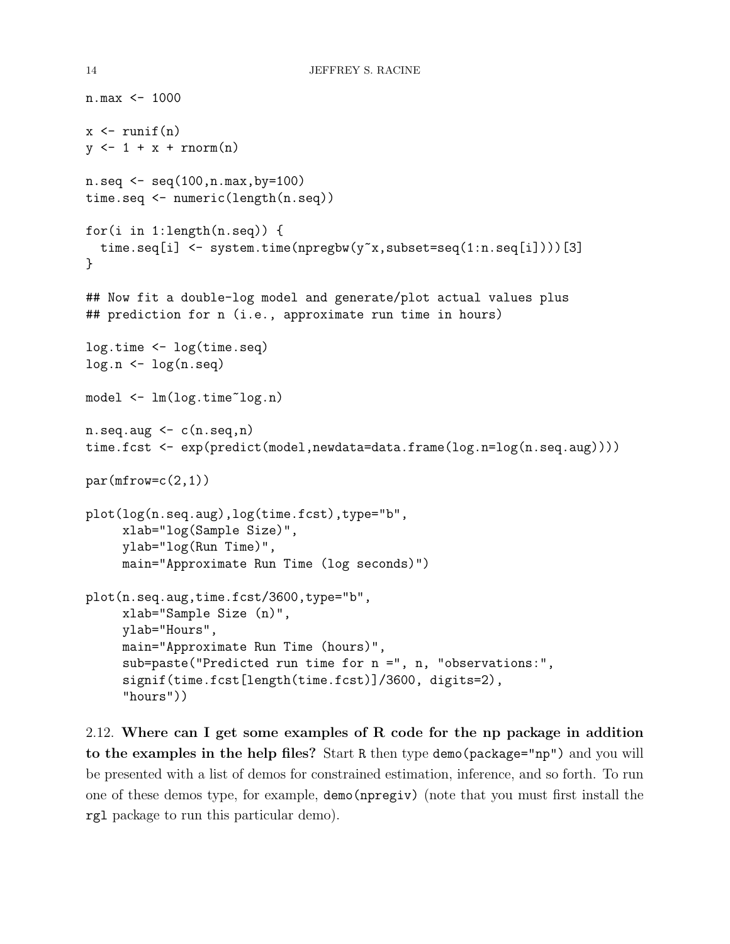```
n.max <- 1000
x \leftarrow \text{runif}(n)y \leftarrow 1 + x + \text{norm}(n)n.\text{seq} \leftarrow \text{seq}(100, n.\text{max}, \text{by=100})time.seq <- numeric(length(n.seq))
for(i in 1:length(n.seq)) {
  time.seq[i] \leq system.time(npregbw(y<sup>\propto</sup>x, subset=seq(1:n.seq[i])))[3]
}
## Now fit a double-log model and generate/plot actual values plus
## prediction for n (i.e., approximate run time in hours)
log.time <- log(time.seq)
log.n \leftarrow log(n.\text{seq})model <- lm(log.time~log.n)
n.\text{seq.}aug \leq c(n.\text{seq.}n)time.fcst <- exp(predict(model,newdata=data.frame(log.n=log(n.seq.aug))))
par(mfrow=c(2,1))plot(log(n.seq.aug),log(time.fcst),type="b",
     xlab="log(Sample Size)",
     ylab="log(Run Time)",
     main="Approximate Run Time (log seconds)")
plot(n.seq.aug,time.fcst/3600,type="b",
     xlab="Sample Size (n)",
     ylab="Hours",
     main="Approximate Run Time (hours)",
     sub=paste("Predicted run time for n =", n, "observations:",
     signif(time.fcst[length(time.fcst)]/3600, digits=2),
     "hours"))
```
<span id="page-13-0"></span>2.12. Where can I get some examples of R code for the np package in addition to the examples in the help files? Start R then type demo(package="np") and you will be presented with a list of demos for constrained estimation, inference, and so forth. To run one of these demos type, for example, demo(npregiv) (note that you must first install the rgl package to run this particular demo).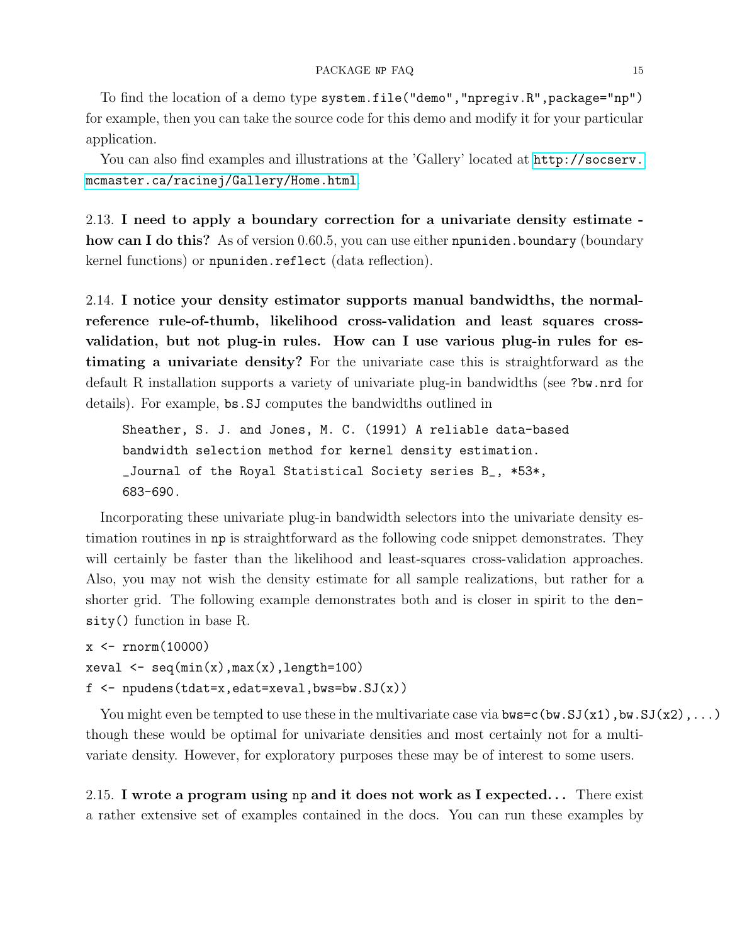To find the location of a demo type system.file("demo","npregiv.R",package="np") for example, then you can take the source code for this demo and modify it for your particular application.

You can also find examples and illustrations at the 'Gallery' located at [http://socserv.](http://socserv.mcmaster.ca/racinej/Gallery/Home.html) [mcmaster.ca/racinej/Gallery/Home.html](http://socserv.mcmaster.ca/racinej/Gallery/Home.html).

<span id="page-14-0"></span>2.13. I need to apply a boundary correction for a univariate density estimate how can I do this? As of version 0.60.5, you can use either npuniden. boundary (boundary kernel functions) or npuniden.reflect (data reflection).

<span id="page-14-1"></span>2.14. I notice your density estimator supports manual bandwidths, the normalreference rule-of-thumb, likelihood cross-validation and least squares crossvalidation, but not plug-in rules. How can I use various plug-in rules for estimating a univariate density? For the univariate case this is straightforward as the default R installation supports a variety of univariate plug-in bandwidths (see ?bw.nrd for details). For example, bs.SJ computes the bandwidths outlined in

```
Sheather, S. J. and Jones, M. C. (1991) A reliable data-based
bandwidth selection method for kernel density estimation.
_Journal of the Royal Statistical Society series B_, *53*,
683-690.
```
Incorporating these univariate plug-in bandwidth selectors into the univariate density estimation routines in np is straightforward as the following code snippet demonstrates. They will certainly be faster than the likelihood and least-squares cross-validation approaches. Also, you may not wish the density estimate for all sample realizations, but rather for a shorter grid. The following example demonstrates both and is closer in spirit to the density() function in base R.

```
x \leftarrow \text{rnorm}(10000)xeval \leftarrow seq(min(x),max(x),length=100)f \leftarrow npudens(tdat=x,edat=xeval,bws=bw.SJ(x))
```
You might even be tempted to use these in the multivariate case via  $bus = c(bw.SJ(x1),bw.SJ(x2),...)$ though these would be optimal for univariate densities and most certainly not for a multivariate density. However, for exploratory purposes these may be of interest to some users.

<span id="page-14-2"></span>2.15. I wrote a program using np and it does not work as I expected. . . There exist a rather extensive set of examples contained in the docs. You can run these examples by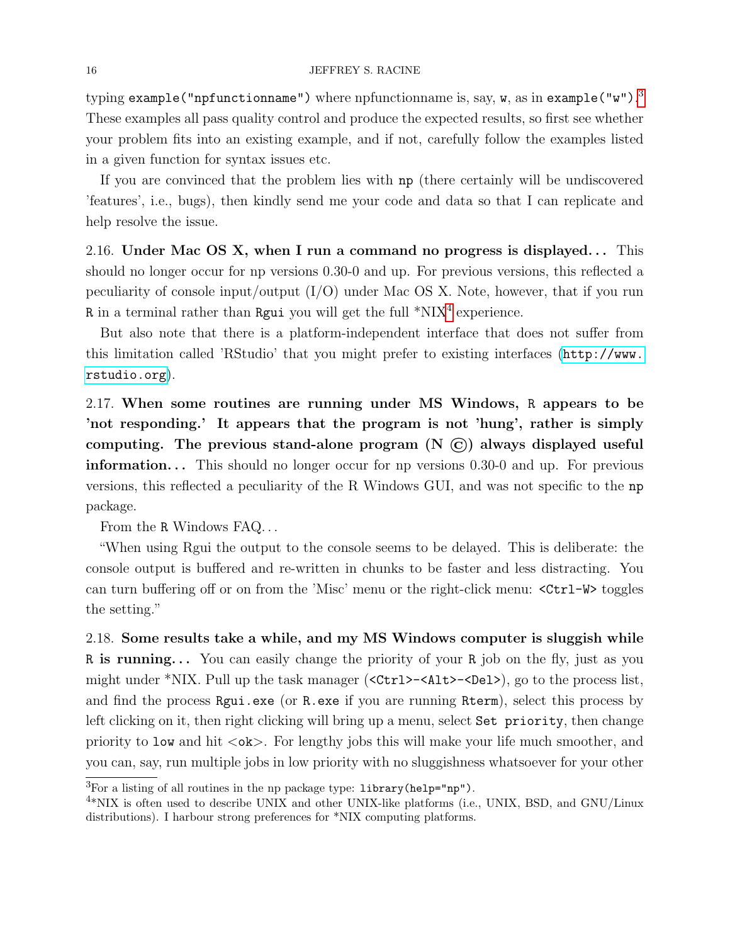typing  $\verb|example("infunctionname")$  where npfunctionname is, say, **w**, as in  $\verb|example("w")$ .  $^3$  $^3$ These examples all pass quality control and produce the expected results, so first see whether your problem fits into an existing example, and if not, carefully follow the examples listed in a given function for syntax issues etc.

If you are convinced that the problem lies with np (there certainly will be undiscovered 'features', i.e., bugs), then kindly send me your code and data so that I can replicate and help resolve the issue.

<span id="page-15-0"></span>2.16. Under Mac OS X, when I run a command no progress is displayed... This should no longer occur for np versions 0.30-0 and up. For previous versions, this reflected a peculiarity of console input/output  $(I/O)$  under Mac OS X. Note, however, that if you run R in a terminal rather than Rgui you will get the full  $*NIX<sup>4</sup>$  $*NIX<sup>4</sup>$  $*NIX<sup>4</sup>$  experience.

But also note that there is a platform-independent interface that does not suffer from this limitation called 'RStudio' that you might prefer to existing interfaces ([http://www.](http://www.rstudio.org) [rstudio.org](http://www.rstudio.org)).

<span id="page-15-1"></span>2.17. When some routines are running under MS Windows, R appears to be 'not responding.' It appears that the program is not 'hung', rather is simply computing. The previous stand-alone program  $(N \n\odot)$  always displayed useful **information...** This should no longer occur for np versions  $0.30-0$  and up. For previous versions, this reflected a peculiarity of the R Windows GUI, and was not specific to the np package.

From the R Windows FAQ. . .

"When using Rgui the output to the console seems to be delayed. This is deliberate: the console output is buffered and re-written in chunks to be faster and less distracting. You can turn buffering off or on from the 'Misc' menu or the right-click menu: <Ctrl-W> toggles the setting."

<span id="page-15-2"></span>2.18. Some results take a while, and my MS Windows computer is sluggish while R is running... You can easily change the priority of your R job on the fly, just as you might under \*NIX. Pull up the task manager (<Ctrl>-<Alt>-<Del>), go to the process list, and find the process Rgui.exe (or R.exe if you are running Rterm), select this process by left clicking on it, then right clicking will bring up a menu, select Set priority, then change priority to low and hit  $\langle \circ \mathbf{k} \rangle$ . For lengthy jobs this will make your life much smoother, and you can, say, run multiple jobs in low priority with no sluggishness whatsoever for your other

<span id="page-15-3"></span> ${}^{3}$ For a listing of all routines in the np package type: library(help="np").

<span id="page-15-4"></span><sup>&</sup>lt;sup>4\*</sup>NIX is often used to describe UNIX and other UNIX-like platforms (i.e., UNIX, BSD, and GNU/Linux distributions). I harbour strong preferences for \*NIX computing platforms.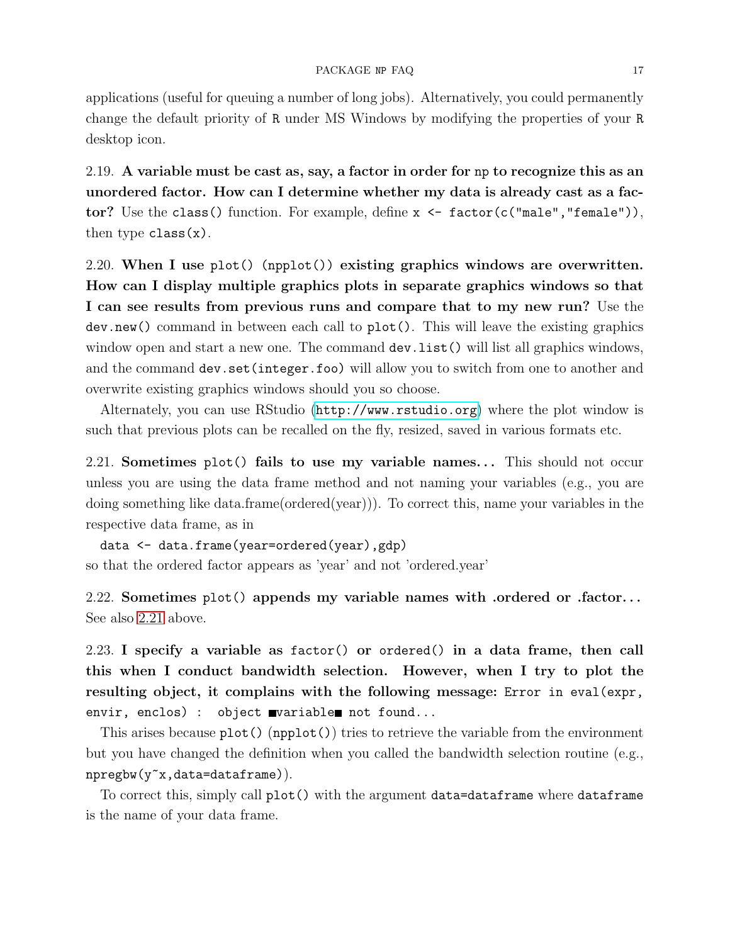applications (useful for queuing a number of long jobs). Alternatively, you could permanently change the default priority of R under MS Windows by modifying the properties of your R desktop icon.

<span id="page-16-0"></span>2.19. A variable must be cast as, say, a factor in order for np to recognize this as an unordered factor. How can I determine whether my data is already cast as a factor? Use the class() function. For example, define x <- factor(c("male","female")), then type  $class(x)$ .

<span id="page-16-1"></span>2.20. When I use  $plot()$  (npplot()) existing graphics windows are overwritten. How can I display multiple graphics plots in separate graphics windows so that I can see results from previous runs and compare that to my new run? Use the dev.new() command in between each call to plot(). This will leave the existing graphics window open and start a new one. The command dev. list() will list all graphics windows, and the command dev.set(integer.foo) will allow you to switch from one to another and overwrite existing graphics windows should you so choose.

Alternately, you can use RStudio (<http://www.rstudio.org>) where the plot window is such that previous plots can be recalled on the fly, resized, saved in various formats etc.

<span id="page-16-2"></span>2.21. Sometimes plot() fails to use my variable names... This should not occur unless you are using the data frame method and not naming your variables (e.g., you are doing something like data.frame(ordered(year))). To correct this, name your variables in the respective data frame, as in

data <- data.frame(year=ordered(year),gdp) so that the ordered factor appears as 'year' and not 'ordered.year'

<span id="page-16-3"></span>2.22. Sometimes plot() appends my variable names with .ordered or .factor. . . See also [2.21](#page-16-2) above.

<span id="page-16-4"></span>2.23. I specify a variable as factor() or ordered() in a data frame, then call this when I conduct bandwidth selection. However, when I try to plot the resulting object, it complains with the following message: Error in eval(expr, envir, enclos) : object variable not found...

This arises because plot() (npplot()) tries to retrieve the variable from the environment but you have changed the definition when you called the bandwidth selection routine (e.g., npregbw(y~x,data=dataframe)).

To correct this, simply call plot() with the argument data=dataframe where dataframe is the name of your data frame.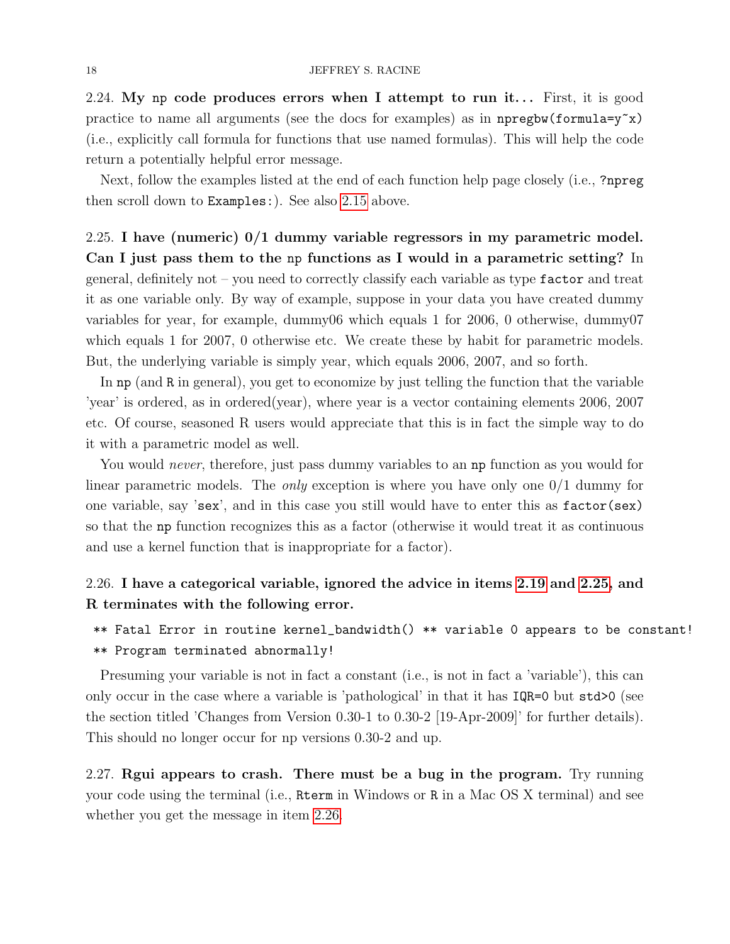<span id="page-17-0"></span>2.24. My np code produces errors when I attempt to run it... First, it is good practice to name all arguments (see the docs for examples) as in npregbw(formula= $y^x$ x) (i.e., explicitly call formula for functions that use named formulas). This will help the code return a potentially helpful error message.

Next, follow the examples listed at the end of each function help page closely (i.e., ?npreg then scroll down to Examples:). See also [2.15](#page-14-2) above.

<span id="page-17-1"></span>2.25. I have (numeric) 0/1 dummy variable regressors in my parametric model. Can I just pass them to the np functions as I would in a parametric setting? In general, definitely not – you need to correctly classify each variable as type factor and treat it as one variable only. By way of example, suppose in your data you have created dummy variables for year, for example, dummy06 which equals 1 for 2006, 0 otherwise, dummy07 which equals 1 for 2007, 0 otherwise etc. We create these by habit for parametric models. But, the underlying variable is simply year, which equals 2006, 2007, and so forth.

In np (and R in general), you get to economize by just telling the function that the variable 'year' is ordered, as in ordered(year), where year is a vector containing elements 2006, 2007 etc. Of course, seasoned R users would appreciate that this is in fact the simple way to do it with a parametric model as well.

You would *never*, therefore, just pass dummy variables to an **np** function as you would for linear parametric models. The *only* exception is where you have only one  $0/1$  dummy for one variable, say 'sex', and in this case you still would have to enter this as factor(sex) so that the np function recognizes this as a factor (otherwise it would treat it as continuous and use a kernel function that is inappropriate for a factor).

## <span id="page-17-2"></span>2.26. I have a categorical variable, ignored the advice in items [2.19](#page-16-0) and [2.25,](#page-17-1) and R terminates with the following error.

\*\* Fatal Error in routine kernel\_bandwidth() \*\* variable 0 appears to be constant! \*\* Program terminated abnormally!

Presuming your variable is not in fact a constant (i.e., is not in fact a 'variable'), this can only occur in the case where a variable is 'pathological' in that it has IQR=0 but std>0 (see the section titled 'Changes from Version 0.30-1 to 0.30-2 [19-Apr-2009]' for further details). This should no longer occur for np versions 0.30-2 and up.

<span id="page-17-3"></span>2.27. Rgui appears to crash. There must be a bug in the program. Try running your code using the terminal (i.e., Rterm in Windows or R in a Mac OS X terminal) and see whether you get the message in item [2.26.](#page-17-2)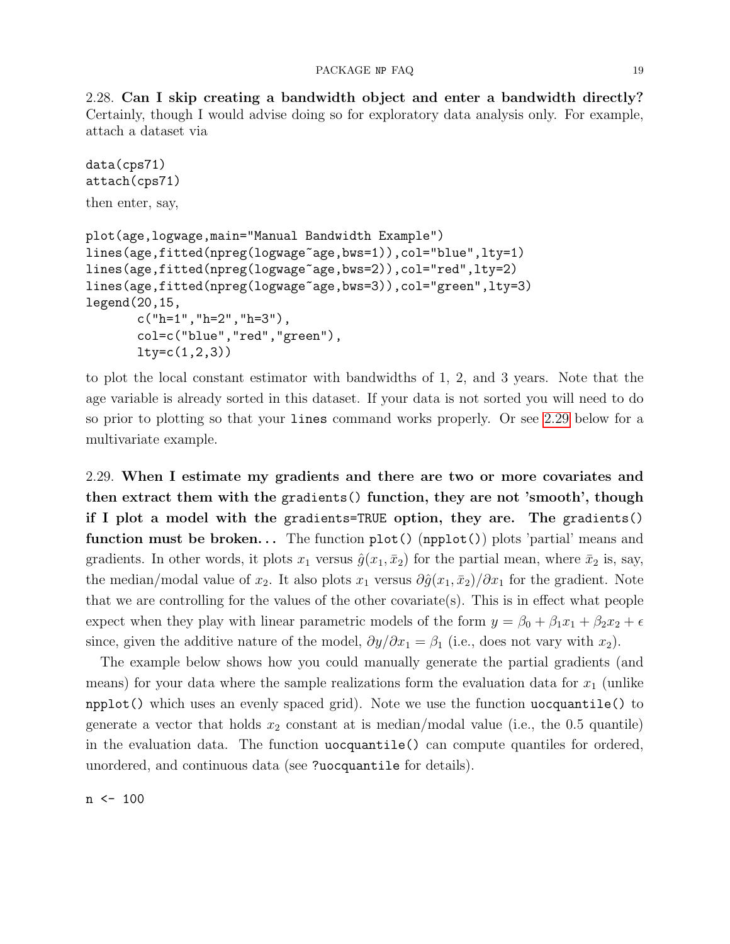<span id="page-18-0"></span>2.28. Can I skip creating a bandwidth object and enter a bandwidth directly? Certainly, though I would advise doing so for exploratory data analysis only. For example, attach a dataset via

```
data(cps71)
attach(cps71)
then enter, say,
plot(age,logwage,main="Manual Bandwidth Example")
lines(age,fitted(npreg(logwage~age,bws=1)),col="blue",lty=1)
lines(age,fitted(npreg(logwage~age,bws=2)),col="red",lty=2)
lines(age,fitted(npreg(logwage~age,bws=3)),col="green",lty=3)
legend(20,15,
       c("h=1","h=2","h=3"),
       col=c("blue","red","green"),
       lty=c(1,2,3)
```
to plot the local constant estimator with bandwidths of 1, 2, and 3 years. Note that the age variable is already sorted in this dataset. If your data is not sorted you will need to do so prior to plotting so that your lines command works properly. Or see [2.29](#page-18-1) below for a multivariate example.

<span id="page-18-1"></span>2.29. When I estimate my gradients and there are two or more covariates and then extract them with the gradients() function, they are not 'smooth', though if I plot a model with the gradients=TRUE option, they are. The gradients() function must be broken... The function  $plot()$  (npplot()) plots 'partial' means and gradients. In other words, it plots  $x_1$  versus  $\hat{g}(x_1, \bar{x}_2)$  for the partial mean, where  $\bar{x}_2$  is, say, the median/modal value of  $x_2$ . It also plots  $x_1$  versus  $\partial \hat{g}(x_1, \bar{x}_2)/\partial x_1$  for the gradient. Note that we are controlling for the values of the other covariate(s). This is in effect what people expect when they play with linear parametric models of the form  $y = \beta_0 + \beta_1 x_1 + \beta_2 x_2 + \epsilon$ since, given the additive nature of the model,  $\partial y/\partial x_1 = \beta_1$  (i.e., does not vary with  $x_2$ ).

The example below shows how you could manually generate the partial gradients (and means) for your data where the sample realizations form the evaluation data for  $x_1$  (unlike npplot() which uses an evenly spaced grid). Note we use the function uocquantile() to generate a vector that holds  $x_2$  constant at is median/modal value (i.e., the 0.5 quantile) in the evaluation data. The function uocquantile() can compute quantiles for ordered, unordered, and continuous data (see ?uocquantile for details).

n <- 100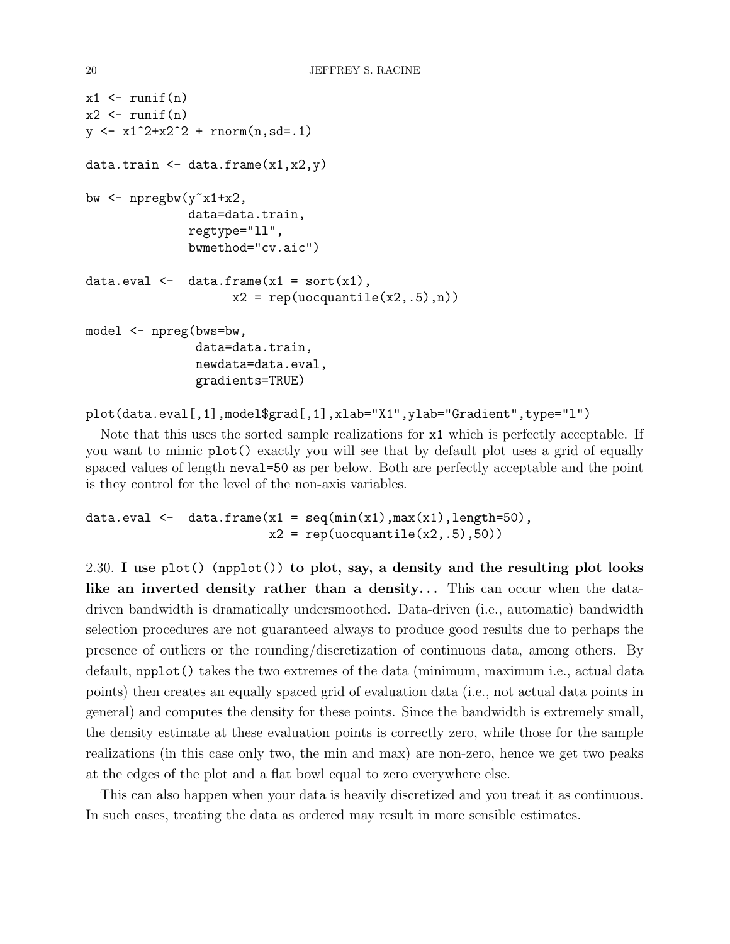```
x1 \leftarrow runif(n)x2 \leftarrow runif(n)y \leftarrow x1^2+x2^2 + \text{rnorm}(n, sd=.1)data.train \leq data.frame(x1, x2, y)bw \leq npregbw(y^{\sim}x1+x2),
                data=data.train,
                regtype="ll",
                bwmethod="cv.aic")
data.eval \leq data.frame(x1 = sort(x1),
                       x2 = rep(uocquantile(x2, .5), n))model <- npreg(bws=bw,
                 data=data.train,
                 newdata=data.eval,
                 gradients=TRUE)
```

```
plot(data.eval[,1],model$grad[,1],xlab="X1",ylab="Gradient",type="l")
```
Note that this uses the sorted sample realizations for x1 which is perfectly acceptable. If you want to mimic plot() exactly you will see that by default plot uses a grid of equally spaced values of length neval=50 as per below. Both are perfectly acceptable and the point is they control for the level of the non-axis variables.

```
data.eval \leq data.frame(x1 = seq(min(x1), max(x1), length=50),
                          x2 = rep(uocquantile(x2, .5), 50))
```
<span id="page-19-0"></span>2.30. I use plot() (npplot()) to plot, say, a density and the resulting plot looks like an inverted density rather than a density... This can occur when the datadriven bandwidth is dramatically undersmoothed. Data-driven (i.e., automatic) bandwidth selection procedures are not guaranteed always to produce good results due to perhaps the presence of outliers or the rounding/discretization of continuous data, among others. By default, npplot() takes the two extremes of the data (minimum, maximum i.e., actual data points) then creates an equally spaced grid of evaluation data (i.e., not actual data points in general) and computes the density for these points. Since the bandwidth is extremely small, the density estimate at these evaluation points is correctly zero, while those for the sample realizations (in this case only two, the min and max) are non-zero, hence we get two peaks at the edges of the plot and a flat bowl equal to zero everywhere else.

This can also happen when your data is heavily discretized and you treat it as continuous. In such cases, treating the data as ordered may result in more sensible estimates.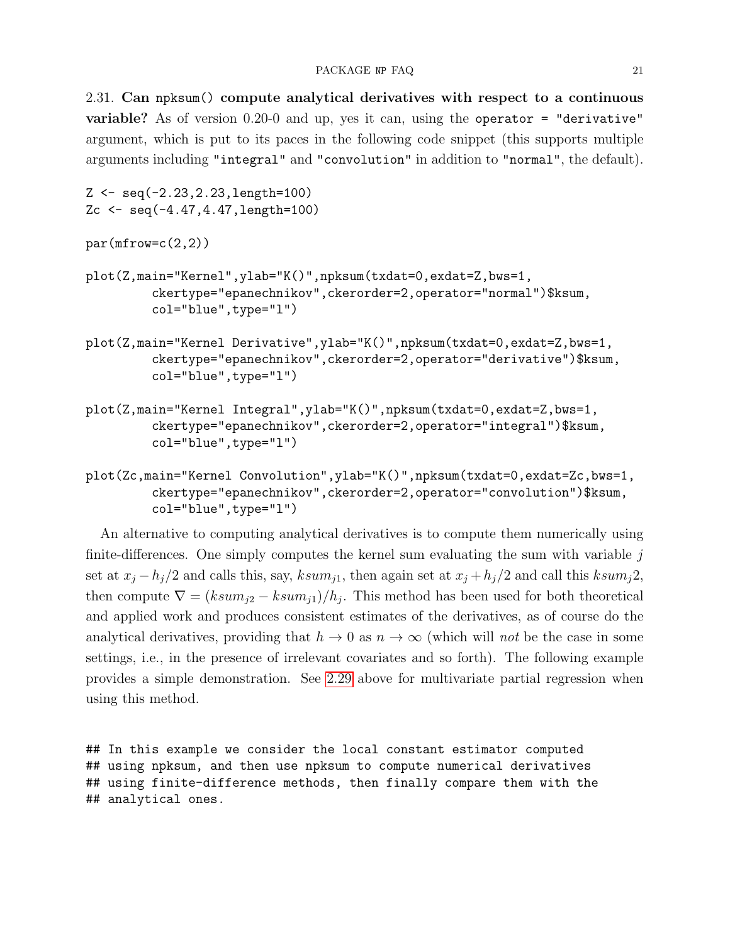<span id="page-20-0"></span>2.31. Can npksum() compute analytical derivatives with respect to a continuous variable? As of version 0.20-0 and up, yes it can, using the operator = "derivative" argument, which is put to its paces in the following code snippet (this supports multiple arguments including "integral" and "convolution" in addition to "normal", the default).

```
Z <- seq(-2.23,2.23,length=100)
Zc <- seq(-4.47,4.47,length=100)
par(mfrow=c(2,2))plot(Z,main="Kernel",ylab="K()",npksum(txdat=0,exdat=Z,bws=1,
         ckertype="epanechnikov",ckerorder=2,operator="normal")$ksum,
         col="blue",type="l")
plot(Z,main="Kernel Derivative",ylab="K()",npksum(txdat=0,exdat=Z,bws=1,
         ckertype="epanechnikov",ckerorder=2,operator="derivative")$ksum,
         col="blue",type="l")
plot(Z,main="Kernel Integral",ylab="K()",npksum(txdat=0,exdat=Z,bws=1,
         ckertype="epanechnikov",ckerorder=2,operator="integral")$ksum,
         col="blue",type="l")
plot(Zc,main="Kernel Convolution",ylab="K()",npksum(txdat=0,exdat=Zc,bws=1,
```
ckertype="epanechnikov",ckerorder=2,operator="convolution")\$ksum, col="blue",type="l")

An alternative to computing analytical derivatives is to compute them numerically using finite-differences. One simply computes the kernel sum evaluating the sum with variable  $j$ set at  $x_j - h_j/2$  and calls this, say,  $ksum_{j1}$ , then again set at  $x_j + h_j/2$  and call this  $ksum_j 2$ , then compute  $\nabla = (ksum_{j2} - ksum_{j1})/h_j$ . This method has been used for both theoretical and applied work and produces consistent estimates of the derivatives, as of course do the analytical derivatives, providing that  $h \to 0$  as  $n \to \infty$  (which will not be the case in some settings, i.e., in the presence of irrelevant covariates and so forth). The following example provides a simple demonstration. See [2.29](#page-18-1) above for multivariate partial regression when using this method.

## In this example we consider the local constant estimator computed ## using npksum, and then use npksum to compute numerical derivatives ## using finite-difference methods, then finally compare them with the ## analytical ones.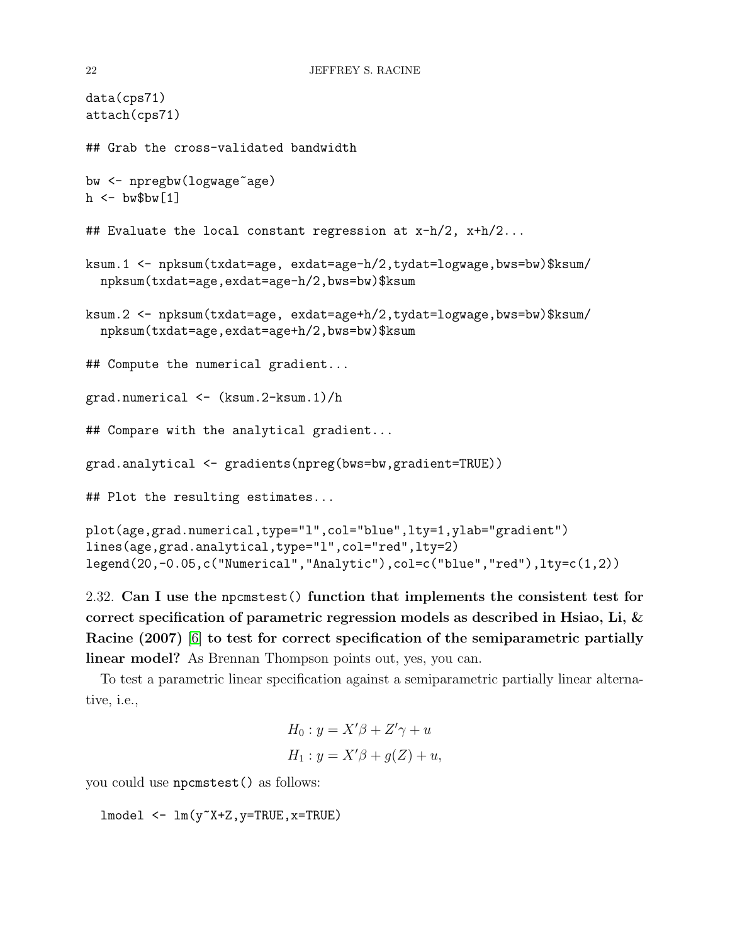```
data(cps71)
attach(cps71)
## Grab the cross-validated bandwidth
bw <- npregbw(logwage~age)
h \leq - bw$bw[1]
## Evaluate the local constant regression at x-h/2, x+h/2...
ksum.1 <- npksum(txdat=age, exdat=age-h/2,tydat=logwage,bws=bw)$ksum/
 npksum(txdat=age,exdat=age-h/2,bws=bw)$ksum
ksum.2 <- npksum(txdat=age, exdat=age+h/2,tydat=logwage,bws=bw)$ksum/
 npksum(txdat=age,exdat=age+h/2,bws=bw)$ksum
## Compute the numerical gradient...
grad.numerical <- (ksum.2-ksum.1)/h
## Compare with the analytical gradient...
grad.analytical <- gradients(npreg(bws=bw,gradient=TRUE))
## Plot the resulting estimates...
plot(age,grad.numerical,type="l",col="blue",lty=1,ylab="gradient")
lines(age,grad.analytical,type="l",col="red",lty=2)
legend(20,-0.05,c("Numerical","Analytic"),col=c("blue","red"),lty=c(1,2))
```

```
2.32. Can I use the npcmstest() function that implements the consistent test for
correct specification of parametric regression models as described in Hsiao, Li, &
Racine (2007) [6] to test for correct specification of the semiparametric partially
linear model? As Brennan Thompson points out, yes, you can.
```
To test a parametric linear specification against a semiparametric partially linear alternative, i.e.,

$$
H_0: y = X'\beta + Z'\gamma + u
$$
  

$$
H_1: y = X'\beta + g(Z) + u,
$$

you could use npcmstest() as follows:

```
lmodel <- lm(y~X+Z,y=TRUE,x=TRUE)
```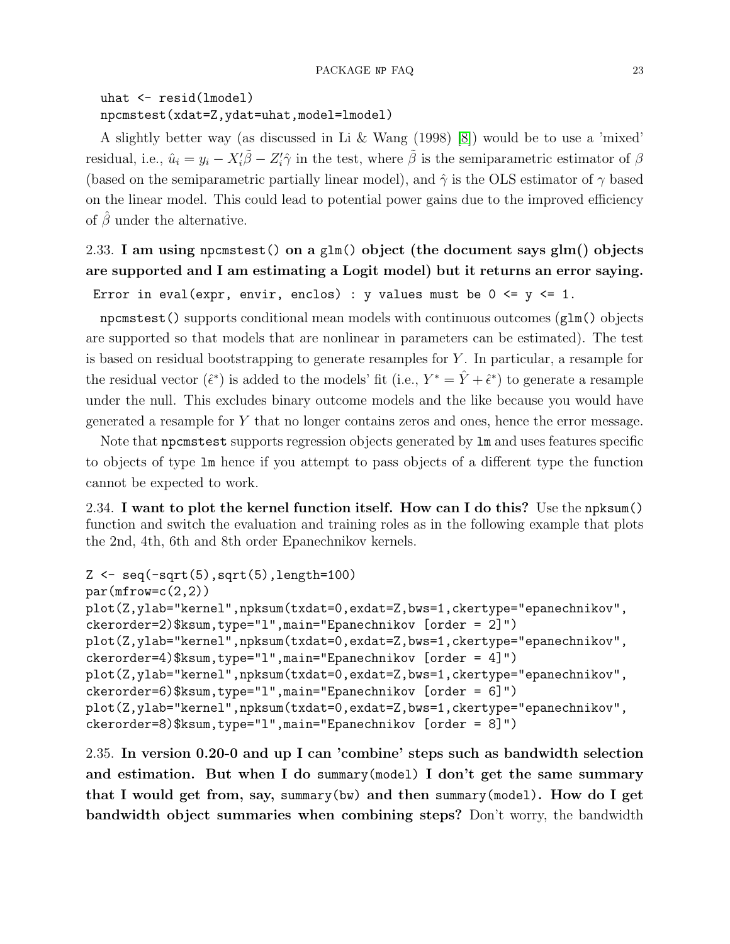## uhat <- resid(lmodel) npcmstest(xdat=Z,ydat=uhat,model=lmodel)

A slightly better way (as discussed in Li & Wang (1998) [\[8\]](#page-38-11)) would be to use a 'mixed' residual, i.e.,  $\hat{u}_i = y_i - X'_i \tilde{\beta} - Z'_i \hat{\gamma}$  in the test, where  $\tilde{\beta}$  is the semiparametric estimator of  $\beta$ (based on the semiparametric partially linear model), and  $\hat{\gamma}$  is the OLS estimator of  $\gamma$  based on the linear model. This could lead to potential power gains due to the improved efficiency of  $\beta$  under the alternative.

# <span id="page-22-0"></span>2.33. I am using npcmstest() on a glm() object (the document says glm() objects are supported and I am estimating a Logit model) but it returns an error saying.

```
Error in eval(expr, envir, enclos) : y values must be 0 \le y \le 1.
```
npcmstest() supports conditional mean models with continuous outcomes (glm() objects are supported so that models that are nonlinear in parameters can be estimated). The test is based on residual bootstrapping to generate resamples for Y . In particular, a resample for the residual vector  $(\hat{\epsilon}^*)$  is added to the models' fit (i.e.,  $Y^* = \hat{Y} + \hat{\epsilon}^*$ ) to generate a resample under the null. This excludes binary outcome models and the like because you would have generated a resample for Y that no longer contains zeros and ones, hence the error message.

Note that npcmstest supports regression objects generated by lm and uses features specific to objects of type lm hence if you attempt to pass objects of a different type the function cannot be expected to work.

<span id="page-22-1"></span>2.34. I want to plot the kernel function itself. How can I do this? Use the npksum() function and switch the evaluation and training roles as in the following example that plots the 2nd, 4th, 6th and 8th order Epanechnikov kernels.

```
Z <- seq(-sqrt(5),sqrt(5),length=100)
par(mfrow=c(2,2))plot(Z,ylab="kernel",npksum(txdat=0,exdat=Z,bws=1,ckertype="epanechnikov",
ckerorder=2)$ksum,type="l",main="Epanechnikov [order = 2]")
plot(Z,ylab="kernel",npksum(txdat=0,exdat=Z,bws=1,ckertype="epanechnikov",
ckerorder=4)$ksum,type="l",main="Epanechnikov [order = 4]")
plot(Z,ylab="kernel",npksum(txdat=0,exdat=Z,bws=1,ckertype="epanechnikov",
ckerorder=6)$ksum,type="l",main="Epanechnikov [order = 6]")
plot(Z,ylab="kernel",npksum(txdat=0,exdat=Z,bws=1,ckertype="epanechnikov",
ckerorder=8)$ksum,type="l",main="Epanechnikov [order = 8]")
```
<span id="page-22-2"></span>2.35. In version 0.20-0 and up I can 'combine' steps such as bandwidth selection and estimation. But when I do summary(model) I don't get the same summary that I would get from, say, summary(bw) and then summary(model). How do I get bandwidth object summaries when combining steps? Don't worry, the bandwidth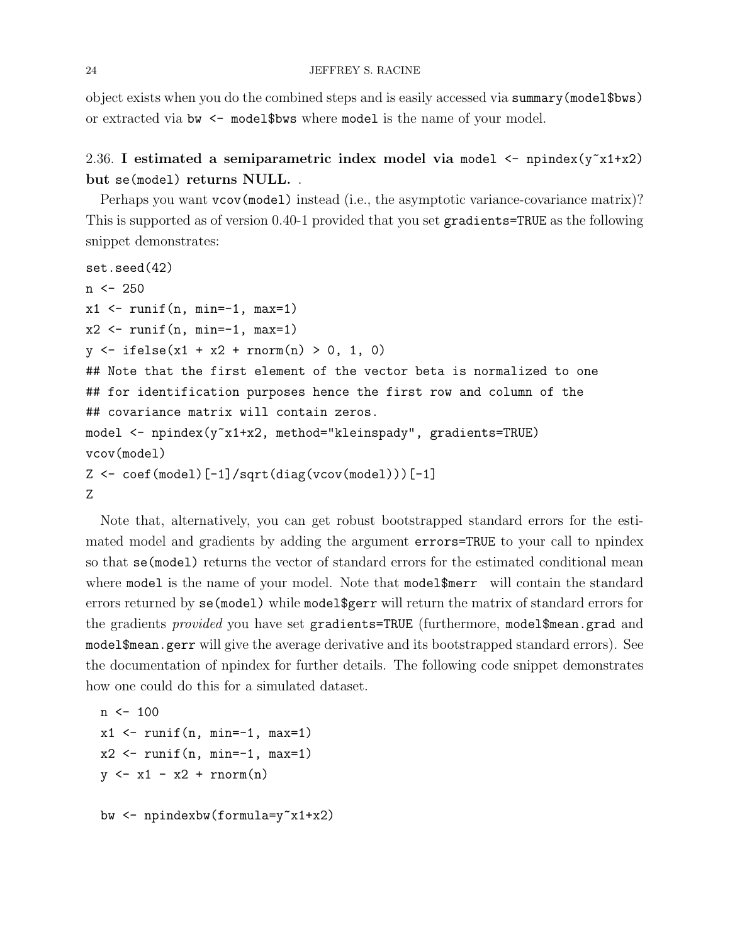object exists when you do the combined steps and is easily accessed via summary(model\$bws) or extracted via bw  $\leq$  model\$bws where model is the name of your model.

## <span id="page-23-0"></span>2.36. I estimated a semiparametric index model via model  $\leq$  npindex( $y^2 \times 1 + x^2$ ) but se(model) returns NULL. .

Perhaps you want vcov(model) instead (i.e., the asymptotic variance-covariance matrix)? This is supported as of version 0.40-1 provided that you set gradients=TRUE as the following snippet demonstrates:

```
set.seed(42)
n < -250x1 \leftarrow \text{runif}(n, \text{min}=-1, \text{max}=1)x2 \leftarrow runif(n, min=-1, max=1)y \leftarrow ifelse(x1 + x2 + rnorm(n) > 0, 1, 0)
## Note that the first element of the vector beta is normalized to one
## for identification purposes hence the first row and column of the
## covariance matrix will contain zeros.
model <- npindex(y~x1+x2, method="kleinspady", gradients=TRUE)
vcov(model)
Z \leftarrow coef(model)[-1]/sqrt(diag(vcov(model)))[-1]
Z
```
Note that, alternatively, you can get robust bootstrapped standard errors for the estimated model and gradients by adding the argument errors=TRUE to your call to npindex so that se(model) returns the vector of standard errors for the estimated conditional mean where model is the name of your model. Note that model\$merr will contain the standard errors returned by se(model) while model\$gerr will return the matrix of standard errors for the gradients *provided* you have set gradients=TRUE (furthermore, model\$mean.grad and model\$mean.gerr will give the average derivative and its bootstrapped standard errors). See the documentation of npindex for further details. The following code snippet demonstrates how one could do this for a simulated dataset.

```
n \le -100x1 \leftarrow runif(n, min=-1, max=1)x2 \leftarrow \text{runif}(n, \text{min}=-1, \text{max}=1)y \leftarrow x1 - x2 + \text{rnorm}(n)bw <- npindexbw(formula=y~x1+x2)
```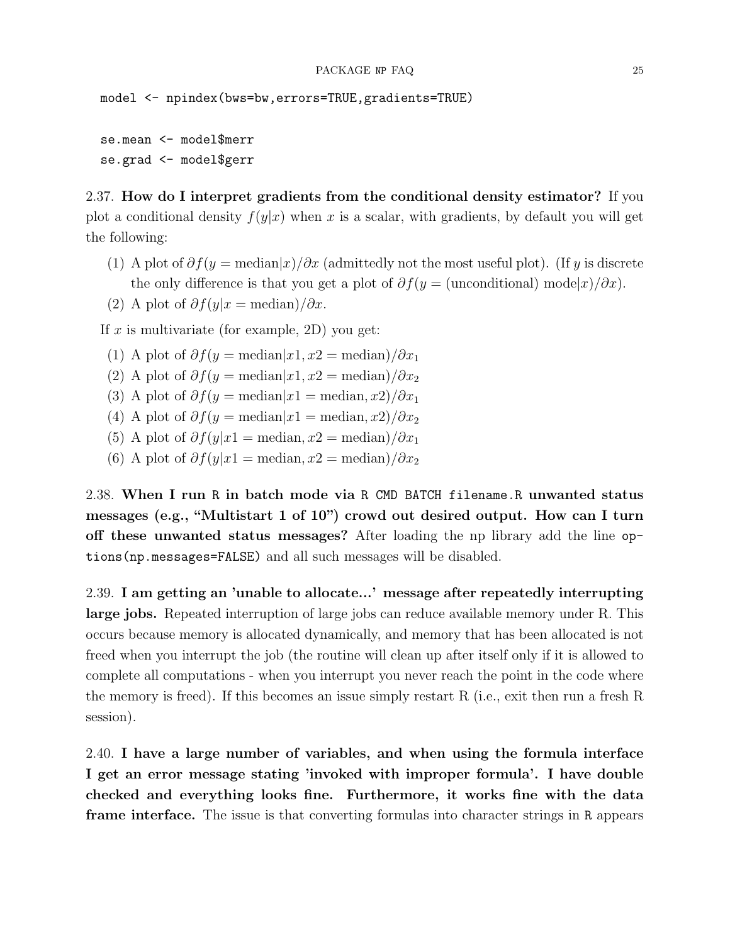model <- npindex(bws=bw,errors=TRUE,gradients=TRUE)

```
se.mean <- model$merr
se.grad <- model$gerr
```
<span id="page-24-0"></span>2.37. How do I interpret gradients from the conditional density estimator? If you plot a conditional density  $f(y|x)$  when x is a scalar, with gradients, by default you will get the following:

- (1) A plot of  $\partial f(y) = \text{median}(x)/\partial x$  (admittedly not the most useful plot). (If y is discrete the only difference is that you get a plot of  $\partial f(y = \text{(unconditional)} \text{ model } x)/\partial x)$ .
- (2) A plot of  $\partial f(y|x) = \text{median} / \partial x$ .

If x is multivariate (for example, 2D) you get:

- (1) A plot of  $\partial f(y) = \text{median}[x_1, x_2] = \text{median}(\partial x_1)$
- (2) A plot of  $\partial f(y) = \text{median}|x_1, x_2 = \text{median}/\partial x_2$
- (3) A plot of  $\partial f(y) = \text{median}|x_1| = \text{median}(x_1, x_2)/\partial x_1$
- (4) A plot of  $\partial f(y) = \text{median}|x_1| = \text{median}(x_1, x_2)/\partial x_2$
- (5) A plot of  $\partial f(y|x] = \text{median}, x^2 = \text{median}/\partial x_1$
- (6) A plot of  $\partial f(y|x) = \text{median}, x^2 = \text{median}/\partial x_2$

<span id="page-24-1"></span>2.38. When I run R in batch mode via R CMD BATCH filename.R unwanted status messages (e.g., "Multistart 1 of 10") crowd out desired output. How can I turn off these unwanted status messages? After loading the np library add the line options(np.messages=FALSE) and all such messages will be disabled.

<span id="page-24-2"></span>2.39. I am getting an 'unable to allocate...' message after repeatedly interrupting large jobs. Repeated interruption of large jobs can reduce available memory under R. This occurs because memory is allocated dynamically, and memory that has been allocated is not freed when you interrupt the job (the routine will clean up after itself only if it is allowed to complete all computations - when you interrupt you never reach the point in the code where the memory is freed). If this becomes an issue simply restart R (i.e., exit then run a fresh R session).

<span id="page-24-3"></span>2.40. I have a large number of variables, and when using the formula interface I get an error message stating 'invoked with improper formula'. I have double checked and everything looks fine. Furthermore, it works fine with the data frame interface. The issue is that converting formulas into character strings in R appears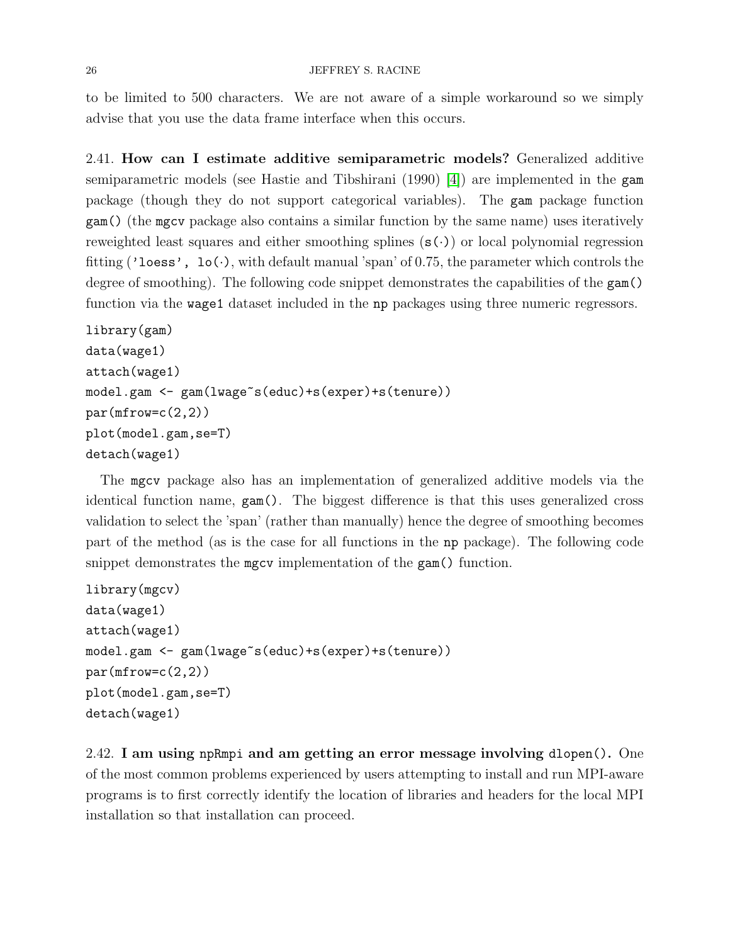to be limited to 500 characters. We are not aware of a simple workaround so we simply advise that you use the data frame interface when this occurs.

<span id="page-25-0"></span>2.41. How can I estimate additive semiparametric models? Generalized additive semiparametric models (see Hastie and Tibshirani (1990) [\[4\]](#page-38-12)) are implemented in the gam package (though they do not support categorical variables). The gam package function gam() (the mgcv package also contains a similar function by the same name) uses iteratively reweighted least squares and either smoothing splines  $(s(\cdot))$  or local polynomial regression fitting ('loess', lo(.), with default manual 'span' of 0.75, the parameter which controls the degree of smoothing). The following code snippet demonstrates the capabilities of the gam() function via the wage1 dataset included in the np packages using three numeric regressors.

```
library(gam)
data(wage1)
attach(wage1)
model.gam <- gam(lwage~s(educ)+s(exper)+s(tenure))
par(mfrow=c(2,2))plot(model.gam,se=T)
detach(wage1)
```
The mgcv package also has an implementation of generalized additive models via the identical function name, gam(). The biggest difference is that this uses generalized cross validation to select the 'span' (rather than manually) hence the degree of smoothing becomes part of the method (as is the case for all functions in the np package). The following code snippet demonstrates the mgcv implementation of the gam() function.

```
library(mgcv)
data(wage1)
attach(wage1)
model.gam <- gam(lwage~s(educ)+s(exper)+s(tenure))
par(mfrow=c(2,2))plot(model.gam,se=T)
detach(wage1)
```
<span id="page-25-1"></span>2.42. I am using npRmpi and am getting an error message involving dlopen(). One of the most common problems experienced by users attempting to install and run MPI-aware programs is to first correctly identify the location of libraries and headers for the local MPI installation so that installation can proceed.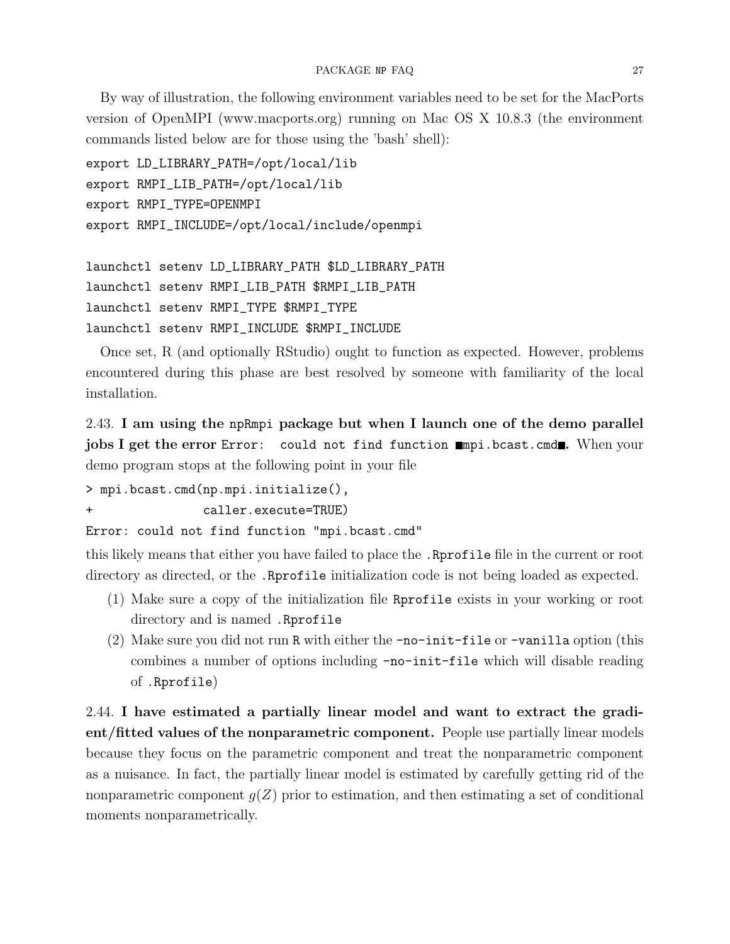By way of illustration, the following environment variables need to be set for the MacPorts version of OpenMPI (www.macports.org) running on Mac OS X 10.8.3 (the environment commands listed below are for those using the 'bash' shell):

```
export LD_LIBRARY_PATH=/opt/local/lib
export RMPI_LIB_PATH=/opt/local/lib
export RMPI_TYPE=OPENMPI
export RMPI_INCLUDE=/opt/local/include/openmpi
```

```
launchctl setenv LD_LIBRARY_PATH $LD_LIBRARY_PATH
launchctl setenv RMPI_LIB_PATH $RMPI_LIB_PATH
launchctl setenv RMPI_TYPE $RMPI_TYPE
launchctl setenv RMPI_INCLUDE $RMPI_INCLUDE
```
Once set, R (and optionally RStudio) ought to function as expected. However, problems encountered during this phase are best resolved by someone with familiarity of the local installation.

<span id="page-26-0"></span>2.43. I am using the npRmpi package but when I launch one of the demo parallel jobs I get the error Error: could not find function mapi.bcast.cmd. When your demo program stops at the following point in your file

```
> mpi.bcast.cmd(np.mpi.initialize(),
```
+ caller.execute=TRUE)

Error: could not find function "mpi.bcast.cmd"

this likely means that either you have failed to place the .Rprofile file in the current or root directory as directed, or the .Rprofile initialization code is not being loaded as expected.

- (1) Make sure a copy of the initialization file Rprofile exists in your working or root directory and is named .Rprofile
- (2) Make sure you did not run R with either the  $\text{-no}-\text{init}-\text{file}$  or  $\text{-vanilla}$  option (this combines a number of options including -no-init-file which will disable reading of .Rprofile)

<span id="page-26-1"></span>2.44. I have estimated a partially linear model and want to extract the gradient/fitted values of the nonparametric component. People use partially linear models because they focus on the parametric component and treat the nonparametric component as a nuisance. In fact, the partially linear model is estimated by carefully getting rid of the nonparametric component  $g(Z)$  prior to estimation, and then estimating a set of conditional moments nonparametrically.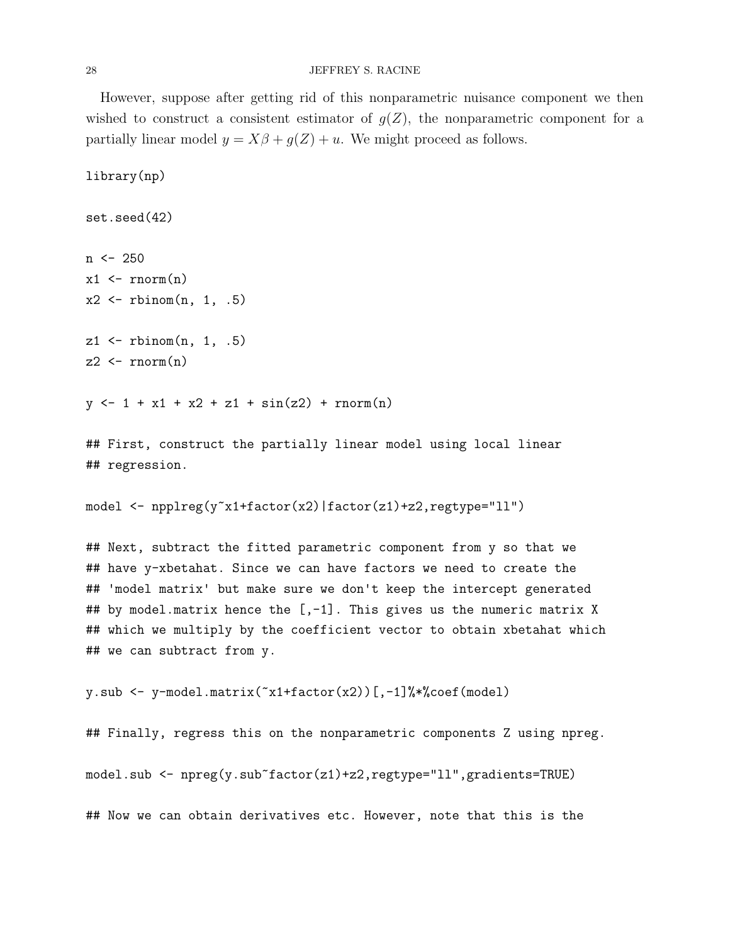#### 28 JEFFREY S. RACINE

However, suppose after getting rid of this nonparametric nuisance component we then wished to construct a consistent estimator of  $g(Z)$ , the nonparametric component for a partially linear model  $y = X\beta + g(Z) + u$ . We might proceed as follows.

library(np)

```
set.seed(42)
n \le -250x1 \leftarrow \text{rnorm}(n)x2 \leftarrow rbinom(n, 1, .5)z1 \leftarrow rbinom(n, 1, .5)z2 \leftarrow \text{norm}(n)
```
 $y \leftarrow 1 + x1 + x2 + z1 + \sin(z2) + \text{norm}(n)$ 

## First, construct the partially linear model using local linear ## regression.

```
model <- npplreg(y~x1+factor(x2)|factor(z1)+z2,regtype="ll")
```
## Next, subtract the fitted parametric component from y so that we ## have y-xbetahat. Since we can have factors we need to create the ## 'model matrix' but make sure we don't keep the intercept generated ## by model.matrix hence the  $[-1]$ . This gives us the numeric matrix X ## which we multiply by the coefficient vector to obtain xbetahat which ## we can subtract from y.

```
y.sub \leq y-model.matrix(\infty1+factor(x2))[,-1]%*%coef(model)
```

```
## Finally, regress this on the nonparametric components Z using npreg.
model.sub <- npreg(y.sub~factor(z1)+z2,regtype="ll",gradients=TRUE)
## Now we can obtain derivatives etc. However, note that this is the
```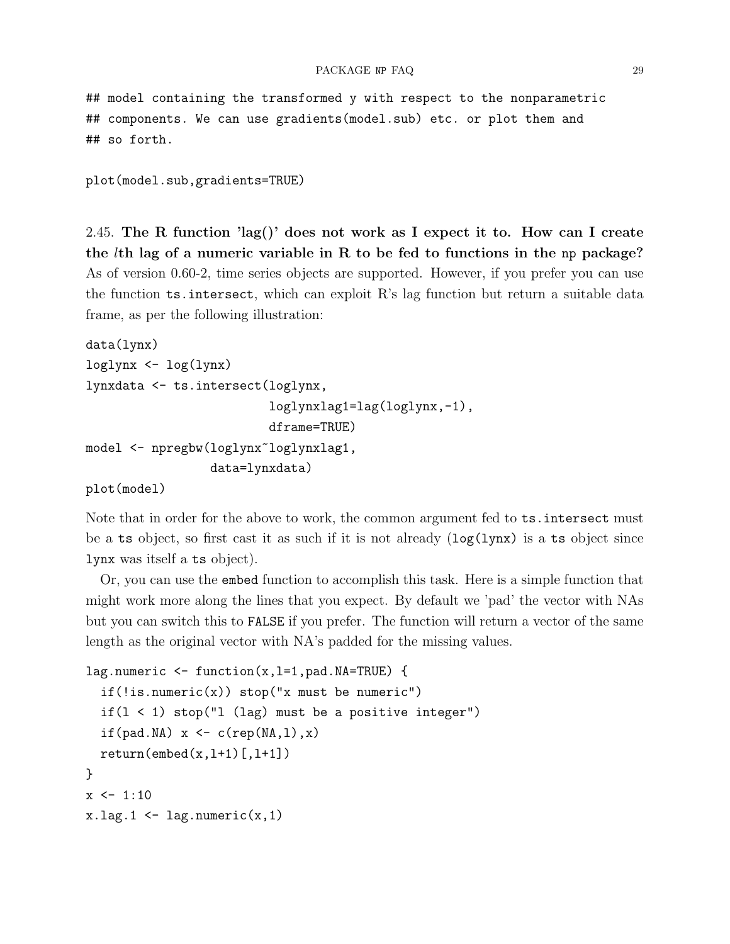## model containing the transformed y with respect to the nonparametric ## components. We can use gradients(model.sub) etc. or plot them and ## so forth.

```
plot(model.sub,gradients=TRUE)
```
<span id="page-28-0"></span>2.45. The R function 'lag()' does not work as I expect it to. How can I create the  $l$ th lag of a numeric variable in R to be fed to functions in the np package? As of version 0.60-2, time series objects are supported. However, if you prefer you can use the function ts.intersect, which can exploit R's lag function but return a suitable data frame, as per the following illustration:

```
data(lynx)
loglynx <- log(lynx)
lynxdata <- ts.intersect(loglynx,
                          loglynxlag1=lag(loglynx,-1),
                         dframe=TRUE)
model <- npregbw(loglynx~loglynxlag1,
                 data=lynxdata)
```
plot(model)

Note that in order for the above to work, the common argument fed to ts.intersect must be a ts object, so first cast it as such if it is not already  $(\log(1) \text{ynx})$  is a ts object since lynx was itself a ts object).

Or, you can use the embed function to accomplish this task. Here is a simple function that might work more along the lines that you expect. By default we 'pad' the vector with NAs but you can switch this to FALSE if you prefer. The function will return a vector of the same length as the original vector with NA's padded for the missing values.

```
lag.numeric <- function(x,l=1,pad.NA=TRUE) {
  if (!is.numeric(x)) stop("x must be numeric")if(1 < 1) stop("1 (lag) must be a positive integer")
  if(pad.NA) x \leftarrow c(rep(NA,1),x)return(embed(x, l+1) [, l+1])}
x \leftarrow 1:10x.lag.1 \leftarrow lag.numeric(x,1)
```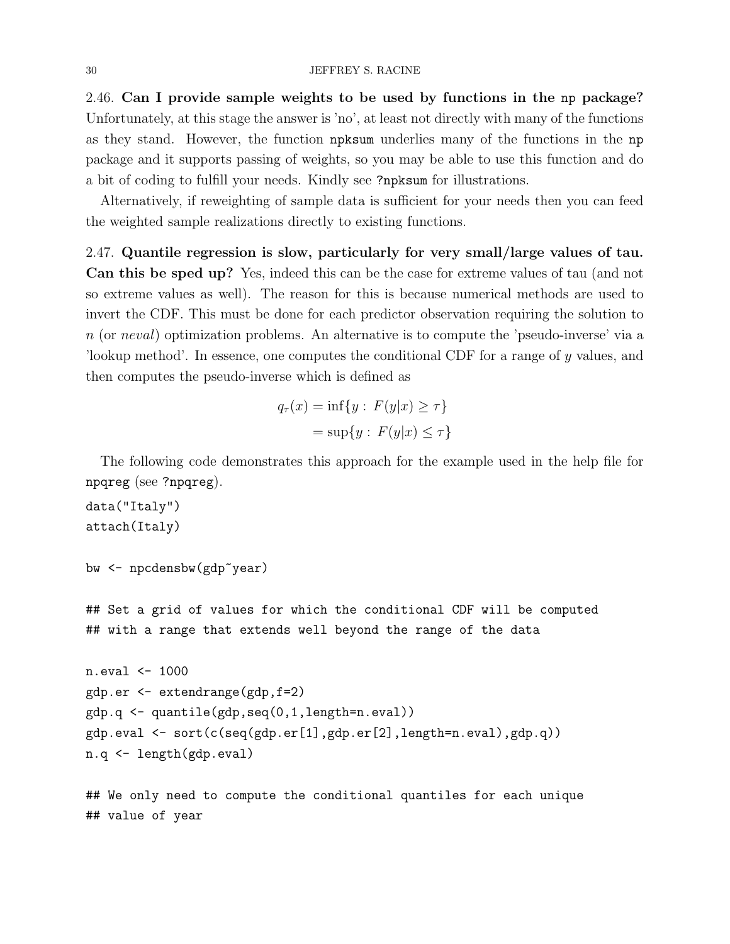<span id="page-29-0"></span>2.46. Can I provide sample weights to be used by functions in the np package? Unfortunately, at this stage the answer is 'no', at least not directly with many of the functions as they stand. However, the function npksum underlies many of the functions in the np package and it supports passing of weights, so you may be able to use this function and do a bit of coding to fulfill your needs. Kindly see ?npksum for illustrations.

Alternatively, if reweighting of sample data is sufficient for your needs then you can feed the weighted sample realizations directly to existing functions.

<span id="page-29-1"></span>2.47. Quantile regression is slow, particularly for very small/large values of tau. Can this be sped up? Yes, indeed this can be the case for extreme values of tau (and not so extreme values as well). The reason for this is because numerical methods are used to invert the CDF. This must be done for each predictor observation requiring the solution to n (or neval) optimization problems. An alternative is to compute the 'pseudo-inverse' via a 'lookup method'. In essence, one computes the conditional CDF for a range of y values, and then computes the pseudo-inverse which is defined as

$$
q_{\tau}(x) = \inf\{y : F(y|x) \ge \tau\}
$$

$$
= \sup\{y : F(y|x) \le \tau\}
$$

The following code demonstrates this approach for the example used in the help file for npqreg (see ?npqreg).

```
data("Italy")
attach(Italy)
```

```
bw <- npcdensbw(gdp~year)
```
## Set a grid of values for which the conditional CDF will be computed ## with a range that extends well beyond the range of the data

```
n.eval <- 1000
gdp.er <- extendrange(gdp,f=2)
gdp.q <- quantile(gdp,seq(0,1,length=n.eval))
gdp.eval <- sort(c(seq(gdp.er[1],gdp.er[2],length=n.eval),gdp.q))
n.q <- length(gdp.eval)
```
## We only need to compute the conditional quantiles for each unique ## value of year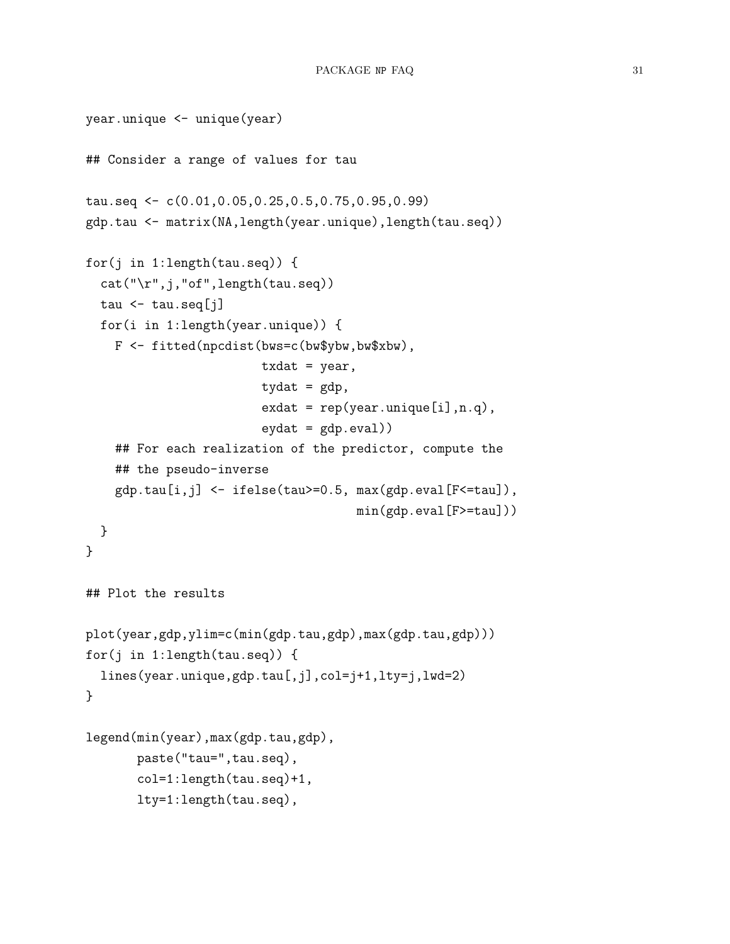```
year.unique <- unique(year)
## Consider a range of values for tau
tau.seq <- c(0.01,0.05,0.25,0.5,0.75,0.95,0.99)
gdp.tau <- matrix(NA,length(year.unique),length(tau.seq))
for(j in 1:length(tau.seq)) {
  cat("\r",j,"of",length(tau.seq))
  tau \leftarrow tau.seq[j]
  for(i in 1:length(year.unique)) {
    F <- fitted(npcdist(bws=c(bw$ybw,bw$xbw),
                         \texttt{txdat} = \texttt{year},tydat = gdp,
                         ext = rep(year.unique[i], n.q),eydat = gdp. <math>eval)## For each realization of the predictor, compute the
    ## the pseudo-inverse
    gdp.tau[i,j] <- ifelse(tau>=0.5, max(gdp.eval[F<=tau]),
                                      min(gdp.eval[F>=tau]))
 }
}
## Plot the results
plot(year,gdp,ylim=c(min(gdp.tau,gdp),max(gdp.tau,gdp)))
for(j in 1:length(tau.seq)) {
  lines(year.unique,gdp.tau[,j],col=j+1,lty=j,lwd=2)
}
legend(min(year),max(gdp.tau,gdp),
       paste("tau=",tau.seq),
       col=1:length(tau.seq)+1,
       lty=1:length(tau.seq),
```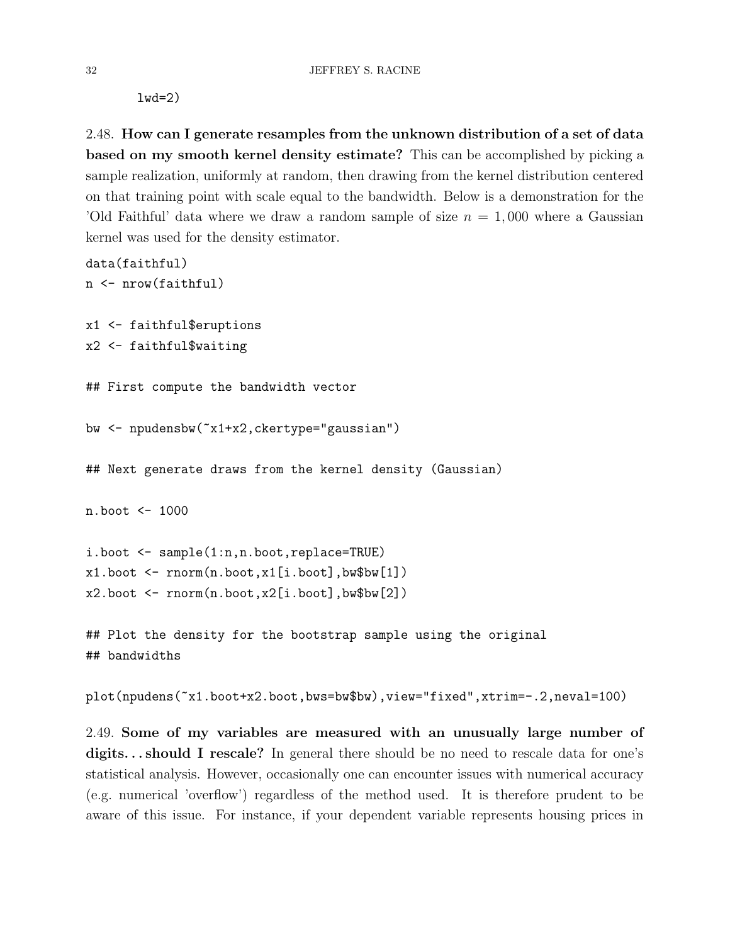lwd=2)

data(faithful)

<span id="page-31-0"></span>2.48. How can I generate resamples from the unknown distribution of a set of data based on my smooth kernel density estimate? This can be accomplished by picking a sample realization, uniformly at random, then drawing from the kernel distribution centered on that training point with scale equal to the bandwidth. Below is a demonstration for the 'Old Faithful' data where we draw a random sample of size  $n = 1,000$  where a Gaussian kernel was used for the density estimator.

```
n <- nrow(faithful)
x1 <- faithful$eruptions
x2 <- faithful$waiting
## First compute the bandwidth vector
bw <- npudensbw(~x1+x2,ckertype="gaussian")
## Next generate draws from the kernel density (Gaussian)
n.boot <- 1000
i.boot <- sample(1:n,n.boot,replace=TRUE)
x1.boot \leq rnorm(n.boot,x1[i.boot],bw$bw[1])
x2.boot \leq rnorm(n.boot,x2[i.boot],bw$bw[2])## Plot the density for the bootstrap sample using the original
## bandwidths
```
plot(npudens(~x1.boot+x2.boot,bws=bw\$bw),view="fixed",xtrim=-.2,neval=100)

<span id="page-31-1"></span>2.49. Some of my variables are measured with an unusually large number of digits... should I rescale? In general there should be no need to rescale data for one's statistical analysis. However, occasionally one can encounter issues with numerical accuracy (e.g. numerical 'overflow') regardless of the method used. It is therefore prudent to be aware of this issue. For instance, if your dependent variable represents housing prices in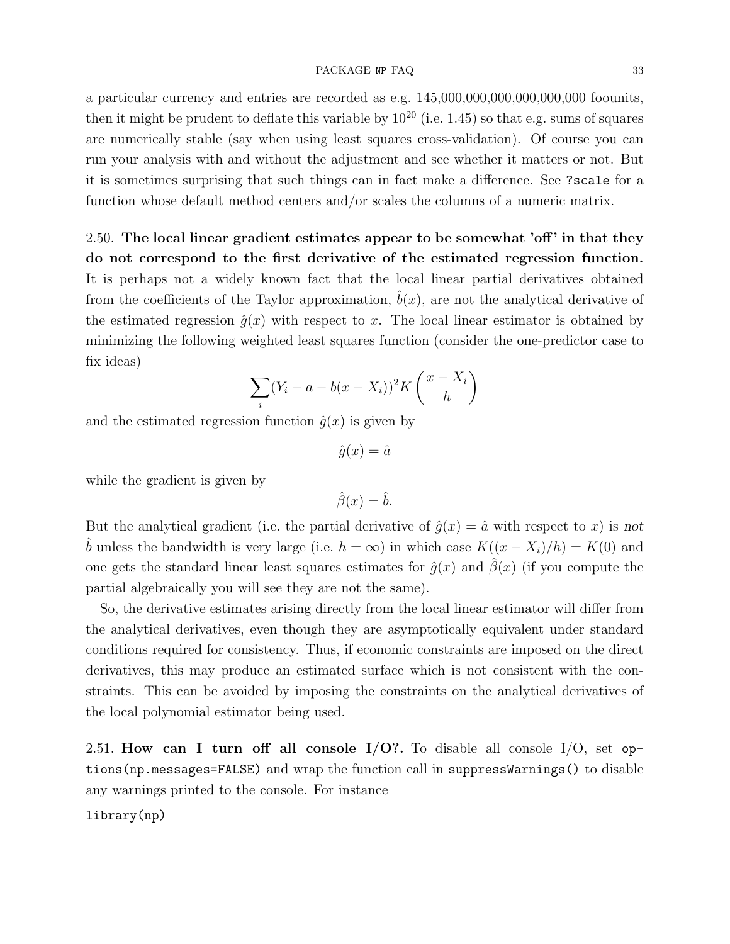#### PACKAGE NP FAQ 33

a particular currency and entries are recorded as e.g. 145,000,000,000,000,000,000 foounits, then it might be prudent to deflate this variable by  $10^{20}$  (i.e. 1.45) so that e.g. sums of squares are numerically stable (say when using least squares cross-validation). Of course you can run your analysis with and without the adjustment and see whether it matters or not. But it is sometimes surprising that such things can in fact make a difference. See ?scale for a function whose default method centers and/or scales the columns of a numeric matrix.

<span id="page-32-0"></span>2.50. The local linear gradient estimates appear to be somewhat 'off ' in that they do not correspond to the first derivative of the estimated regression function. It is perhaps not a widely known fact that the local linear partial derivatives obtained from the coefficients of the Taylor approximation,  $b(x)$ , are not the analytical derivative of the estimated regression  $\hat{q}(x)$  with respect to x. The local linear estimator is obtained by minimizing the following weighted least squares function (consider the one-predictor case to fix ideas)

$$
\sum_{i} (Y_i - a - b(x - X_i))^2 K\left(\frac{x - X_i}{h}\right)
$$

and the estimated regression function  $\hat{q}(x)$  is given by

$$
\hat{g}(x) = \hat{a}
$$

while the gradient is given by

$$
\hat{\beta}(x) = \hat{b}.
$$

But the analytical gradient (i.e. the partial derivative of  $\hat{g}(x) = \hat{a}$  with respect to x) is not b unless the bandwidth is very large (i.e.  $h = \infty$ ) in which case  $K((x - X_i)/h) = K(0)$  and one gets the standard linear least squares estimates for  $\hat{g}(x)$  and  $\hat{\beta}(x)$  (if you compute the partial algebraically you will see they are not the same).

So, the derivative estimates arising directly from the local linear estimator will differ from the analytical derivatives, even though they are asymptotically equivalent under standard conditions required for consistency. Thus, if economic constraints are imposed on the direct derivatives, this may produce an estimated surface which is not consistent with the constraints. This can be avoided by imposing the constraints on the analytical derivatives of the local polynomial estimator being used.

<span id="page-32-1"></span>2.51. How can I turn off all console  $I/O$ ?. To disable all console  $I/O$ , set options(np.messages=FALSE) and wrap the function call in suppressWarnings() to disable any warnings printed to the console. For instance

### library(np)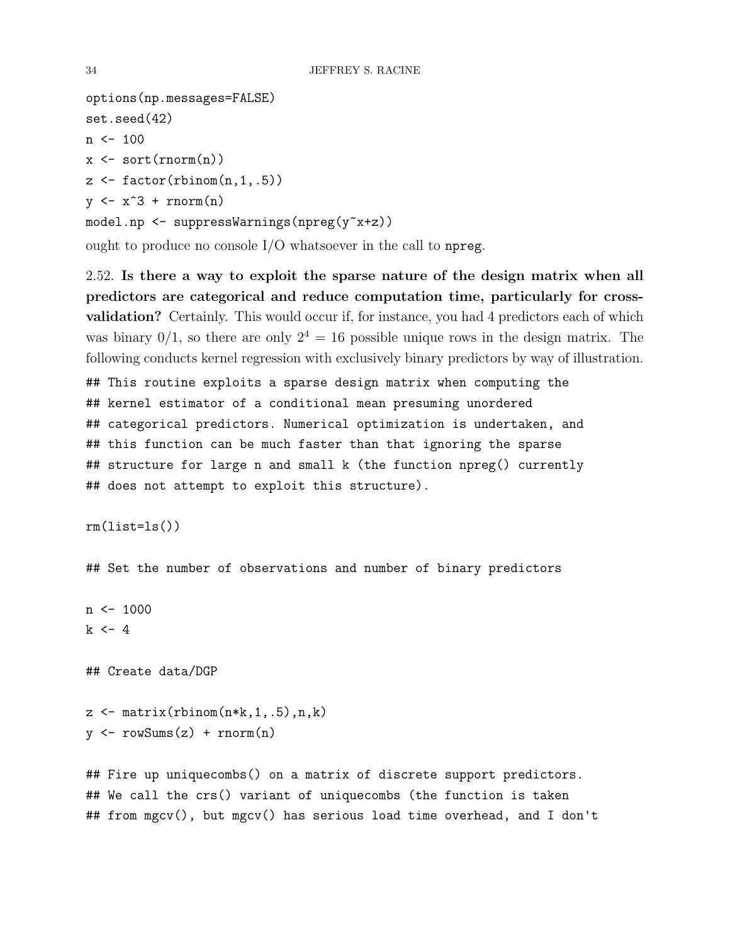```
options(np.messages=FALSE)
set.seed(42)
n \le -100x \leftarrow sort(rnorm(n))z \leftarrow factor(rbinom(n,1,.5))
y \leftarrow x \hat{3} + \text{rnorm}(n)model.np <- suppressWarnings(npreg(y~x+z))
```
ought to produce no console I/O whatsoever in the call to npreg.

<span id="page-33-0"></span>2.52. Is there a way to exploit the sparse nature of the design matrix when all predictors are categorical and reduce computation time, particularly for crossvalidation? Certainly. This would occur if, for instance, you had 4 predictors each of which was binary  $0/1$ , so there are only  $2^4 = 16$  possible unique rows in the design matrix. The following conducts kernel regression with exclusively binary predictors by way of illustration.

## This routine exploits a sparse design matrix when computing the ## kernel estimator of a conditional mean presuming unordered ## categorical predictors. Numerical optimization is undertaken, and ## this function can be much faster than that ignoring the sparse ## structure for large n and small k (the function npreg() currently ## does not attempt to exploit this structure).

 $rm(ist=ls()$ 

## Set the number of observations and number of binary predictors

 $n \le -1000$  $k \le -4$ 

## Create data/DGP

 $z \leftarrow \text{matrix(rbinom(n*k, 1, .5), n, k}$  $y \leftarrow \text{rowSums}(z) + \text{rnorm}(n)$ 

## Fire up uniquecombs() on a matrix of discrete support predictors. ## We call the crs() variant of uniquecombs (the function is taken ## from mgcv(), but mgcv() has serious load time overhead, and I don't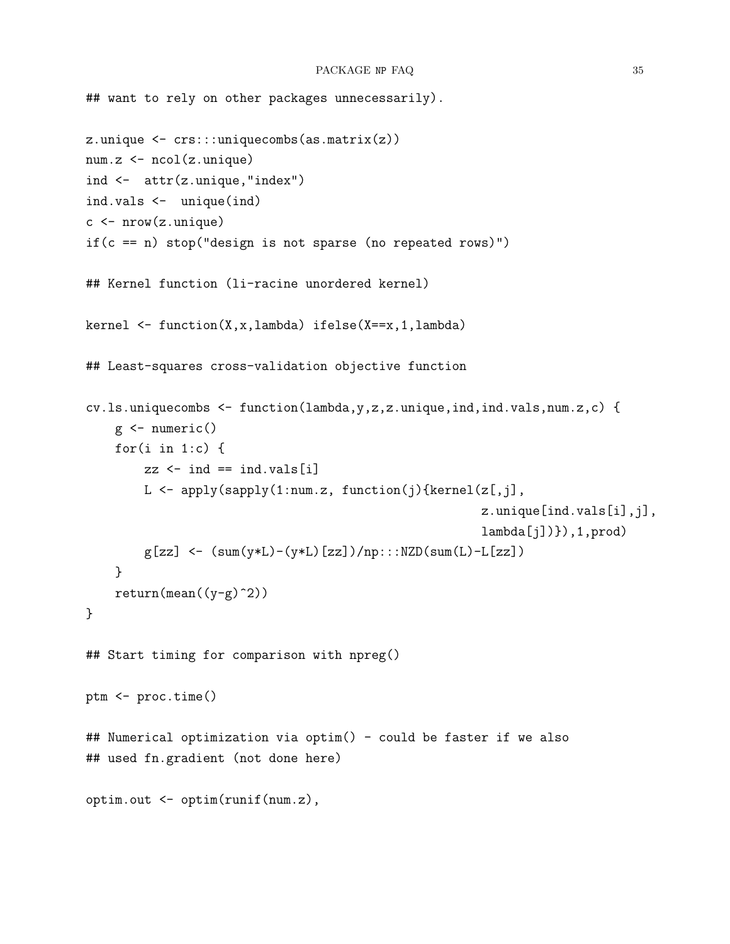```
## want to rely on other packages unnecessarily).
z.unique <- crs:::uniquecombs(as.matrix(z))
num.z <- ncol(z.unique)
ind <- attr(z.unique,"index")
ind.vals <- unique(ind)
c \leftarrow \text{nrow}(z.\text{unique})if(c == n) stop("design is not sparse (no repeated rows)")
## Kernel function (li-racine unordered kernel)
kernel \leq function(X,x,lambda) ifelse(X==x,1,lambda)
## Least-squares cross-validation objective function
cv.ls.uniquecombs <- function(lambda,y,z,z.unique,ind,ind.vals,num.z,c) {
    g \leftarrow numeric()
    for(i \text{ in } 1:c) {
        zz \leftarrow \text{ind} == \text{ind}.\text{vals}[i]L <- apply(sapply(1:num.z, function(j){kernel(z[,j],
                                                           z.unique[ind.vals[i],j],
                                                           lambda[j]), 1, prod)
        g[zz] <- (sum(y*L)-(y*L)[zz])/np::NZD(sum(L)-L[zz])}
    return(mean((y-g)^2))}
## Start timing for comparison with npreg()
ptm <- proc.time()
## Numerical optimization via optim() - could be faster if we also
## used fn.gradient (not done here)
optim.out <- optim(runif(num.z),
```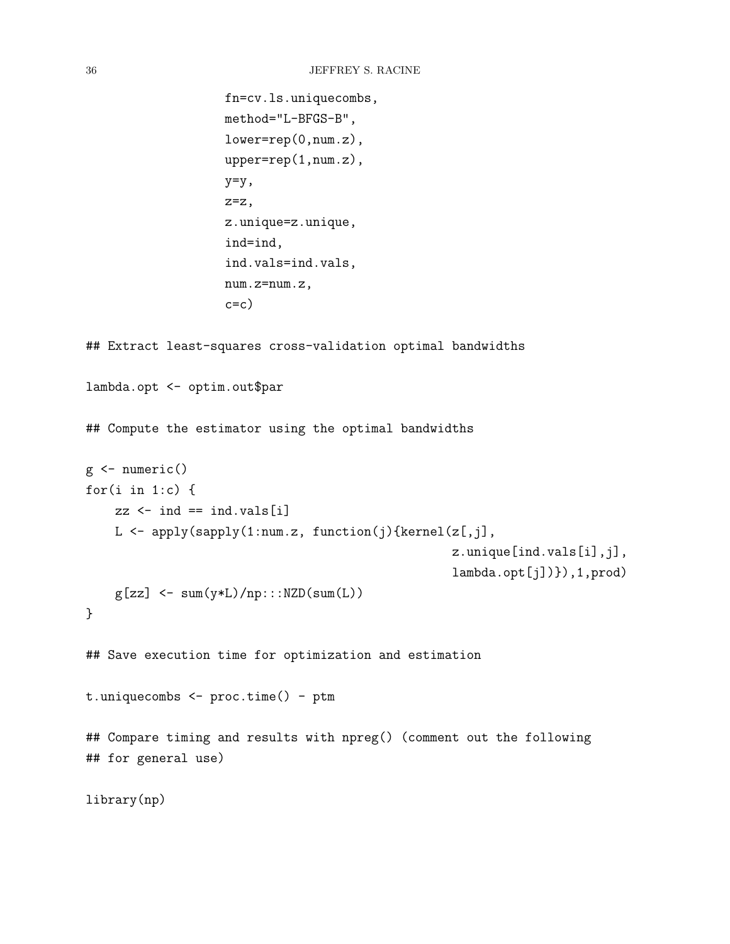```
fn=cv.ls.uniquecombs,
                    method="L-BFGS-B",
                    lower=rep(0,num.z),
                    upper=rep(1,num.z),
                    y=y,
                    z=z,
                    z.unique=z.unique,
                    ind=ind,
                    ind.vals=ind.vals,
                    num.z=num.z,
                    c=c)
## Extract least-squares cross-validation optimal bandwidths
lambda.opt <- optim.out$par
## Compute the estimator using the optimal bandwidths
g \leftarrow numeric()
for(i \text{ in } 1:c) {
    zz \leftarrow ind == ind.vals[i]
    L \leftarrow apply(sapply(1:num.z, function(j){kernel(z[,j],
                                                     z.unique[ind.vals[i],j],
                                                     lambda.opt[j])}),1,prod)
    g[zz] <- sum(y*L)/np:::NZD(sum(L))
}
## Save execution time for optimization and estimation
t.uniquecombs <- proc.time() - ptm
## Compare timing and results with npreg() (comment out the following
## for general use)
library(np)
```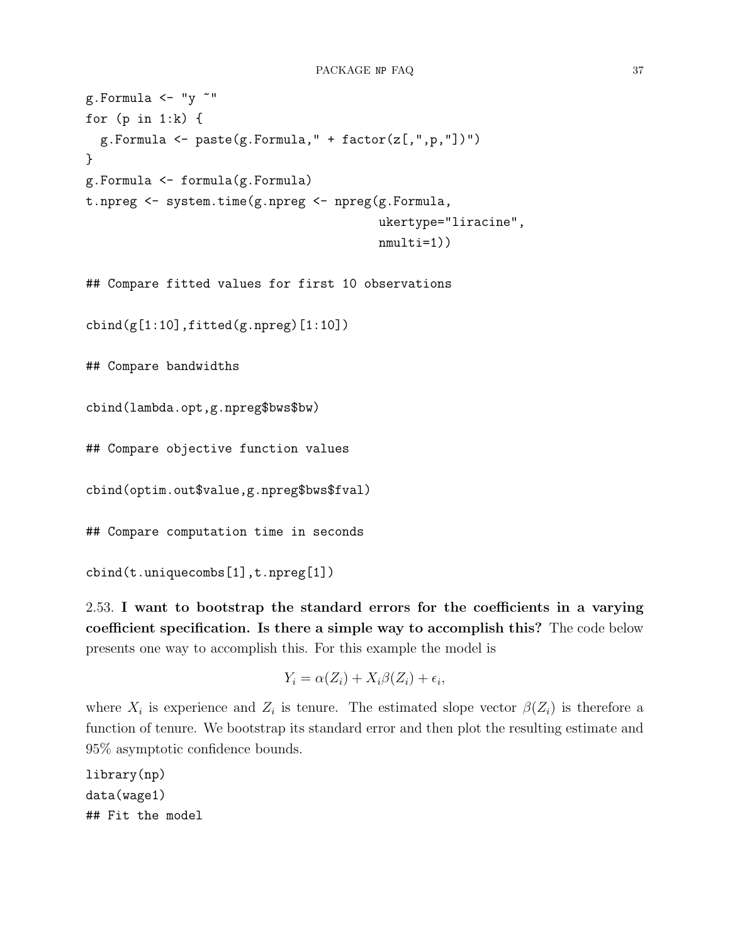```
g.Formula \leftarrow "y \sim"
for (p in 1:k) {
  g.Formula \leftarrow paste(g.Formula," + factor(z[, ", p, "])")}
g.Formula <- formula(g.Formula)
t.npreg <- system.time(g.npreg <- npreg(g.Formula,
                                             ukertype="liracine",
                                             nmulti=1))
```
## Compare fitted values for first 10 observations

 $cbind(g[1:10], fitted(g.npreg)[1:10])$ 

## Compare bandwidths

cbind(lambda.opt,g.npreg\$bws\$bw)

## Compare objective function values

cbind(optim.out\$value,g.npreg\$bws\$fval)

## Compare computation time in seconds

```
cbind(t.uniquecombs[1],t.npreg[1])
```
<span id="page-36-0"></span>2.53. I want to bootstrap the standard errors for the coefficients in a varying coefficient specification. Is there a simple way to accomplish this? The code below presents one way to accomplish this. For this example the model is

$$
Y_i = \alpha(Z_i) + X_i \beta(Z_i) + \epsilon_i,
$$

where  $X_i$  is experience and  $Z_i$  is tenure. The estimated slope vector  $\beta(Z_i)$  is therefore a function of tenure. We bootstrap its standard error and then plot the resulting estimate and 95% asymptotic confidence bounds.

library(np) data(wage1) ## Fit the model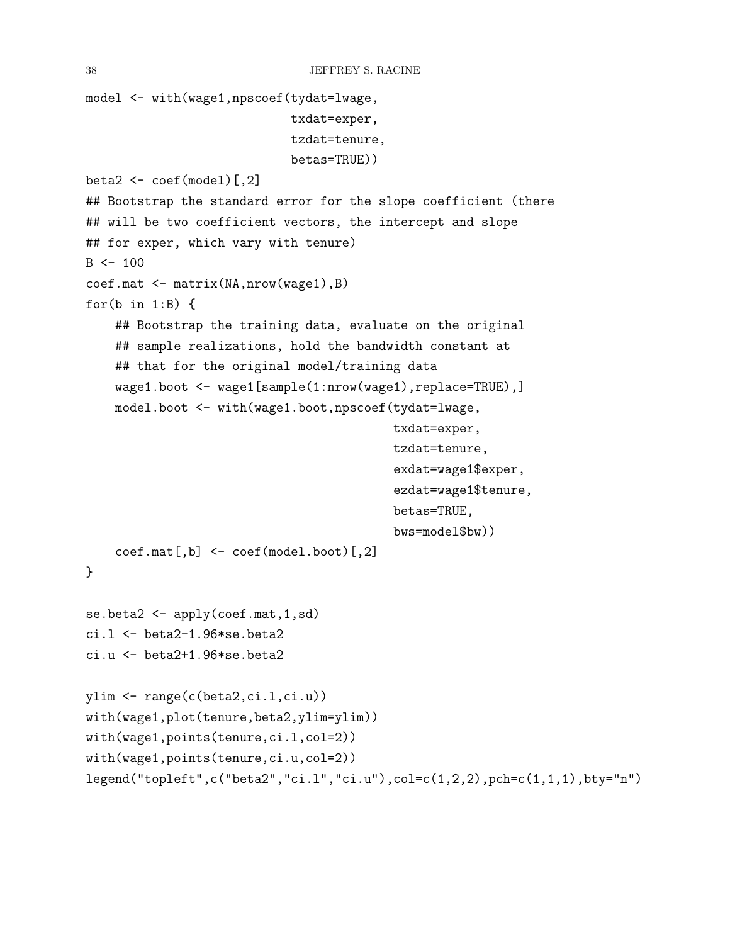```
model <- with(wage1,npscoef(tydat=lwage,
                            txdat=exper,
                            tzdat=tenure,
                            betas=TRUE))
beta2 <- coef(model)[,2]
## Bootstrap the standard error for the slope coefficient (there
## will be two coefficient vectors, the intercept and slope
## for exper, which vary with tenure)
B < - 100coef.mat <- matrix(NA,nrow(wage1),B)
for(b \in 1:B) {
    ## Bootstrap the training data, evaluate on the original
    ## sample realizations, hold the bandwidth constant at
    ## that for the original model/training data
    wage1.boot <- wage1[sample(1:nrow(wage1),replace=TRUE),]
    model.boot <- with(wage1.boot,npscoef(tydat=lwage,
                                          txdat=exper,
                                           tzdat=tenure,
                                           exdat=wage1$exper,
                                           ezdat=wage1$tenure,
                                          betas=TRUE,
                                          bws=model$bw))
    coef.mat[,b] <- coef(model.boot)[,2]
}
se.beta2 <- apply(coef.mat, 1, sd)
ci.l \le beta2-1.96*se.beta2
ci.u <- beta2+1.96*se.beta2
ylim <- range(c(beta2,ci.l,ci.u))
with(wage1,plot(tenure,beta2,ylim=ylim))
with(wage1,points(tenure,ci.l,col=2))
with(wage1,points(tenure,ci.u,col=2))
legend("topleft",c("beta2","ci.l","ci.u"),col=c(1,2,2),pch=c(1,1,1),bty="n")
```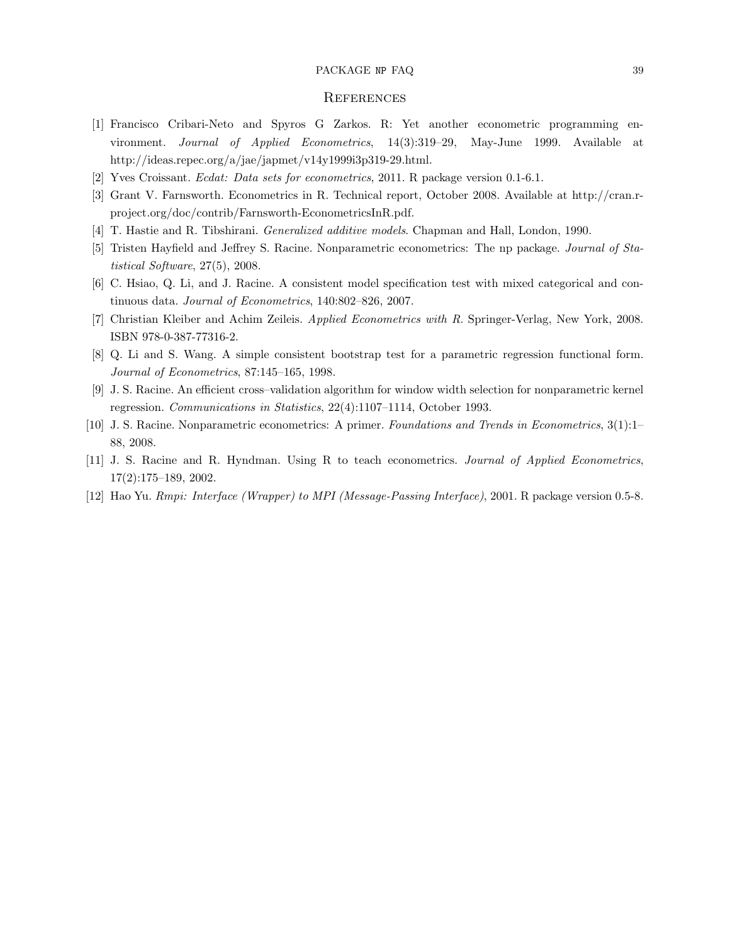#### PACKAGE NP FAQ 39

#### <span id="page-38-1"></span>**REFERENCES**

- <span id="page-38-2"></span>[1] Francisco Cribari-Neto and Spyros G Zarkos. R: Yet another econometric programming environment. Journal of Applied Econometrics, 14(3):319–29, May-June 1999. Available at http://ideas.repec.org/a/jae/japmet/v14y1999i3p319-29.html.
- <span id="page-38-5"></span>[2] Yves Croissant. Ecdat: Data sets for econometrics, 2011. R package version 0.1-6.1.
- <span id="page-38-4"></span>[3] Grant V. Farnsworth. Econometrics in R. Technical report, October 2008. Available at http://cran.rproject.org/doc/contrib/Farnsworth-EconometricsInR.pdf.
- <span id="page-38-12"></span>[4] T. Hastie and R. Tibshirani. Generalized additive models. Chapman and Hall, London, 1990.
- <span id="page-38-7"></span>[5] Tristen Hayfield and Jeffrey S. Racine. Nonparametric econometrics: The np package. Journal of Statistical Software, 27(5), 2008.
- <span id="page-38-0"></span>[6] C. Hsiao, Q. Li, and J. Racine. A consistent model specification test with mixed categorical and continuous data. Journal of Econometrics, 140:802–826, 2007.
- <span id="page-38-6"></span>[7] Christian Kleiber and Achim Zeileis. Applied Econometrics with R. Springer-Verlag, New York, 2008. ISBN 978-0-387-77316-2.
- <span id="page-38-11"></span>[8] Q. Li and S. Wang. A simple consistent bootstrap test for a parametric regression functional form. Journal of Econometrics, 87:145–165, 1998.
- <span id="page-38-10"></span>[9] J. S. Racine. An efficient cross–validation algorithm for window width selection for nonparametric kernel regression. Communications in Statistics, 22(4):1107–1114, October 1993.
- <span id="page-38-8"></span>[10] J. S. Racine. Nonparametric econometrics: A primer. Foundations and Trends in Econometrics, 3(1):1– 88, 2008.
- <span id="page-38-3"></span>[11] J. S. Racine and R. Hyndman. Using R to teach econometrics. Journal of Applied Econometrics, 17(2):175–189, 2002.
- <span id="page-38-9"></span>[12] Hao Yu. Rmpi: Interface (Wrapper) to MPI (Message-Passing Interface), 2001. R package version 0.5-8.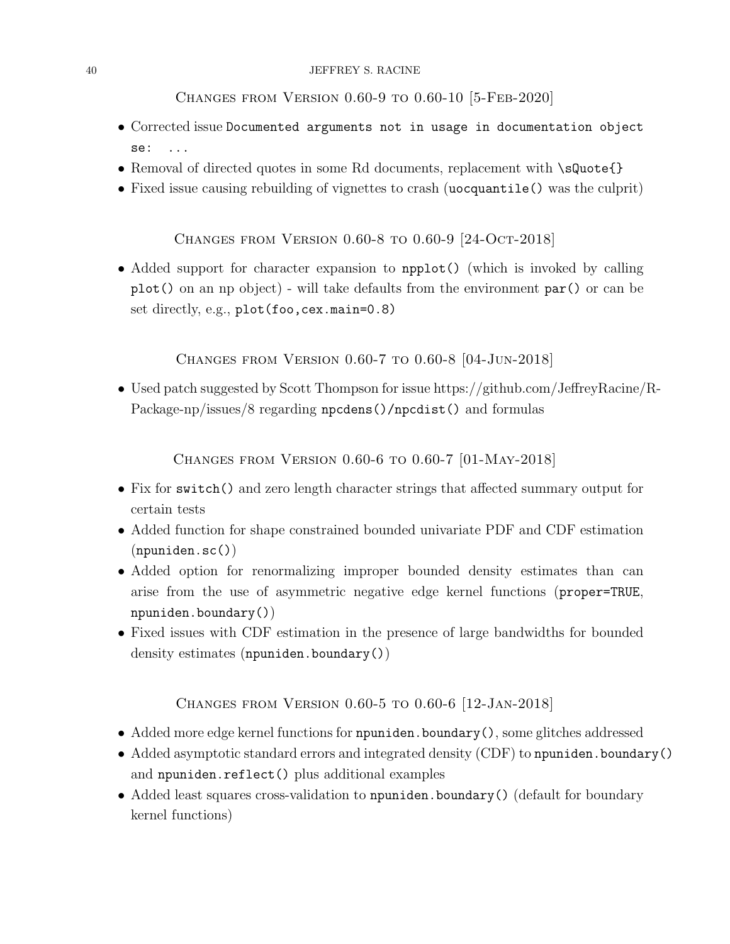#### 40 JEFFREY S. RACINE

<span id="page-39-0"></span>Changes from Version 0.60-9 to 0.60-10 [5-Feb-2020]

- Corrected issue Documented arguments not in usage in documentation object se: ...
- Removal of directed quotes in some Rd documents, replacement with \sQuote{}
- Fixed issue causing rebuilding of vignettes to crash (uocquantile() was the culprit)

<span id="page-39-1"></span>Changes from Version 0.60-8 to 0.60-9 [24-Oct-2018]

• Added support for character expansion to npplot() (which is invoked by calling plot() on an np object) - will take defaults from the environment par() or can be set directly, e.g., plot(foo,cex.main=0.8)

<span id="page-39-2"></span>Changes from Version 0.60-7 to 0.60-8 [04-Jun-2018]

• Used patch suggested by Scott Thompson for issue https://github.com/JeffreyRacine/R-Package-np/issues/8 regarding npcdens()/npcdist() and formulas

<span id="page-39-3"></span>Changes from Version 0.60-6 to 0.60-7 [01-May-2018]

- Fix for switch() and zero length character strings that affected summary output for certain tests
- Added function for shape constrained bounded univariate PDF and CDF estimation (npuniden.sc())
- Added option for renormalizing improper bounded density estimates than can arise from the use of asymmetric negative edge kernel functions (proper=TRUE, npuniden.boundary())
- Fixed issues with CDF estimation in the presence of large bandwidths for bounded density estimates (npuniden.boundary())

<span id="page-39-4"></span>Changes from Version 0.60-5 to 0.60-6 [12-Jan-2018]

- Added more edge kernel functions for npuniden.boundary(), some glitches addressed
- Added asymptotic standard errors and integrated density (CDF) to npuniden.boundary() and npuniden.reflect() plus additional examples
- Added least squares cross-validation to npuniden.boundary() (default for boundary kernel functions)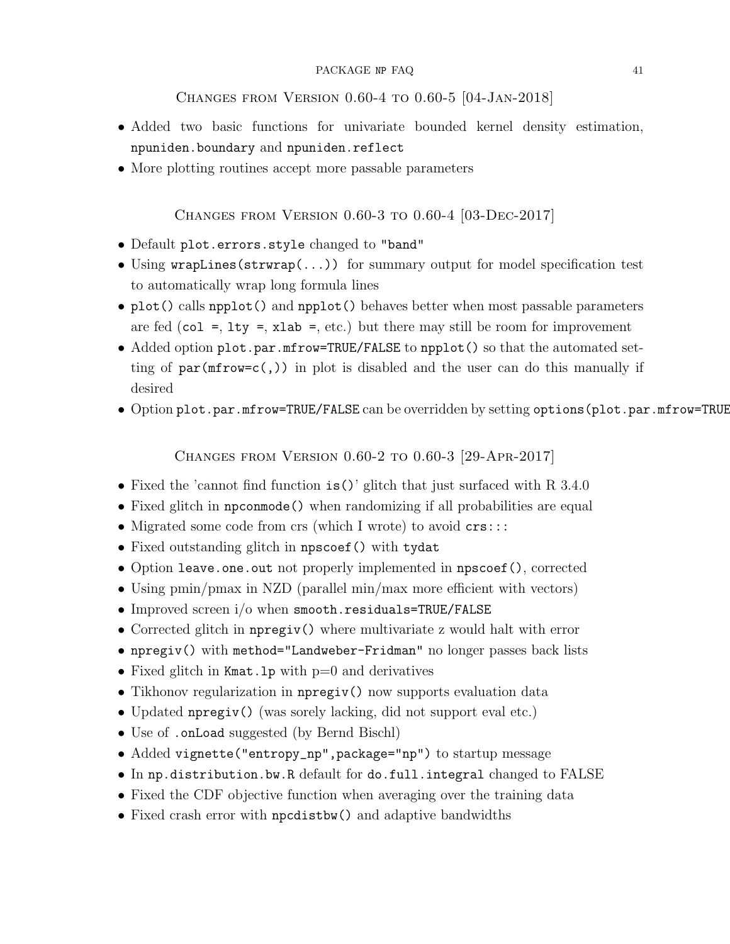<span id="page-40-0"></span>Changes from Version 0.60-4 to 0.60-5 [04-Jan-2018]

- Added two basic functions for univariate bounded kernel density estimation, npuniden.boundary and npuniden.reflect
- More plotting routines accept more passable parameters

<span id="page-40-1"></span>Changes from Version 0.60-3 to 0.60-4 [03-Dec-2017]

- Default plot.errors.style changed to "band"
- Using wrapLines(strwrap(...)) for summary output for model specification test to automatically wrap long formula lines
- plot() calls npplot() and npplot() behaves better when most passable parameters are fed (col =,  $lty = xlab =$ , etc.) but there may still be room for improvement
- Added option plot.par.mfrow=TRUE/FALSE to npplot() so that the automated setting of  $par(mfrow=c($ ,)) in plot is disabled and the user can do this manually if desired
- Option plot.par.mfrow=TRUE/FALSE can be overridden by setting options (plot.par.mfrow=TRUE

<span id="page-40-2"></span>Changes from Version 0.60-2 to 0.60-3 [29-Apr-2017]

- Fixed the 'cannot find function is()' glitch that just surfaced with R 3.4.0
- Fixed glitch in npconmode() when randomizing if all probabilities are equal
- Migrated some code from crs (which I wrote) to avoid  $\text{crs}:::$
- Fixed outstanding glitch in npscoef() with tydat
- Option leave.one.out not properly implemented in npscoef(), corrected
- Using pmin/pmax in NZD (parallel min/max more efficient with vectors)
- Improved screen i/o when smooth.residuals=TRUE/FALSE
- Corrected glitch in npregiv() where multivariate z would halt with error
- npregiv() with method="Landweber-Fridman" no longer passes back lists
- Fixed glitch in Kmat.lp with  $p=0$  and derivatives
- Tikhonov regularization in npregiv() now supports evaluation data
- Updated npregiv() (was sorely lacking, did not support eval etc.)
- Use of .onLoad suggested (by Bernd Bischl)
- Added vignette("entropy\_np",package="np") to startup message
- In np.distribution.bw.R default for do.full.integral changed to FALSE
- Fixed the CDF objective function when averaging over the training data
- Fixed crash error with npcdistbw() and adaptive bandwidths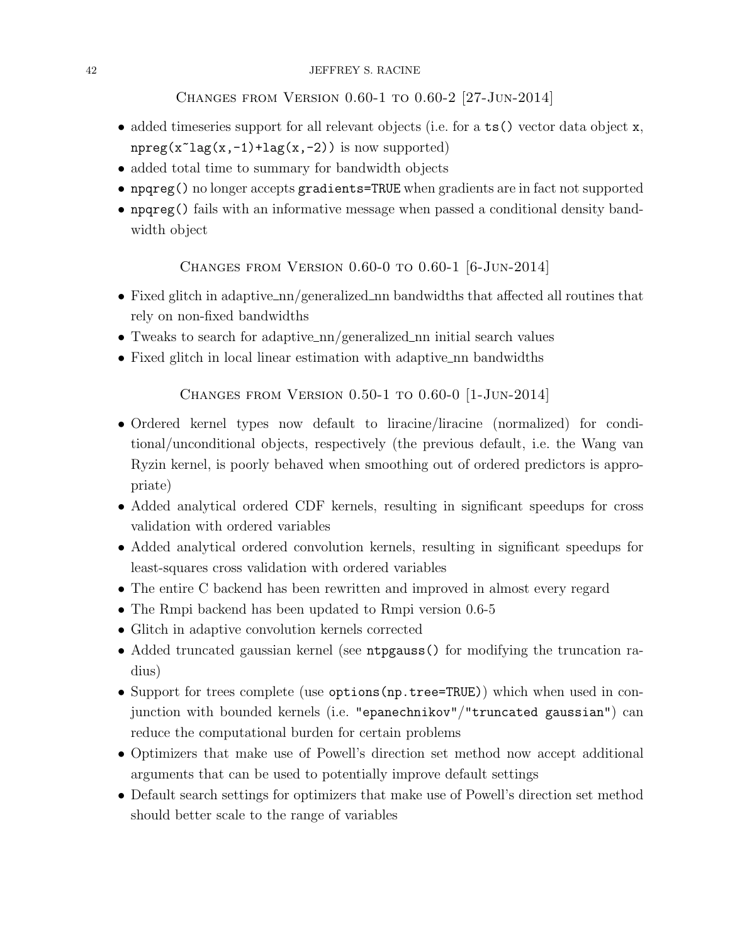<span id="page-41-0"></span>Changes from Version 0.60-1 to 0.60-2 [27-Jun-2014]

- added timeseries support for all relevant objects (i.e. for a ts() vector data object x,  $npreg(x^lag(x,-1)+lag(x,-2))$  is now supported)
- added total time to summary for bandwidth objects
- npqreg() no longer accepts gradients=TRUE when gradients are in fact not supported
- npqreg() fails with an informative message when passed a conditional density bandwidth object

<span id="page-41-1"></span>CHANGES FROM VERSION  $0.60-0$  to  $0.60-1$  [6-Jun-2014]

- Fixed glitch in adaptive  $\text{nn/generalized}_n$  handwidths that affected all routines that rely on non-fixed bandwidths
- Tweaks to search for adaptive nn/generalized nn initial search values
- Fixed glitch in local linear estimation with adaptive nn bandwidths

<span id="page-41-2"></span>Changes from Version 0.50-1 to 0.60-0 [1-Jun-2014]

- Ordered kernel types now default to liracine/liracine (normalized) for conditional/unconditional objects, respectively (the previous default, i.e. the Wang van Ryzin kernel, is poorly behaved when smoothing out of ordered predictors is appropriate)
- Added analytical ordered CDF kernels, resulting in significant speedups for cross validation with ordered variables
- Added analytical ordered convolution kernels, resulting in significant speedups for least-squares cross validation with ordered variables
- The entire C backend has been rewritten and improved in almost every regard
- The Rmpi backend has been updated to Rmpi version 0.6-5
- Glitch in adaptive convolution kernels corrected
- Added truncated gaussian kernel (see ntpgauss() for modifying the truncation radius)
- Support for trees complete (use options (np.tree=TRUE)) which when used in conjunction with bounded kernels (i.e. "epanechnikov"/"truncated gaussian") can reduce the computational burden for certain problems
- Optimizers that make use of Powell's direction set method now accept additional arguments that can be used to potentially improve default settings
- Default search settings for optimizers that make use of Powell's direction set method should better scale to the range of variables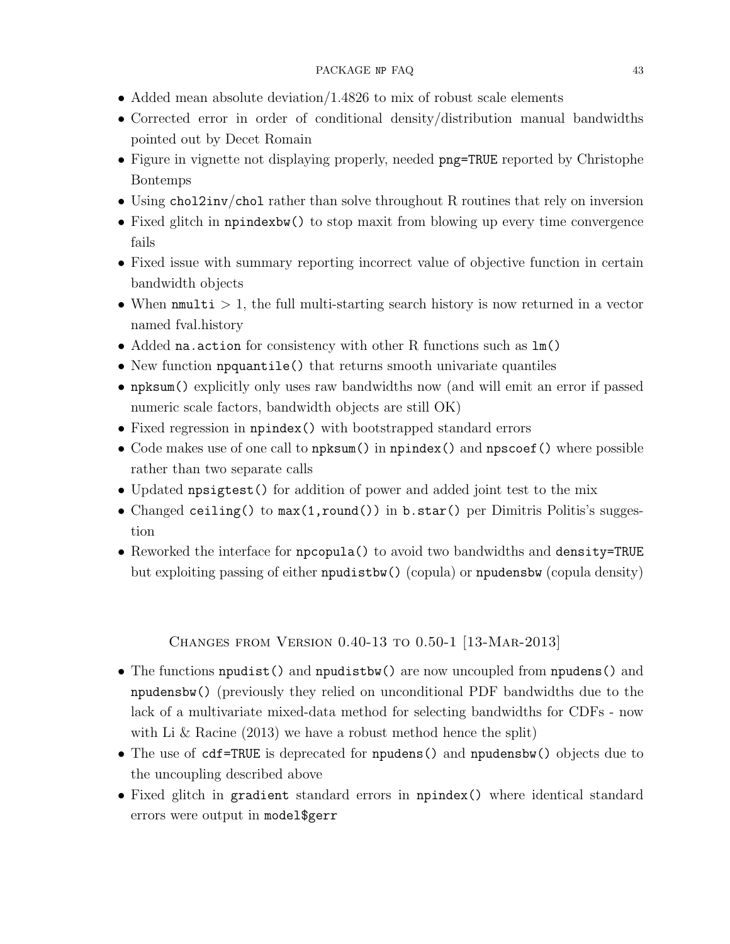- Added mean absolute deviation/1.4826 to mix of robust scale elements
- Corrected error in order of conditional density/distribution manual bandwidths pointed out by Decet Romain
- Figure in vignette not displaying properly, needed **png=TRUE** reported by Christophe Bontemps
- Using chol2inv/chol rather than solve throughout R routines that rely on inversion
- Fixed glitch in npindexbw() to stop maxit from blowing up every time convergence fails
- Fixed issue with summary reporting incorrect value of objective function in certain bandwidth objects
- When  $\text{mmulti} > 1$ , the full multi-starting search history is now returned in a vector named fval.history
- Added na.action for consistency with other R functions such as lm()
- New function npquantile() that returns smooth univariate quantiles
- npksum() explicitly only uses raw bandwidths now (and will emit an error if passed numeric scale factors, bandwidth objects are still OK)
- Fixed regression in npindex() with bootstrapped standard errors
- Code makes use of one call to npksum() in npindex() and npscoef() where possible rather than two separate calls
- Updated npsigtest() for addition of power and added joint test to the mix
- Changed ceiling() to max(1,round()) in b.star() per Dimitris Politis's suggestion
- Reworked the interface for npcopula() to avoid two bandwidths and density=TRUE but exploiting passing of either npudistbw() (copula) or npudensbw (copula density)

## <span id="page-42-0"></span>Changes from Version 0.40-13 to 0.50-1 [13-Mar-2013]

- The functions npudist() and npudistbw() are now uncoupled from npudens() and npudensbw() (previously they relied on unconditional PDF bandwidths due to the lack of a multivariate mixed-data method for selecting bandwidths for CDFs - now with Li & Racine (2013) we have a robust method hence the split)
- The use of cdf=TRUE is deprecated for npudens() and npudensbw() objects due to the uncoupling described above
- Fixed glitch in gradient standard errors in npindex() where identical standard errors were output in model\$gerr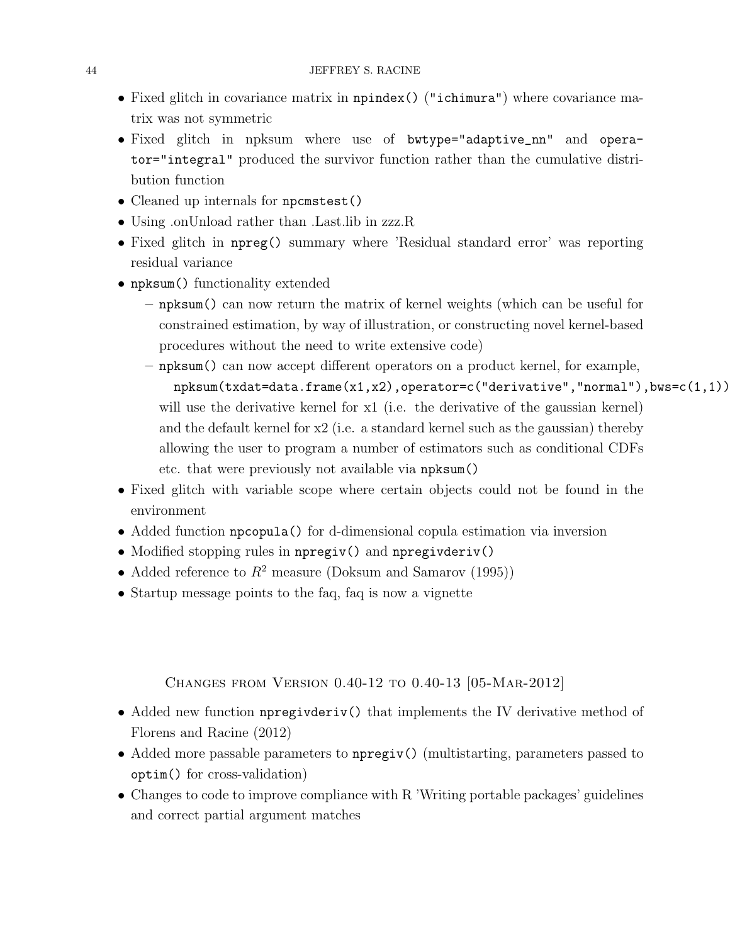- Fixed glitch in covariance matrix in npindex() ("ichimura") where covariance matrix was not symmetric
- Fixed glitch in npksum where use of bwtype="adaptive\_nn" and operator="integral" produced the survivor function rather than the cumulative distribution function
- Cleaned up internals for npcmstest()
- Using on Unload rather than . Last lib in zzz. R
- Fixed glitch in npreg() summary where 'Residual standard error' was reporting residual variance
- npksum() functionality extended
	- npksum() can now return the matrix of kernel weights (which can be useful for constrained estimation, by way of illustration, or constructing novel kernel-based procedures without the need to write extensive code)
	- npksum() can now accept different operators on a product kernel, for example, npksum(txdat=data.frame(x1,x2),operator=c("derivative","normal"),bws=c(1,1)) will use the derivative kernel for x1 (i.e. the derivative of the gaussian kernel) and the default kernel for x2 (i.e. a standard kernel such as the gaussian) thereby allowing the user to program a number of estimators such as conditional CDFs etc. that were previously not available via npksum()
- Fixed glitch with variable scope where certain objects could not be found in the environment
- Added function npcopula() for d-dimensional copula estimation via inversion
- Modified stopping rules in npregiv() and npregivderiv()
- Added reference to  $R^2$  measure (Doksum and Samarov (1995))
- Startup message points to the faq, faq is now a vignette

<span id="page-43-0"></span>Changes from Version 0.40-12 to 0.40-13 [05-Mar-2012]

- Added new function npregivderiv() that implements the IV derivative method of Florens and Racine (2012)
- Added more passable parameters to npregiv() (multistarting, parameters passed to optim() for cross-validation)
- Changes to code to improve compliance with R 'Writing portable packages' guidelines and correct partial argument matches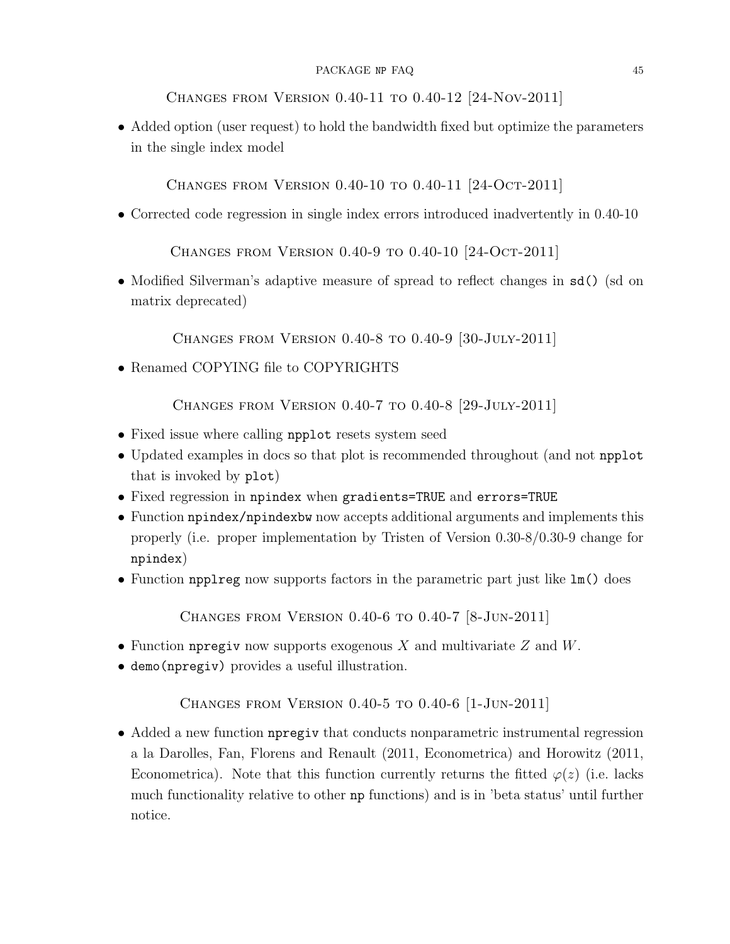<span id="page-44-0"></span>Changes from Version 0.40-11 to 0.40-12 [24-Nov-2011]

• Added option (user request) to hold the bandwidth fixed but optimize the parameters in the single index model

<span id="page-44-1"></span>Changes from Version 0.40-10 to 0.40-11 [24-Oct-2011]

• Corrected code regression in single index errors introduced inadvertently in 0.40-10

<span id="page-44-2"></span>Changes from Version 0.40-9 to 0.40-10 [24-Oct-2011]

• Modified Silverman's adaptive measure of spread to reflect changes in sd() (sd on matrix deprecated)

<span id="page-44-3"></span>Changes from Version 0.40-8 to 0.40-9 [30-July-2011]

• Renamed COPYING file to COPYRIGHTS

<span id="page-44-4"></span>Changes from Version 0.40-7 to 0.40-8 [29-July-2011]

- Fixed issue where calling npplot resets system seed
- Updated examples in docs so that plot is recommended throughout (and not npplot that is invoked by plot)
- Fixed regression in npindex when gradients=TRUE and errors=TRUE
- Function npindex/npindexbw now accepts additional arguments and implements this properly (i.e. proper implementation by Tristen of Version 0.30-8/0.30-9 change for npindex)
- Function npplreg now supports factors in the parametric part just like lm() does

<span id="page-44-5"></span>Changes from Version 0.40-6 to 0.40-7 [8-Jun-2011]

- Function netries from supports exogenous X and multivariate  $Z$  and  $W$ .
- demo(npregiv) provides a useful illustration.

<span id="page-44-6"></span>Changes from Version 0.40-5 to 0.40-6 [1-Jun-2011]

• Added a new function npregiv that conducts nonparametric instrumental regression a la Darolles, Fan, Florens and Renault (2011, Econometrica) and Horowitz (2011, Econometrica). Note that this function currently returns the fitted  $\varphi(z)$  (i.e. lacks much functionality relative to other np functions) and is in 'beta status' until further notice.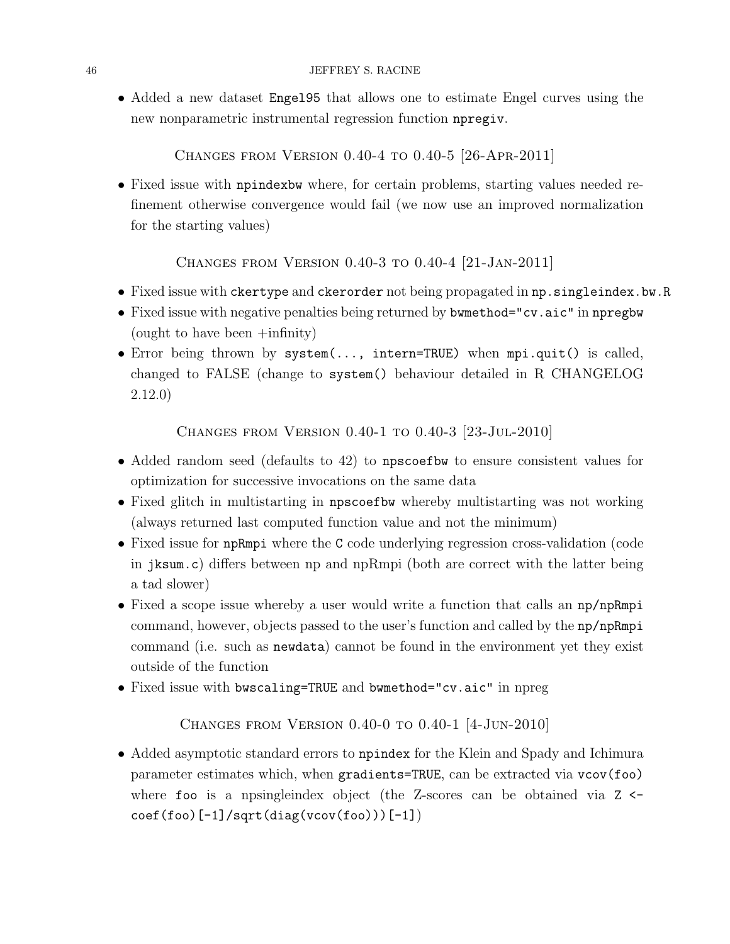• Added a new dataset Engel95 that allows one to estimate Engel curves using the new nonparametric instrumental regression function npregiv.

<span id="page-45-0"></span>Changes from Version 0.40-4 to 0.40-5 [26-Apr-2011]

• Fixed issue with npindexbw where, for certain problems, starting values needed refinement otherwise convergence would fail (we now use an improved normalization for the starting values)

<span id="page-45-1"></span>Changes from Version 0.40-3 to 0.40-4 [21-Jan-2011]

- Fixed issue with ckertype and ckerorder not being propagated in np.singleindex.bw.R
- Fixed issue with negative penalties being returned by bwmethod="cv.aic" in npregbw (ought to have been +infinity)
- Error being thrown by system(..., intern=TRUE) when mpi.quit() is called, changed to FALSE (change to system() behaviour detailed in R CHANGELOG 2.12.0)

<span id="page-45-2"></span>Changes from Version 0.40-1 to 0.40-3 [23-Jul-2010]

- Added random seed (defaults to 42) to npscoefbw to ensure consistent values for optimization for successive invocations on the same data
- Fixed glitch in multistarting in npscoefbw whereby multistarting was not working (always returned last computed function value and not the minimum)
- Fixed issue for npRmpi where the C code underlying regression cross-validation (code in jksum.c) differs between np and npRmpi (both are correct with the latter being a tad slower)
- Fixed a scope issue whereby a user would write a function that calls an np/npRmpi command, however, objects passed to the user's function and called by the np/npRmpi command (i.e. such as newdata) cannot be found in the environment yet they exist outside of the function
- Fixed issue with bwscaling=TRUE and bwmethod="cv.aic" in npreg

<span id="page-45-3"></span>Changes from Version 0.40-0 to 0.40-1 [4-Jun-2010]

• Added asymptotic standard errors to npindex for the Klein and Spady and Ichimura parameter estimates which, when gradients=TRUE, can be extracted via vcov(foo) where foo is a npsingleindex object (the Z-scores can be obtained via  $Z \leftarrow$  $\text{coeff}(\text{foo})[-1]/\text{sqrt}(\text{diag}(v\text{cov}(\text{foo})))[-1])$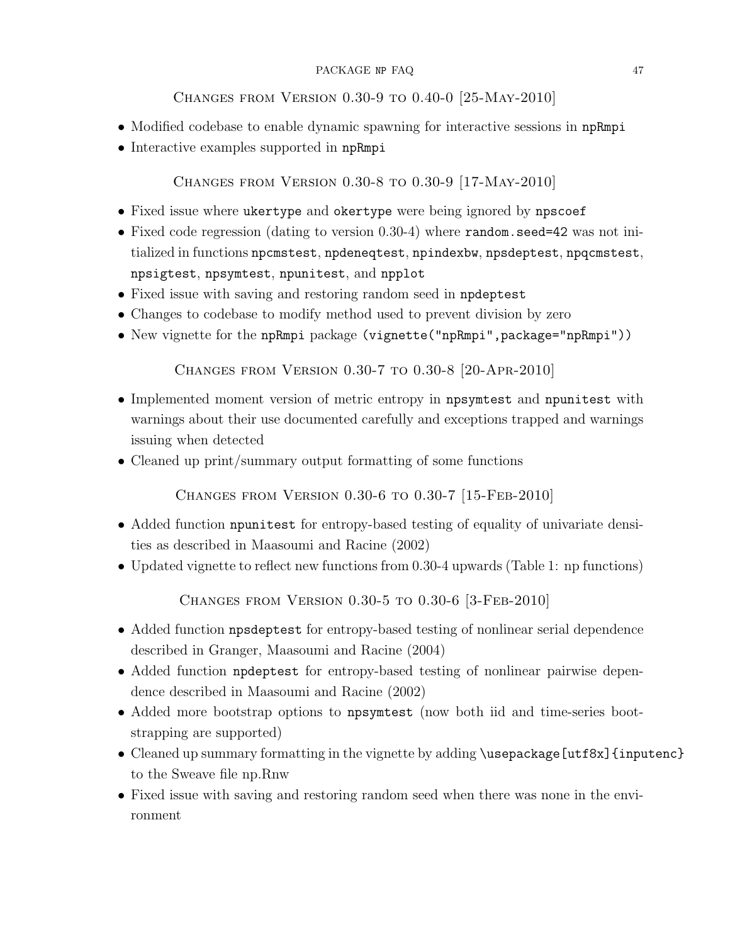## <span id="page-46-0"></span>Changes from Version 0.30-9 to 0.40-0 [25-May-2010]

- Modified codebase to enable dynamic spawning for interactive sessions in npRmpi
- Interactive examples supported in npRmpi

<span id="page-46-1"></span>Changes from Version 0.30-8 to 0.30-9 [17-May-2010]

- Fixed issue where ukertype and okertype were being ignored by npscoef
- Fixed code regression (dating to version 0.30-4) where random.seed=42 was not initialized in functions npcmstest, npdeneqtest, npindexbw, npsdeptest, npqcmstest, npsigtest, npsymtest, npunitest, and npplot
- Fixed issue with saving and restoring random seed in npdeptest
- Changes to codebase to modify method used to prevent division by zero
- New vignette for the npRmpi package (vignette("npRmpi",package="npRmpi"))

<span id="page-46-2"></span>Changes from Version 0.30-7 to 0.30-8 [20-Apr-2010]

- Implemented moment version of metric entropy in npsymtest and npunitest with warnings about their use documented carefully and exceptions trapped and warnings issuing when detected
- Cleaned up print/summary output formatting of some functions

<span id="page-46-3"></span>Changes from Version 0.30-6 to 0.30-7 [15-Feb-2010]

- Added function npunitest for entropy-based testing of equality of univariate densities as described in Maasoumi and Racine (2002)
- Updated vignette to reflect new functions from 0.30-4 upwards (Table 1: np functions)

<span id="page-46-4"></span>Changes from Version 0.30-5 to 0.30-6 [3-Feb-2010]

- Added function npsdeptest for entropy-based testing of nonlinear serial dependence described in Granger, Maasoumi and Racine (2004)
- Added function npdeptest for entropy-based testing of nonlinear pairwise dependence described in Maasoumi and Racine (2002)
- Added more bootstrap options to npsymtest (now both iid and time-series bootstrapping are supported)
- Cleaned up summary formatting in the vignette by adding \usepackage[utf8x] {inputenc} to the Sweave file np.Rnw
- Fixed issue with saving and restoring random seed when there was none in the environment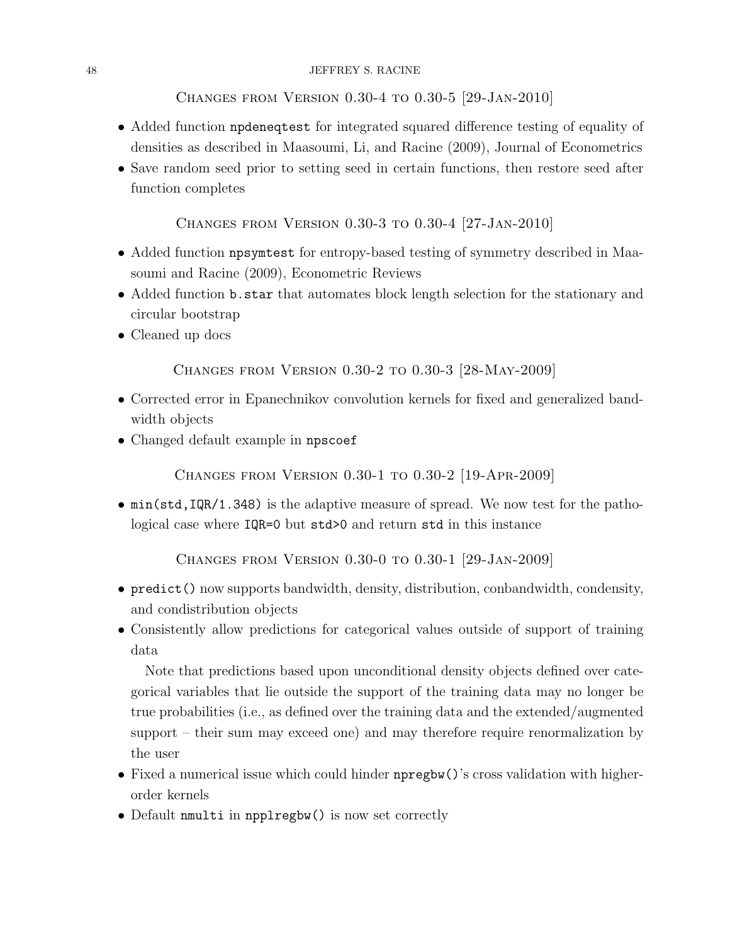#### 48 JEFFREY S. RACINE

<span id="page-47-0"></span>Changes from Version 0.30-4 to 0.30-5 [29-Jan-2010]

- Added function npdeneqtest for integrated squared difference testing of equality of densities as described in Maasoumi, Li, and Racine (2009), Journal of Econometrics
- Save random seed prior to setting seed in certain functions, then restore seed after function completes

<span id="page-47-1"></span>Changes from Version 0.30-3 to 0.30-4 [27-Jan-2010]

- Added function npsymtest for entropy-based testing of symmetry described in Maasoumi and Racine (2009), Econometric Reviews
- Added function b.star that automates block length selection for the stationary and circular bootstrap
- Cleaned up docs

<span id="page-47-2"></span>Changes from Version 0.30-2 to 0.30-3 [28-May-2009]

- Corrected error in Epanechnikov convolution kernels for fixed and generalized bandwidth objects
- Changed default example in npscoef

<span id="page-47-3"></span>Changes from Version 0.30-1 to 0.30-2 [19-Apr-2009]

• min(std,IQR/1.348) is the adaptive measure of spread. We now test for the pathological case where IQR=0 but std>0 and return std in this instance

<span id="page-47-4"></span>Changes from Version 0.30-0 to 0.30-1 [29-Jan-2009]

- predict() now supports bandwidth, density, distribution, conbandwidth, condensity, and condistribution objects
- Consistently allow predictions for categorical values outside of support of training data

Note that predictions based upon unconditional density objects defined over categorical variables that lie outside the support of the training data may no longer be true probabilities (i.e., as defined over the training data and the extended/augmented support – their sum may exceed one) and may therefore require renormalization by the user

- Fixed a numerical issue which could hinder npregbw()'s cross validation with higherorder kernels
- Default nmulti in npplregbw() is now set correctly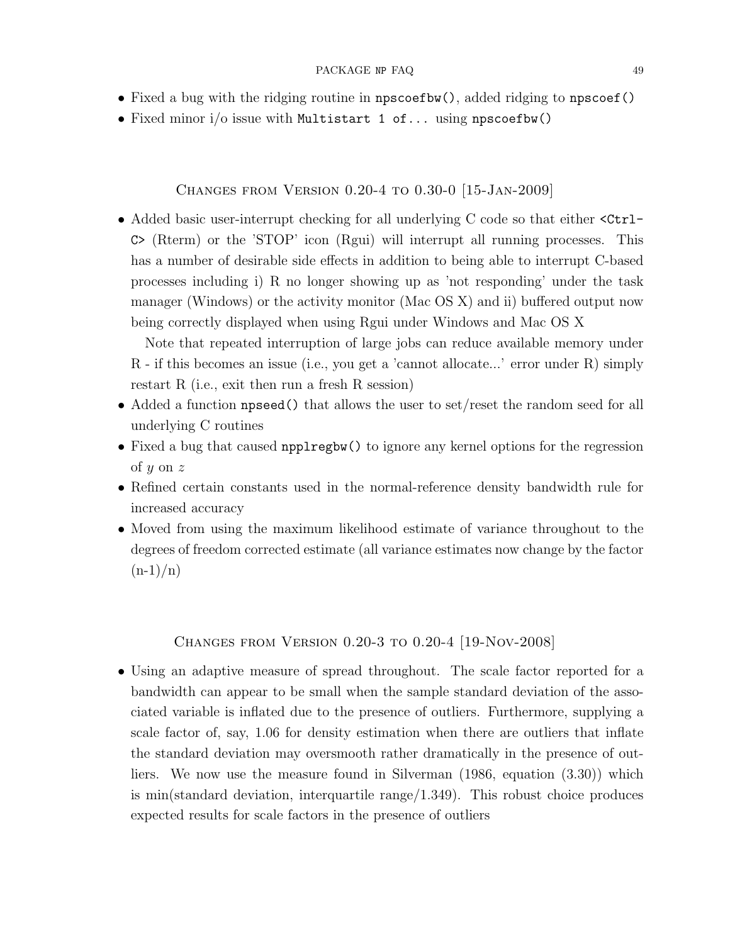- Fixed a bug with the ridging routine in npscoefbw(), added ridging to npscoef()
- Fixed minor i/o issue with Multistart 1 of... using npscoefbw()

### <span id="page-48-0"></span>Changes from Version 0.20-4 to 0.30-0 [15-Jan-2009]

• Added basic user-interrupt checking for all underlying C code so that either  $\leq$ Ctrl-C> (Rterm) or the 'STOP' icon (Rgui) will interrupt all running processes. This has a number of desirable side effects in addition to being able to interrupt C-based processes including i) R no longer showing up as 'not responding' under the task manager (Windows) or the activity monitor (Mac OS X) and ii) buffered output now being correctly displayed when using Rgui under Windows and Mac OS X

Note that repeated interruption of large jobs can reduce available memory under R - if this becomes an issue (i.e., you get a 'cannot allocate...' error under R) simply restart R (i.e., exit then run a fresh R session)

- Added a function **npseed**() that allows the user to set/reset the random seed for all underlying C routines
- Fixed a bug that caused npplregbw() to ignore any kernel options for the regression of y on z
- Refined certain constants used in the normal-reference density bandwidth rule for increased accuracy
- Moved from using the maximum likelihood estimate of variance throughout to the degrees of freedom corrected estimate (all variance estimates now change by the factor  $(n-1)/n)$

### <span id="page-48-1"></span>Changes from Version 0.20-3 to 0.20-4 [19-Nov-2008]

• Using an adaptive measure of spread throughout. The scale factor reported for a bandwidth can appear to be small when the sample standard deviation of the associated variable is inflated due to the presence of outliers. Furthermore, supplying a scale factor of, say, 1.06 for density estimation when there are outliers that inflate the standard deviation may oversmooth rather dramatically in the presence of outliers. We now use the measure found in Silverman (1986, equation (3.30)) which is min(standard deviation, interquartile range/1.349). This robust choice produces expected results for scale factors in the presence of outliers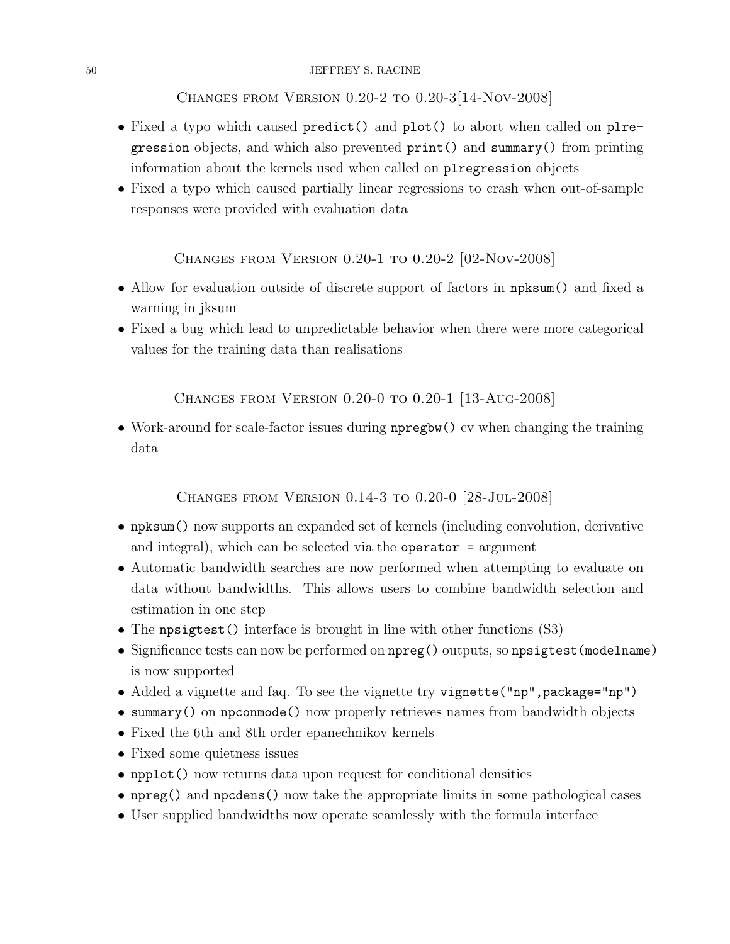#### 50 JEFFREY S. RACINE

<span id="page-49-0"></span>Changes from Version 0.20-2 to 0.20-3[14-Nov-2008]

- Fixed a typo which caused predict() and plot() to abort when called on plregression objects, and which also prevented print() and summary() from printing information about the kernels used when called on plregression objects
- Fixed a typo which caused partially linear regressions to crash when out-of-sample responses were provided with evaluation data

<span id="page-49-1"></span>Changes from Version 0.20-1 to 0.20-2 [02-Nov-2008]

- Allow for evaluation outside of discrete support of factors in npksum() and fixed a warning in jksum
- Fixed a bug which lead to unpredictable behavior when there were more categorical values for the training data than realisations

<span id="page-49-2"></span>Changes from Version 0.20-0 to 0.20-1 [13-Aug-2008]

• Work-around for scale-factor issues during npregbw() cv when changing the training data

<span id="page-49-3"></span>Changes from Version 0.14-3 to 0.20-0 [28-Jul-2008]

- npksum() now supports an expanded set of kernels (including convolution, derivative and integral), which can be selected via the operator  $=$  argument
- Automatic bandwidth searches are now performed when attempting to evaluate on data without bandwidths. This allows users to combine bandwidth selection and estimation in one step
- The npsigtest () interface is brought in line with other functions (S3)
- Significance tests can now be performed on  $npreg()$  outputs, so  $npsigtest(modelname)$ is now supported
- Added a vignette and faq. To see the vignette try vignette ("np", package="np")
- summary() on npconmode() now properly retrieves names from bandwidth objects
- Fixed the 6th and 8th order epanechnikov kernels
- Fixed some quietness issues
- npplot() now returns data upon request for conditional densities
- npreg() and npcdens() now take the appropriate limits in some pathological cases
- User supplied bandwidths now operate seamlessly with the formula interface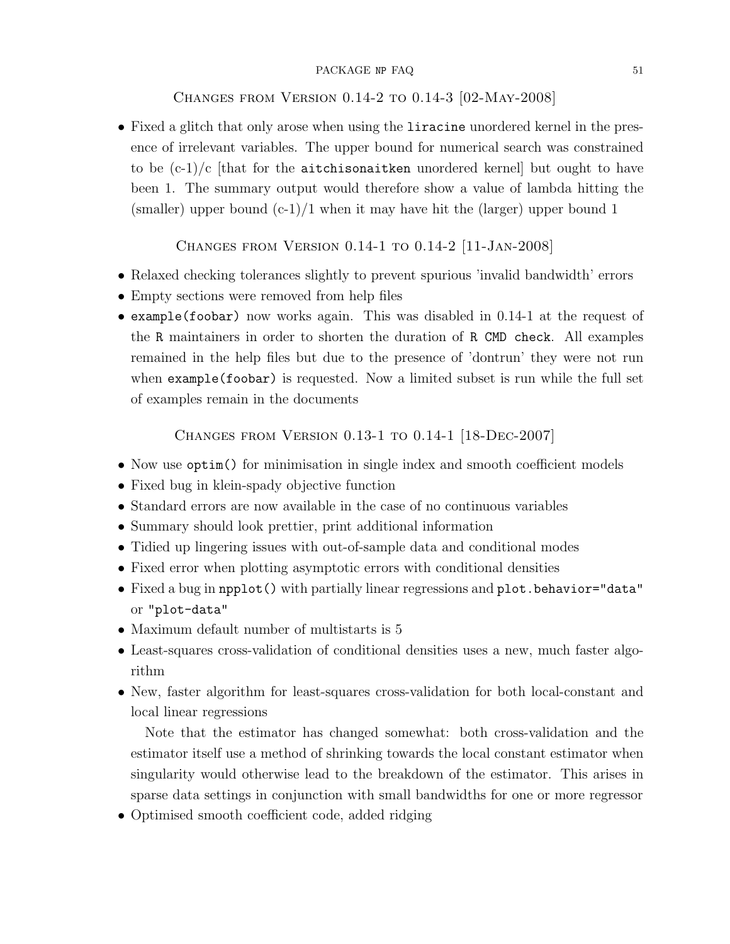## <span id="page-50-0"></span>Changes from Version 0.14-2 to 0.14-3 [02-May-2008]

• Fixed a glitch that only arose when using the liracine unordered kernel in the presence of irrelevant variables. The upper bound for numerical search was constrained to be  $(c-1)/c$  [that for the aitchisonaitken unordered kernel] but ought to have been 1. The summary output would therefore show a value of lambda hitting the (smaller) upper bound  $(c-1)/1$  when it may have hit the (larger) upper bound 1

<span id="page-50-1"></span>Changes from Version 0.14-1 to 0.14-2 [11-Jan-2008]

- Relaxed checking tolerances slightly to prevent spurious 'invalid bandwidth' errors
- Empty sections were removed from help files
- example(foobar) now works again. This was disabled in 0.14-1 at the request of the R maintainers in order to shorten the duration of R CMD check. All examples remained in the help files but due to the presence of 'dontrun' they were not run when example(foobar) is requested. Now a limited subset is run while the full set of examples remain in the documents

<span id="page-50-2"></span>Changes from Version 0.13-1 to 0.14-1 [18-Dec-2007]

- Now use  $optim()$  for minimisation in single index and smooth coefficient models
- Fixed bug in klein-spady objective function
- Standard errors are now available in the case of no continuous variables
- Summary should look prettier, print additional information
- Tidied up lingering issues with out-of-sample data and conditional modes
- Fixed error when plotting asymptotic errors with conditional densities
- Fixed a bug in npplot() with partially linear regressions and plot.behavior="data" or "plot-data"
- Maximum default number of multistarts is 5
- Least-squares cross-validation of conditional densities uses a new, much faster algorithm
- New, faster algorithm for least-squares cross-validation for both local-constant and local linear regressions

Note that the estimator has changed somewhat: both cross-validation and the estimator itself use a method of shrinking towards the local constant estimator when singularity would otherwise lead to the breakdown of the estimator. This arises in sparse data settings in conjunction with small bandwidths for one or more regressor

• Optimised smooth coefficient code, added ridging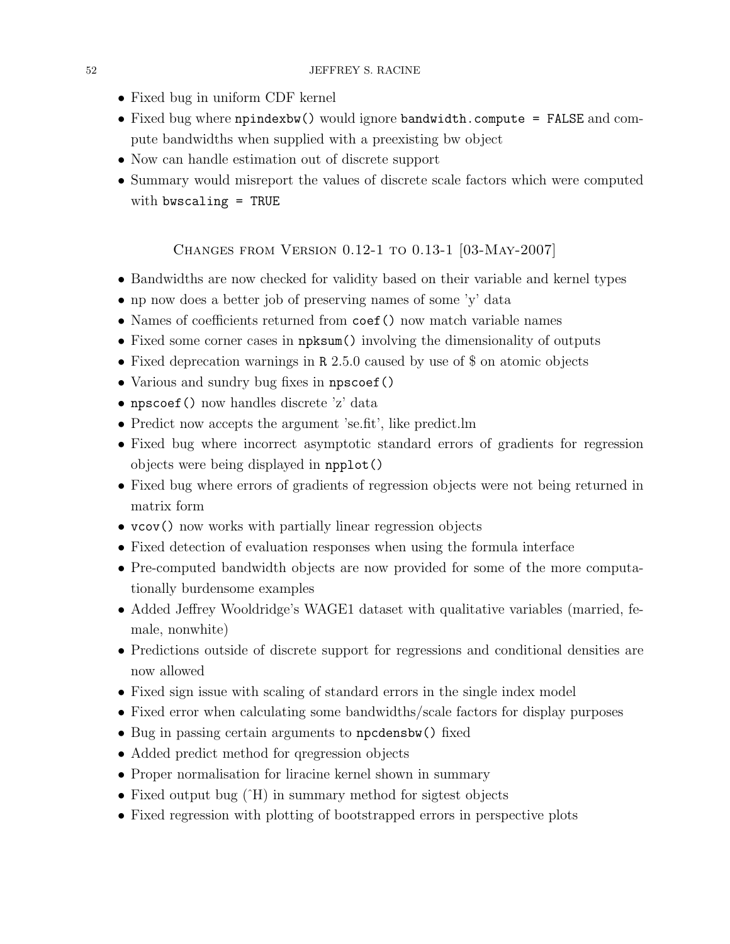- Fixed bug in uniform CDF kernel
- Fixed bug where npindexbw() would ignore bandwidth.compute = FALSE and compute bandwidths when supplied with a preexisting bw object
- Now can handle estimation out of discrete support
- Summary would misreport the values of discrete scale factors which were computed with bwscaling = TRUE

## <span id="page-51-0"></span>Changes from Version 0.12-1 to 0.13-1 [03-May-2007]

- Bandwidths are now checked for validity based on their variable and kernel types
- np now does a better job of preserving names of some 'y' data
- Names of coefficients returned from coef () now match variable names
- Fixed some corner cases in npksum() involving the dimensionality of outputs
- Fixed deprecation warnings in R 2.5.0 caused by use of \$ on atomic objects
- Various and sundry bug fixes in npscoef()
- npscoef() now handles discrete 'z' data
- Predict now accepts the argument 'se.fit', like predict.lm
- Fixed bug where incorrect asymptotic standard errors of gradients for regression objects were being displayed in npplot()
- Fixed bug where errors of gradients of regression objects were not being returned in matrix form
- vcov() now works with partially linear regression objects
- Fixed detection of evaluation responses when using the formula interface
- Pre-computed bandwidth objects are now provided for some of the more computationally burdensome examples
- Added Jeffrey Wooldridge's WAGE1 dataset with qualitative variables (married, female, nonwhite)
- Predictions outside of discrete support for regressions and conditional densities are now allowed
- Fixed sign issue with scaling of standard errors in the single index model
- Fixed error when calculating some bandwidths/scale factors for display purposes
- Bug in passing certain arguments to npcdensbw() fixed
- Added predict method for qregression objects
- Proper normalisation for liracine kernel shown in summary
- Fixed output bug  $(H)$  in summary method for sigtest objects
- Fixed regression with plotting of bootstrapped errors in perspective plots